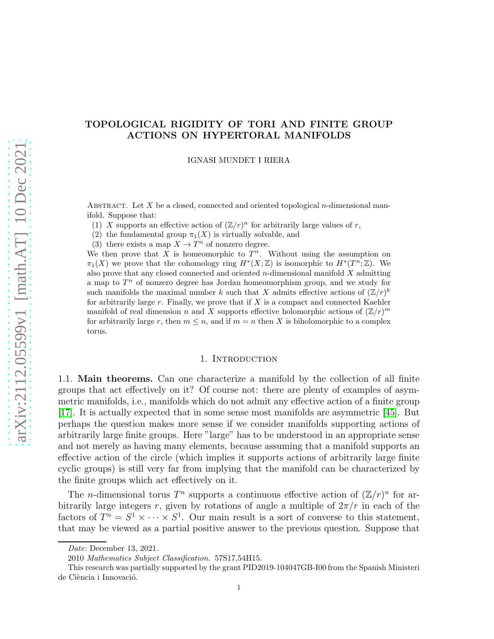# arXiv:2112.05599v1 [math.AT] 10 Dec 2021 [arXiv:2112.05599v1 \[math.AT\] 10 Dec 2021](http://arxiv.org/abs/2112.05599v1)

# TOPOLOGICAL RIGIDITY OF TORI AND FINITE GROUP ACTIONS ON HYPERTORAL MANIFOLDS

IGNASI MUNDET I RIERA

ABSTRACT. Let X be a closed, connected and oriented topological  $n$ -dimensional manifold. Suppose that:

(1) X supports an effective action of  $(\mathbb{Z}/r)^n$  for arbitrarily large values of r,

- (2) the fundamental group  $\pi_1(X)$  is virtually solvable, and
- (3) there exists a map  $X \to T^n$  of nonzero degree.

We then prove that X is homeomorphic to  $\overline{T}^n$ . Without using the assumption on  $\pi_1(X)$  we prove that the cohomology ring  $H^*(X;\mathbb{Z})$  is isomorphic to  $H^*(T^n;\mathbb{Z})$ . We also prove that any closed connected and oriented  $n$ -dimensional manifold  $X$  admitting a map to  $T^n$  of nonzero degree has Jordan homeomorphism group, and we study for such manifolds the maximal number k such that X admits effective actions of  $(\mathbb{Z}/r)^k$ for arbitrarily large r. Finally, we prove that if  $X$  is a compact and connected Kaehler manifold of real dimension n and X supports effective holomorphic actions of  $(\mathbb{Z}/r)^m$ for arbitrarily large r, then  $m \leq n$ , and if  $m = n$  then X is biholomorphic to a complex torus.

### 1. INTRODUCTION

1.1. Main theorems. Can one characterize a manifold by the collection of all finite groups that act effectively on it? Of course not: there are plenty of examples of asymmetric manifolds, i.e., manifolds which do not admit any effective action of a finite group [\[17\]](#page-37-0). It is actually expected that in some sense most manifolds are asymmetric [\[45\]](#page-39-0). But perhaps the question makes more sense if we consider manifolds supporting actions of arbitrarily large finite groups. Here "large" has to be understood in an appropriate sense and not merely as having many elements, because assuming that a manifold supports an effective action of the circle (which implies it supports actions of arbitrarily large finite cyclic groups) is still very far from implying that the manifold can be characterized by the finite groups which act effectively on it.

The *n*-dimensional torus  $T^n$  supports a continuous effective action of  $(\mathbb{Z}/r)^n$  for arbitrarily large integers r, given by rotations of angle a multiple of  $2\pi/r$  in each of the factors of  $T^n = S^1 \times \cdots \times S^1$ . Our main result is a sort of converse to this statement, that may be viewed as a partial positive answer to the previous question. Suppose that

Date: December 13, 2021.

<sup>2010</sup> Mathematics Subject Classification. 57S17,54H15.

This research was partially supported by the grant PID2019-104047GB-I00 from the Spanish Ministeri de Ciència i Innovació.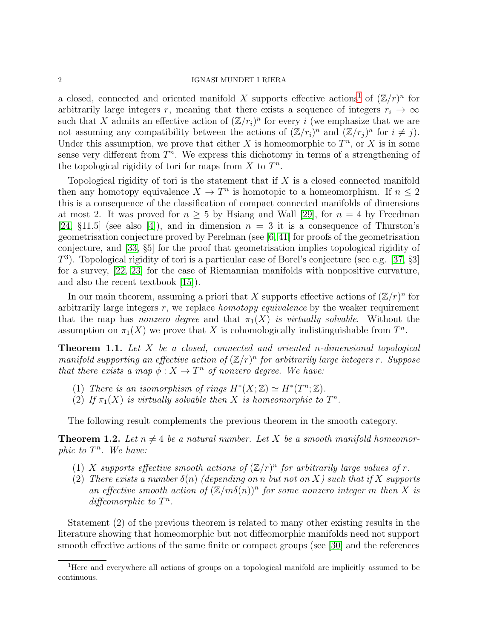a closed, connected and oriented manifold X supports effective actions<sup>[1](#page-1-0)</sup> of  $(\mathbb{Z}/r)^n$  for arbitrarily large integers r, meaning that there exists a sequence of integers  $r_i \rightarrow \infty$ such that X admits an effective action of  $(\mathbb{Z}/r_i)^n$  for every i (we emphasize that we are not assuming any compatibility between the actions of  $(\mathbb{Z}/r_i)^n$  and  $(\mathbb{Z}/r_j)^n$  for  $i \neq j$ . Under this assumption, we prove that either X is homeomorphic to  $T<sup>n</sup>$ , or X is in some sense very different from  $T<sup>n</sup>$ . We express this dichotomy in terms of a strengthening of the topological rigidity of tori for maps from  $X$  to  $T^n$ .

Topological rigidity of tori is the statement that if  $X$  is a closed connected manifold then any homotopy equivalence  $X \to T^n$  is homotopic to a homeomorphism. If  $n \leq 2$ this is a consequence of the classification of compact connected manifolds of dimensions at most 2. It was proved for  $n > 5$  by Hsiang and Wall [\[29\]](#page-38-0), for  $n = 4$  by Freedman [\[24,](#page-38-1)  $\S 11.5$ ] (see also [\[4\]](#page-37-1)), and in dimension  $n = 3$  it is a consequence of Thurston's geometrisation conjecture proved by Perelman (see [\[6,](#page-37-2) [41\]](#page-38-2) for proofs of the geometrisation conjecture, and [\[33,](#page-38-3) §5] for the proof that geometrisation implies topological rigidity of  $T<sup>3</sup>$ ). Topological rigidity of tori is a particular case of Borel's conjecture (see e.g. [\[37,](#page-38-4) §3] for a survey, [\[22,](#page-38-5) [23\]](#page-38-6) for the case of Riemannian manifolds with nonpositive curvature, and also the recent textbook [\[15\]](#page-37-3)).

In our main theorem, assuming a priori that X supports effective actions of  $(\mathbb{Z}/r)^n$  for arbitrarily large integers  $r$ , we replace *homotopy equivalence* by the weaker requirement that the map has nonzero degree and that  $\pi_1(X)$  is virtually solvable. Without the assumption on  $\pi_1(X)$  we prove that X is cohomologically indistinguishable from  $T^n$ .

<span id="page-1-1"></span>**Theorem 1.1.** Let X be a closed, connected and oriented n-dimensional topological manifold supporting an effective action of  $(\mathbb{Z}/r)^n$  for arbitrarily large integers r. Suppose that there exists a map  $\phi: X \to T^n$  of nonzero degree. We have:

- (1) There is an isomorphism of rings  $H^*(X;\mathbb{Z}) \simeq H^*(T^n;\mathbb{Z})$ .
- (2) If  $\pi_1(X)$  is virtually solvable then X is homeomorphic to  $T^n$ .

The following result complements the previous theorem in the smooth category.

<span id="page-1-2"></span>**Theorem 1.2.** Let  $n \neq 4$  be a natural number. Let X be a smooth manifold homeomorphic to  $T^n$ . We have:

- (1) X supports effective smooth actions of  $(\mathbb{Z}/r)^n$  for arbitrarily large values of r.
- (2) There exists a number  $\delta(n)$  (depending on n but not on X) such that if X supports an effective smooth action of  $(\mathbb{Z}/m\delta(n))^n$  for some nonzero integer m then X is diffeomorphic to  $T^n$ .

Statement (2) of the previous theorem is related to many other existing results in the literature showing that homeomorphic but not diffeomorphic manifolds need not support smooth effective actions of the same finite or compact groups (see [\[30\]](#page-38-7) and the references

<span id="page-1-0"></span><sup>&</sup>lt;sup>1</sup>Here and everywhere all actions of groups on a topological manifold are implicitly assumed to be continuous.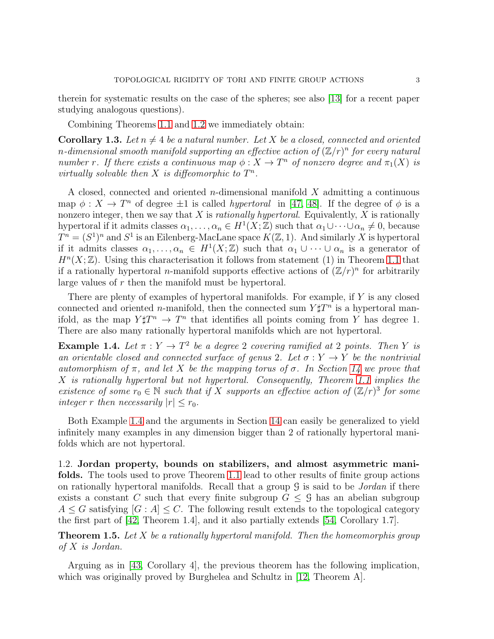therein for systematic results on the case of the spheres; see also [\[13\]](#page-37-4) for a recent paper studying analogous questions).

Combining Theorems [1.1](#page-1-1) and [1.2](#page-1-2) we immediately obtain:

**Corollary 1.3.** Let  $n \neq 4$  be a natural number. Let X be a closed, connected and oriented n-dimensional smooth manifold supporting an effective action of  $(\mathbb{Z}/r)^n$  for every natural number r. If there exists a continuous map  $\phi: X \to T^n$  of nonzero degree and  $\pi_1(X)$  is virtually solvable then  $X$  is diffeomorphic to  $T^n$ .

A closed, connected and oriented  $n$ -dimensional manifold  $X$  admitting a continuous map  $\phi: X \to T^n$  of degree  $\pm 1$  is called *hypertoral* in [\[47,](#page-39-1) [48\]](#page-39-2). If the degree of  $\phi$  is a nonzero integer, then we say that  $X$  is *rationally hypertoral*. Equivalently,  $X$  is rationally hypertoral if it admits classes  $\alpha_1, \ldots, \alpha_n \in H^1(X; \mathbb{Z})$  such that  $\alpha_1 \cup \cdots \cup \alpha_n \neq 0$ , because  $T^n = (S^1)^n$  and  $S^1$  is an Eilenberg-MacLane space  $K(\mathbb{Z}, 1)$ . And similarly X is hypertoral if it admits classes  $\alpha_1, \ldots, \alpha_n \in H^1(X;\mathbb{Z})$  such that  $\alpha_1 \cup \cdots \cup \alpha_n$  is a generator of  $H<sup>n</sup>(X; \mathbb{Z})$ . Using this characterisation it follows from statement (1) in Theorem [1.1](#page-1-1) that if a rationally hypertoral *n*-manifold supports effective actions of  $(\mathbb{Z}/r)^n$  for arbitrarily large values of r then the manifold must be hypertoral.

There are plenty of examples of hypertoral manifolds. For example, if Y is any closed connected and oriented n-manifold, then the connected sum  $Y\sharp T^n$  is a hypertoral manifold, as the map  $Y \sharp T^n \to T^n$  that identifies all points coming from Y has degree 1. There are also many rationally hypertoral manifolds which are not hypertoral.

<span id="page-2-0"></span>**Example 1.4.** Let  $\pi : Y \to T^2$  be a degree 2 covering ramified at 2 points. Then Y is an orientable closed and connected surface of genus 2. Let  $\sigma: Y \to Y$  be the nontrivial automorphism of  $\pi$ , and let X be the mapping torus of  $\sigma$ . In Section [14](#page-33-0) we prove that X is rationally hypertoral but not hypertoral. Consequently, Theorem [1.1](#page-1-1) implies the existence of some  $r_0 \in \mathbb{N}$  such that if X supports an effective action of  $(\mathbb{Z}/r)^3$  for some integer r then necessarily  $|r| \leq r_0$ .

Both Example [1.4](#page-2-0) and the arguments in Section [14](#page-33-0) can easily be generalized to yield infinitely many examples in any dimension bigger than 2 of rationally hypertoral manifolds which are not hypertoral.

1.2. Jordan property, bounds on stabilizers, and almost asymmetric manifolds. The tools used to prove Theorem [1.1](#page-1-1) lead to other results of finite group actions on rationally hypertoral manifolds. Recall that a group  $\mathcal G$  is said to be *Jordan* if there exists a constant C such that every finite subgroup  $G \leq \mathcal{G}$  has an abelian subgroup  $A \leq G$  satisfying  $|G : A| \leq C$ . The following result extends to the topological category the first part of [\[42,](#page-38-8) Theorem 1.4], and it also partially extends [\[54,](#page-39-3) Corollary 1.7].

<span id="page-2-1"></span>**Theorem 1.5.** Let X be a rationally hypertoral manifold. Then the homeomorphis group of X is Jordan.

Arguing as in [\[43,](#page-38-9) Corollary 4], the previous theorem has the following implication, which was originally proved by Burghelea and Schultz in [\[12,](#page-37-5) Theorem A].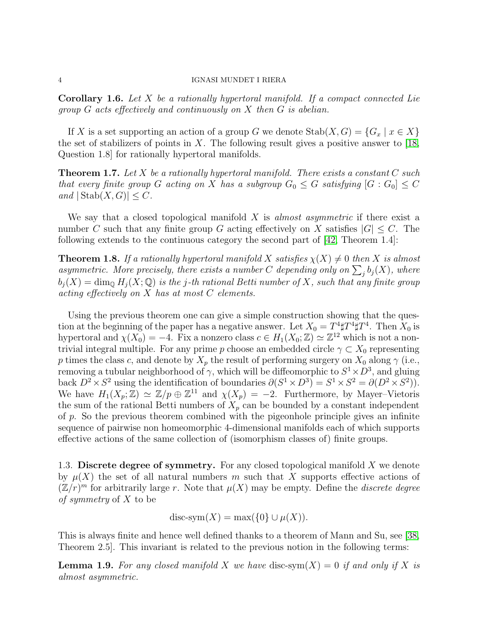**Corollary 1.6.** Let X be a rationally hypertoral manifold. If a compact connected Lie group G acts effectively and continuously on X then G is abelian.

If X is a set supporting an action of a group G we denote  $\text{Stab}(X, G) = \{G_x \mid x \in X\}$ the set of stabilizers of points in X. The following result gives a positive answer to  $[18,$ Question 1.8] for rationally hypertoral manifolds.

<span id="page-3-0"></span>**Theorem 1.7.** Let X be a rationally hypertoral manifold. There exists a constant  $C$  such that every finite group G acting on X has a subgroup  $G_0 \leq G$  satisfying  $[G:G_0] \leq C$ and  $|\text{Stab}(X, G)| \leq C$ .

We say that a closed topological manifold  $X$  is almost asymmetric if there exist a number C such that any finite group G acting effectively on X satisfies  $|G| \leq C$ . The following extends to the continuous category the second part of [\[42,](#page-38-8) Theorem 1.4]:

<span id="page-3-1"></span>**Theorem 1.8.** If a rationally hypertoral manifold X satisfies  $\chi(X) \neq 0$  then X is almost asymmetric. More precisely, there exists a number C depending only on  $\sum_j b_j(X)$ , where  $b_i(X) = \dim_{\mathbb{Q}} H_i(X; \mathbb{Q})$  is the j-th rational Betti number of X, such that any finite group acting effectively on X has at most C elements.

Using the previous theorem one can give a simple construction showing that the question at the beginning of the paper has a negative answer. Let  $X_0 = T^4 \sharp T^4 \sharp T^4$ . Then  $X_0$  is hypertoral and  $\chi(X_0) = -4$ . Fix a nonzero class  $c \in H_1(X_0; \mathbb{Z}) \simeq \mathbb{Z}^{12}$  which is not a nontrivial integral multiple. For any prime p choose an embedded circle  $\gamma \subset X_0$  representing p times the class c, and denote by  $X_p$  the result of performing surgery on  $X_0$  along  $\gamma$  (i.e., removing a tubular neighborhood of  $\gamma$ , which will be diffeomorphic to  $S^1 \times D^3$ , and gluing back  $D^2 \times S^2$  using the identification of boundaries  $\partial(S^1 \times D^3) = S^1 \times S^2 = \partial(D^2 \times S^2)$ . We have  $H_1(X_p; \mathbb{Z}) \simeq \mathbb{Z}/p \oplus \mathbb{Z}^{11}$  and  $\chi(X_p) = -2$ . Furthermore, by Mayer-Vietoris the sum of the rational Betti numbers of  $X_p$  can be bounded by a constant independent of p. So the previous theorem combined with the pigeonhole principle gives an infinite sequence of pairwise non homeomorphic 4-dimensional manifolds each of which supports effective actions of the same collection of (isomorphism classes of) finite groups.

1.3. Discrete degree of symmetry. For any closed topological manifold  $X$  we denote by  $\mu(X)$  the set of all natural numbers m such that X supports effective actions of  $(\mathbb{Z}/r)^m$  for arbitrarily large r. Note that  $\mu(X)$  may be empty. Define the *discrete degree* of symmetry of X to be

$$
disc-sym(X) = \max(\{0\} \cup \mu(X)).
$$

This is always finite and hence well defined thanks to a theorem of Mann and Su, see [\[38,](#page-38-11) Theorem 2.5]. This invariant is related to the previous notion in the following terms:

**Lemma 1.9.** For any closed manifold X we have disc-sym $(X) = 0$  if and only if X is almost asymmetric.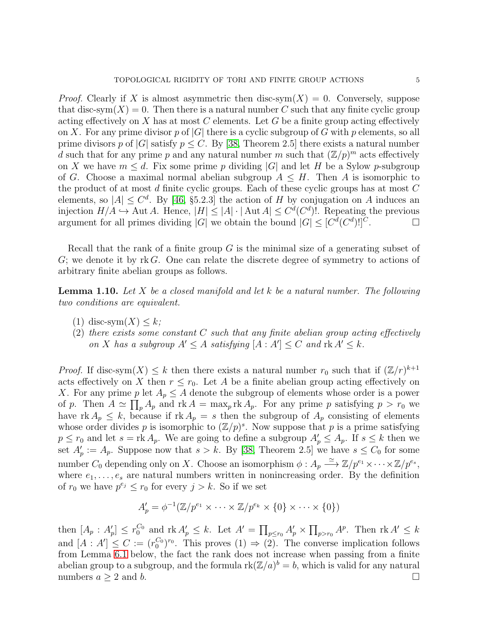*Proof.* Clearly if X is almost asymmetric then disc-sym $(X) = 0$ . Conversely, suppose that disc-sym $(X) = 0$ . Then there is a natural number C such that any finite cyclic group acting effectively on X has at most C elements. Let G be a finite group acting effectively on X. For any prime divisor p of  $|G|$  there is a cyclic subgroup of G with p elements, so all prime divisors p of  $|G|$  satisfy  $p \leq C$ . By [\[38,](#page-38-11) Theorem 2.5] there exists a natural number d such that for any prime p and any natural number m such that  $(\mathbb{Z}/p)^m$  acts effectively on X we have  $m \leq d$ . Fix some prime p dividing |G| and let H be a Sylow p-subgroup of G. Choose a maximal normal abelian subgroup  $A \leq H$ . Then A is isomorphic to the product of at most d finite cyclic groups. Each of these cyclic groups has at most  $C$ elements, so  $|A| \leq C^d$ . By [\[46,](#page-39-4) §5.2.3] the action of H by conjugation on A induces an injection  $H/A \hookrightarrow$  Aut A. Hence,  $|H| \leq |A| \cdot |\text{Aut } A| \leq C^{d}(C^{d})!$ . Repeating the previous argument for all primes dividing |G| we obtain the bound  $|G| \leq [C^d(C^d)!]^C$ .

Recall that the rank of a finite group  $G$  is the minimal size of a generating subset of  $G$ ; we denote it by rk G. One can relate the discrete degree of symmetry to actions of arbitrary finite abelian groups as follows.

**Lemma 1.10.** Let X be a closed manifold and let k be a natural number. The following two conditions are equivalent.

- (1) disc-sym $(X) \leq k$ ;
- (2) there exists some constant  $C$  such that any finite abelian group acting effectively on X has a subgroup  $A' \leq A$  satisfying  $[A : A'] \leq C$  and  $\text{rk } A' \leq k$ .

*Proof.* If disc-sym $(X) \leq k$  then there exists a natural number  $r_0$  such that if  $(\mathbb{Z}/r)^{k+1}$ acts effectively on X then  $r \leq r_0$ . Let A be a finite abelian group acting effectively on X. For any prime p let  $A_p \leq A$  denote the subgroup of elements whose order is a power of p. Then  $A \simeq \prod_p A_p$  and  $\text{rk } A = \max_p \text{rk } A_p$ . For any prime p satisfying  $p > r_0$  we have rk  $A_p \leq k$ , because if rk  $A_p = s$  then the subgroup of  $A_p$  consisting of elements whose order divides p is isomorphic to  $(\mathbb{Z}/p)^s$ . Now suppose that p is a prime satisfying  $p \leq r_0$  and let  $s = \text{rk } A_p$ . We are going to define a subgroup  $A'_p \leq A_p$ . If  $s \leq k$  then we set  $A'_p := A_p$ . Suppose now that  $s > k$ . By [\[38,](#page-38-11) Theorem 2.5] we have  $s \leq C_0$  for some number  $C_0$  depending only on X. Choose an isomorphism  $\phi: A_p \stackrel{\simeq}{\longrightarrow} \mathbb{Z}/p^{e_1} \times \cdots \times \mathbb{Z}/p^{e_s}$ , where  $e_1, \ldots, e_s$  are natural numbers written in nonincreasing order. By the definition of  $r_0$  we have  $p^{e_j} \leq r_0$  for every  $j > k$ . So if we set

$$
A'_{p} = \phi^{-1}(\mathbb{Z}/p^{e_1} \times \cdots \times \mathbb{Z}/p^{e_k} \times \{0\} \times \cdots \times \{0\})
$$

then  $[A_p : A'_p] \leq r_0^{C_0}$  and  $\text{rk } A'_p \leq k$ . Let  $A' = \prod_{p \leq r_0} A'_p \times \prod_{p > r_0} A^p$ . Then  $\text{rk } A' \leq k$ and  $[A : A'] \leq C := (r_0^{C_0})$  ${C_0 \choose 0}$ <sup>r<sub>0</sub></sup>. This proves (1)  $\Rightarrow$  (2). The converse implication follows from Lemma [6.1](#page-16-0) below, the fact the rank does not increase when passing from a finite abelian group to a subgroup, and the formula  $rk(\mathbb{Z}/a)^b = b$ , which is valid for any natural numbers  $a \geq 2$  and b.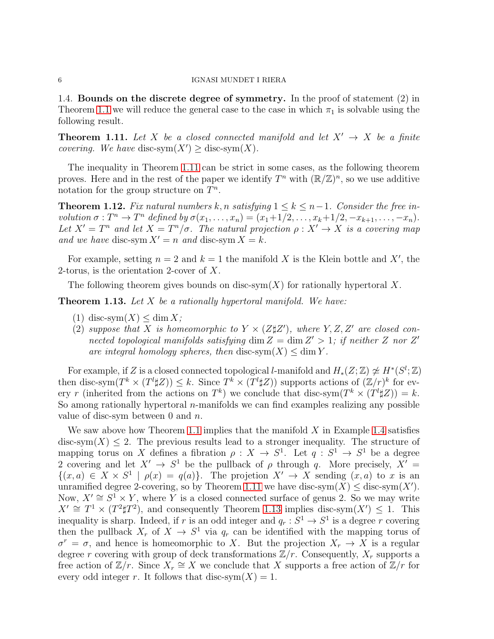1.4. Bounds on the discrete degree of symmetry. In the proof of statement (2) in Theorem [1.1](#page-1-1) we will reduce the general case to the case in which  $\pi_1$  is solvable using the following result.

<span id="page-5-0"></span>**Theorem 1.11.** Let X be a closed connected manifold and let  $X' \rightarrow X$  be a finite *covering.* We have disc-sym $(X') \geq$  disc-sym $(X)$ .

The inequality in Theorem [1.11](#page-5-0) can be strict in some cases, as the following theorem proves. Here and in the rest of the paper we identify  $T^n$  with  $(\mathbb{R}/\mathbb{Z})^n$ , so we use additive notation for the group structure on  $T^n$ .

<span id="page-5-2"></span>**Theorem 1.12.** Fix natural numbers k, n satisfying  $1 \leq k \leq n-1$ . Consider the free involution  $\sigma: T^n \to T^n$  defined by  $\sigma(x_1, \ldots, x_n) = (x_1 + 1/2, \ldots, x_k + 1/2, -x_{k+1}, \ldots, -x_n)$ . Let  $X' = T^n$  and let  $X = T^n/\sigma$ . The natural projection  $\rho : X' \to X$  is a covering map and we have disc-sym  $X' = n$  and disc-sym  $X = k$ .

For example, setting  $n = 2$  and  $k = 1$  the manifold X is the Klein bottle and X', the 2-torus, is the orientation 2-cover of X.

The following theorem gives bounds on disc-sym $(X)$  for rationally hypertoral X.

<span id="page-5-1"></span>**Theorem 1.13.** Let  $X$  be a rationally hypertoral manifold. We have:

- (1) disc-sym $(X) \leq \dim X$ ;
- (2) suppose that X is homeomorphic to  $Y \times (Z\sharp Z')$ , where  $Y, Z, Z'$  are closed connected topological manifolds satisfying  $\dim Z = \dim Z' > 1$ ; if neither Z nor Z' are integral homology spheres, then disc-sym $(X) \leq \dim Y$ .

For example, if Z is a closed connected topological *l*-manifold and  $H_*(Z;\mathbb{Z}) \ncong H^*(S^l;\mathbb{Z})$ then disc-sym $(T^k \times (T^l \sharp Z)) \leq k$ . Since  $T^k \times (T^l \sharp Z)$  supports actions of  $(\mathbb{Z}/r)^k$  for every r (inherited from the actions on  $T^k$ ) we conclude that disc-sym $(T^k \times (T^l \sharp Z)) = k$ . So among rationally hypertoral *n*-manifolds we can find examples realizing any possible value of disc-sym between 0 and  $n$ .

We saw above how Theorem [1.1](#page-1-1) implies that the manifold  $X$  in Example [1.4](#page-2-0) satisfies disc-sym $(X) \leq 2$ . The previous results lead to a stronger inequality. The structure of mapping torus on X defines a fibration  $\rho: X \to S^1$ . Let  $q: S^1 \to S^1$  be a degree 2 covering and let  $X' \to S^1$  be the pullback of  $\rho$  through q. More precisely,  $X' =$  $\{(x,a)\in X\times S^1 \mid \rho(x) = q(a)\}.$  The projetion  $X' \to X$  sending  $(x,a)$  to x is an unramified degree 2-covering, so by Theorem [1.11](#page-5-0) we have disc-sym $(X) \leq$  disc-sym $(X')$ . Now,  $X' \cong S^1 \times Y$ , where Y is a closed connected surface of genus 2. So we may write  $X' \cong T^1 \times (T^2 \sharp T^2)$ , and consequently Theorem [1.13](#page-5-1) implies disc-sym $(X') \leq 1$ . This inequality is sharp. Indeed, if r is an odd integer and  $q_r : S^1 \to S^1$  is a degree r covering then the pullback  $X_r$  of  $X \to S^1$  via  $q_r$  can be identified with the mapping torus of  $\sigma^r = \sigma$ , and hence is homeomorphic to X. But the projection  $X_r \to X$  is a regular degree r covering with group of deck transformations  $\mathbb{Z}/r$ . Consequently,  $X_r$  supports a free action of  $\mathbb{Z}/r$ . Since  $X_r \cong X$  we conclude that X supports a free action of  $\mathbb{Z}/r$  for every odd integer r. It follows that disc-sym $(X) = 1$ .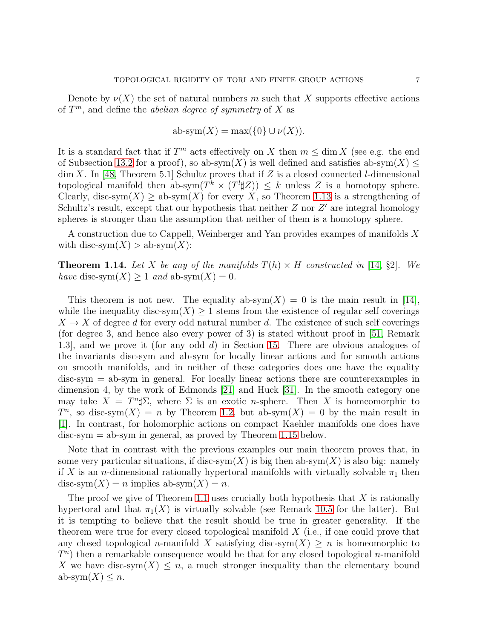Denote by  $\nu(X)$  the set of natural numbers m such that X supports effective actions of  $T^m$ , and define the *abelian degree of symmetry* of X as

$$
ab\text{-sym}(X) = \max(\{0\} \cup \nu(X)).
$$

It is a standard fact that if  $T^m$  acts effectively on X then  $m \leq \dim X$  (see e.g. the end of Subsection [13.2](#page-32-0) for a proof), so ab-sym $(X)$  is well defined and satisfies ab-sym $(X)$  $\dim X$ . In [\[48,](#page-39-2) Theorem 5.1] Schultz proves that if Z is a closed connected *l*-dimensional topological manifold then ab-sym $(T^k \times (T^l \sharp Z)) \leq k$  unless Z is a homotopy sphere. Clearly, disc-sym $(X) \ge ab$ -sym $(X)$  for every X, so Theorem [1.13](#page-5-1) is a strengthening of Schultz's result, except that our hypothesis that neither  $Z$  nor  $Z'$  are integral homology spheres is stronger than the assumption that neither of them is a homotopy sphere.

A construction due to Cappell, Weinberger and Yan provides exampes of manifolds X with disc-sym $(X) > ab$ -sym $(X)$ :

<span id="page-6-0"></span>**Theorem 1.14.** Let X be any of the manifolds  $T(h) \times H$  constructed in [\[14,](#page-37-6) §2]. We have disc-sym $(X) \geq 1$  and ab-sym $(X) = 0$ .

This theorem is not new. The equality ab-sym $(X) = 0$  is the main result in [\[14\]](#page-37-6), while the inequality disc-sym $(X) \geq 1$  stems from the existence of regular self coverings  $X \to X$  of degree d for every odd natural number d. The existence of such self coverings (for degree 3, and hence also every power of 3) is stated without proof in [\[51,](#page-39-5) Remark 1.3], and we prove it (for any odd d) in Section [15.](#page-34-0) There are obvious analogues of the invariants disc-sym and ab-sym for locally linear actions and for smooth actions on smooth manifolds, and in neither of these categories does one have the equality disc-sym = ab-sym in general. For locally linear actions there are counterexamples in dimension 4, by the work of Edmonds [\[21\]](#page-38-12) and Huck [\[31\]](#page-38-13). In the smooth category one may take  $X = T^n \sharp \Sigma$ , where  $\Sigma$  is an exotic *n*-sphere. Then X is homeomorphic to  $T^n$ , so disc-sym $(X) = n$  by Theorem [1.2,](#page-1-2) but ab-sym $(X) = 0$  by the main result in [\[1\]](#page-37-7). In contrast, for holomorphic actions on compact Kaehler manifolds one does have  $disc-sym = ab-sym$  in general, as proved by Theorem [1.15](#page-7-0) below.

Note that in contrast with the previous examples our main theorem proves that, in some very particular situations, if disc-sym $(X)$  is big then ab-sym $(X)$  is also big: namely if X is an n-dimensional rationally hypertoral manifolds with virtually solvable  $\pi_1$  then disc-sym $(X) = n$  implies ab-sym $(X) = n$ .

The proof we give of Theorem [1.1](#page-1-1) uses crucially both hypothesis that  $X$  is rationally hypertoral and that  $\pi_1(X)$  is virtually solvable (see Remark [10.5](#page-26-0) for the latter). But it is tempting to believe that the result should be true in greater generality. If the theorem were true for every closed topological manifold  $X$  (i.e., if one could prove that any closed topological n-manifold X satisfying disc-sym $(X) \geq n$  is homeomorphic to  $T<sup>n</sup>$ ) then a remarkable consequence would be that for any closed topological *n*-manifold X we have disc-sym $(X) \leq n$ , a much stronger inequality than the elementary bound ab-sym $(X) \leq n$ .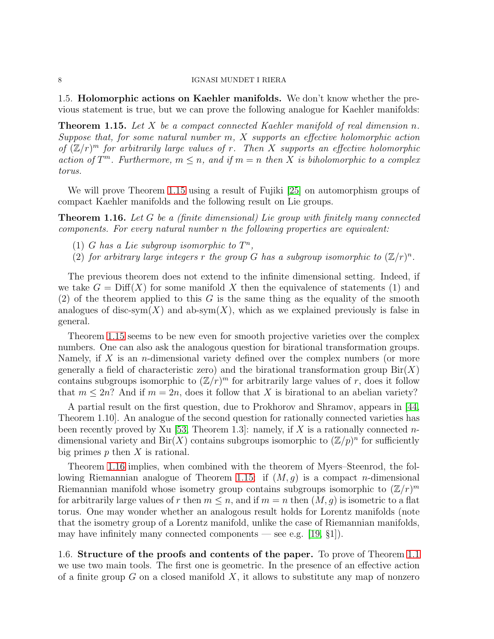1.5. Holomorphic actions on Kaehler manifolds. We don't know whether the previous statement is true, but we can prove the following analogue for Kaehler manifolds:

<span id="page-7-0"></span>**Theorem 1.15.** Let X be a compact connected Kaehler manifold of real dimension n. Suppose that, for some natural number  $m, X$  supports an effective holomorphic action of  $(\mathbb{Z}/r)^m$  for arbitrarily large values of r. Then X supports an effective holomorphic action of  $T^m$ . Furthermore,  $m \leq n$ , and if  $m = n$  then X is biholomorphic to a complex torus.

We will prove Theorem [1.15](#page-7-0) using a result of Fujiki [\[25\]](#page-38-14) on automorphism groups of compact Kaehler manifolds and the following result on Lie groups.

<span id="page-7-1"></span>Theorem 1.16. Let G be a (finite dimensional) Lie group with finitely many connected components. For every natural number n the following properties are equivalent:

- (1) G has a Lie subgroup isomorphic to  $T^n$ ,
- (2) for arbitrary large integers r the group G has a subgroup isomorphic to  $(\mathbb{Z}/r)^n$ .

The previous theorem does not extend to the infinite dimensional setting. Indeed, if we take  $G = \text{Diff}(X)$  for some manifold X then the equivalence of statements (1) and  $(2)$  of the theorem applied to this G is the same thing as the equality of the smooth analogues of disc-sym $(X)$  and ab-sym $(X)$ , which as we explained previously is false in general.

Theorem [1.15](#page-7-0) seems to be new even for smooth projective varieties over the complex numbers. One can also ask the analogous question for birational transformation groups. Namely, if  $X$  is an *n*-dimensional variety defined over the complex numbers (or more generally a field of characteristic zero) and the birational transformation group  $\text{Bir}(X)$ contains subgroups isomorphic to  $(\mathbb{Z}/r)^m$  for arbitrarily large values of r, does it follow that  $m \leq 2n$ ? And if  $m = 2n$ , does it follow that X is birational to an abelian variety?

A partial result on the first question, due to Prokhorov and Shramov, appears in [\[44,](#page-39-6) Theorem 1.10]. An analogue of the second question for rationally connected varieties has been recently proved by Xu [\[53,](#page-39-7) Theorem 1.3]: namely, if X is a rationally connected ndimensional variety and  $\text{Bir}(X)$  contains subgroups isomorphic to  $(\mathbb{Z}/p)^n$  for sufficiently big primes  $p$  then  $X$  is rational.

Theorem [1.16](#page-7-1) implies, when combined with the theorem of Myers–Steenrod, the fol-lowing Riemannian analogue of Theorem [1.15:](#page-7-0) if  $(M, g)$  is a compact *n*-dimensional Riemannian manifold whose isometry group contains subgroups isomorphic to  $(\mathbb{Z}/r)^m$ for arbitrarily large values of r then  $m \leq n$ , and if  $m = n$  then  $(M, g)$  is isometric to a flat torus. One may wonder whether an analogous result holds for Lorentz manifolds (note that the isometry group of a Lorentz manifold, unlike the case of Riemannian manifolds, may have infinitely many connected components — see e.g.  $(19, \, \text{\S1})$ .

1.6. Structure of the proofs and contents of the paper. To prove of Theorem [1.1](#page-1-1) we use two main tools. The first one is geometric. In the presence of an effective action of a finite group  $G$  on a closed manifold  $X$ , it allows to substitute any map of nonzero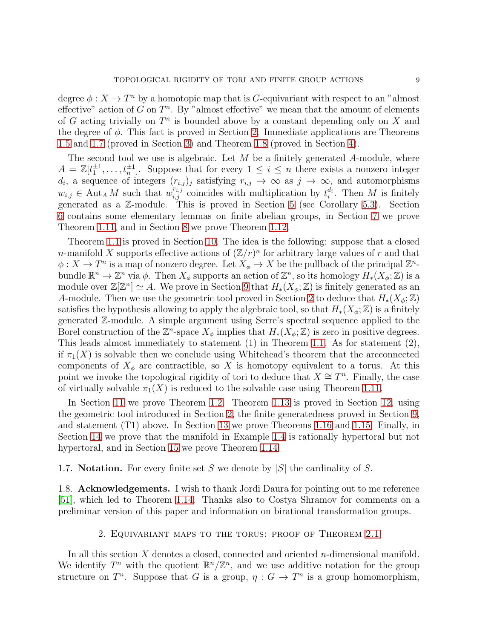degree  $\phi: X \to T^n$  by a homotopic map that is G-equivariant with respect to an "almost effective" action of  $G$  on  $T<sup>n</sup>$ . By "almost effective" we mean that the amount of elements of G acting trivially on  $T^n$  is bounded above by a constant depending only on X and the degree of  $\phi$ . This fact is proved in Section [2.](#page-8-0) Immediate applications are Theorems [1.5](#page-2-1) and [1.7](#page-3-0) (proved in Section [3\)](#page-12-0) and Theorem [1.8](#page-3-1) (proved in Section [4\)](#page-13-0).

The second tool we use is algebraic. Let  $M$  be a finitely generated  $A$ -module, where  $A = \mathbb{Z}[t_1^{\pm 1}, \ldots, t_n^{\pm 1}]$ . Suppose that for every  $1 \leq i \leq n$  there exists a nonzero integer  $d_i$ , a sequence of integers  $(r_{i,j})_j$  satisfying  $r_{i,j} \to \infty$  as  $j \to \infty$ , and automorphisms  $w_{i,j} \in \text{Aut}_A M$  such that  $w_{i,j}^{r_{i,j}}$  coincides with multiplication by  $t_i^{d_i}$ . Then M is finitely generated as a Z-module. This is proved in Section [5](#page-13-1) (see Corollary [5.3\)](#page-16-1). Section [6](#page-16-2) contains some elementary lemmas on finite abelian groups, in Section [7](#page-19-0) we prove Theorem [1.11,](#page-5-0) and in Section [8](#page-20-0) we prove Theorem [1.12.](#page-5-2)

Theorem [1.1](#page-1-1) is proved in Section [10.](#page-23-0) The idea is the following: suppose that a closed *n*-manifold X supports effective actions of  $(\mathbb{Z}/r)^n$  for arbitrary large values of r and that  $\phi: X \to T^n$  is a map of nonzero degree. Let  $X_{\phi} \to X$  be the pullback of the principal  $\mathbb{Z}^n$ bundle  $\mathbb{R}^n \to \mathbb{Z}^n$  via  $\phi$ . Then  $X_{\phi}$  supports an action of  $\mathbb{Z}^n$ , so its homology  $H_*(X_{\phi}; \mathbb{Z})$  is a module over  $\mathbb{Z}[\mathbb{Z}^n] \simeq A$ . We prove in Section [9](#page-21-0) that  $H_*(X_\phi;\mathbb{Z})$  is finitely generated as an A-module. Then we use the geometric tool proved in Section [2](#page-8-0) to deduce that  $H_*(X_\phi;\mathbb{Z})$ satisfies the hypothesis allowing to apply the algebraic tool, so that  $H_*(X_{\phi}; \mathbb{Z})$  is a finitely generated Z-module. A simple argument using Serre's spectral sequence applied to the Borel construction of the  $\mathbb{Z}^n$ -space  $X_{\phi}$  implies that  $H_*(X_{\phi}; \mathbb{Z})$  is zero in positive degrees. This leads almost immediately to statement (1) in Theorem [1.1.](#page-1-1) As for statement (2), if  $\pi_1(X)$  is solvable then we conclude using Whitehead's theorem that the arcconnected components of  $X_{\phi}$  are contractible, so X is homotopy equivalent to a torus. At this point we invoke the topological rigidity of tori to deduce that  $X \cong T^n$ . Finally, the case of virtually solvable  $\pi_1(X)$  is reduced to the solvable case using Theorem [1.11.](#page-5-0)

In Section [11](#page-27-0) we prove Theorem [1.2.](#page-1-2) Theorem [1.13](#page-5-1) is proved in Section [12,](#page-28-0) using the geometric tool introduced in Section [2,](#page-8-0) the finite generatedness proved in Section [9,](#page-21-0) and statement (T1) above. In Section [13](#page-31-0) we prove Theorems [1.16](#page-7-1) and [1.15.](#page-7-0) Finally, in Section [14](#page-33-0) we prove that the manifold in Example [1.4](#page-2-0) is rationally hypertoral but not hypertoral, and in Section [15](#page-34-0) we prove Theorem [1.14.](#page-6-0)

1.7. **Notation.** For every finite set S we denote by  $|S|$  the cardinality of S.

<span id="page-8-0"></span>1.8. Acknowledgements. I wish to thank Jordi Daura for pointing out to me reference [\[51\]](#page-39-5), which led to Theorem [1.14.](#page-6-0) Thanks also to Costya Shramov for comments on a preliminar version of this paper and information on birational transformation groups.

## 2. Equivariant maps to the torus: proof of Theorem [2.1](#page-9-0)

In all this section  $X$  denotes a closed, connected and oriented  $n$ -dimensional manifold. We identify  $T^n$  with the quotient  $\mathbb{R}^n/\mathbb{Z}^n$ , and we use additive notation for the group structure on  $T^n$ . Suppose that G is a group,  $\eta: G \to T^n$  is a group homomorphism,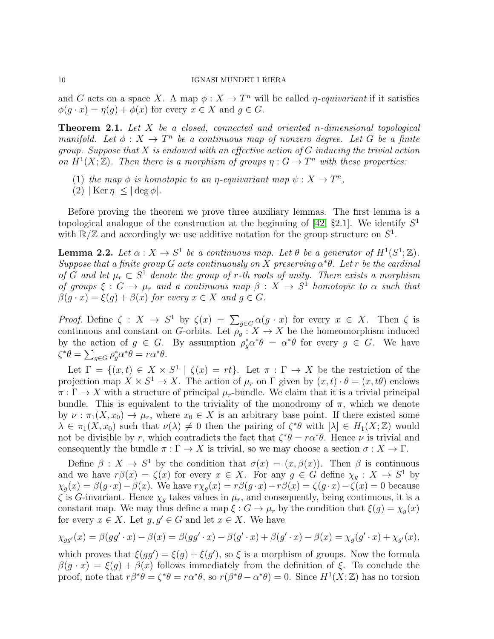and G acts on a space X. A map  $\phi: X \to T^n$  will be called  $\eta$ -equivariant if it satisfies  $\phi(q \cdot x) = \eta(q) + \phi(x)$  for every  $x \in X$  and  $q \in G$ .

<span id="page-9-0"></span>Theorem 2.1. Let X be a closed, connected and oriented n-dimensional topological manifold. Let  $\phi: X \to T^n$  be a continuous map of nonzero degree. Let G be a finite group. Suppose that  $X$  is endowed with an effective action of  $G$  inducing the trivial action on  $H^1(X;\mathbb{Z})$ . Then there is a morphism of groups  $\eta: G \to T^n$  with these properties:

- (1) the map  $\phi$  is homotopic to an *η*-equivariant map  $\psi : X \to T^n$ ,
- (2)  $|\text{Ker }\eta| \leq |\text{deg }\phi|.$

Before proving the theorem we prove three auxiliary lemmas. The first lemma is a topological analogue of the construction at the beginning of  $[42, §2.1]$ . We identify  $S<sup>1</sup>$ with  $\mathbb{R}/\mathbb{Z}$  and accordingly we use additive notation for the group structure on  $S^1$ .

<span id="page-9-1"></span>**Lemma 2.2.** Let  $\alpha: X \to S^1$  be a continuous map. Let  $\theta$  be a generator of  $H^1(S^1; \mathbb{Z})$ . Suppose that a finite group G acts continuously on X preserving  $\alpha^*\theta$ . Let r be the cardinal of G and let  $\mu_r \subset S^1$  denote the group of r-th roots of unity. There exists a morphism of groups  $\xi: G \to \mu_r$  and a continuous map  $\beta: X \to S^1$  homotopic to  $\alpha$  such that  $\beta(q \cdot x) = \xi(q) + \beta(x)$  for every  $x \in X$  and  $q \in G$ .

*Proof.* Define  $\zeta : X \to S^1$  by  $\zeta(x) = \sum_{g \in G} \alpha(g \cdot x)$  for every  $x \in X$ . Then  $\zeta$  is continuous and constant on G-orbits. Let  $\rho_g: X \to X$  be the homeomorphism induced by the action of  $g \in G$ . By assumption  $\rho_g^* \alpha^* \theta = \alpha^* \theta$  for every  $g \in G$ . We have  $\zeta^*\theta = \sum_{g \in G} \rho_g^* \alpha^* \theta = r \alpha^* \theta.$ 

Let  $\Gamma = \{(x, t) \in X \times S^1 \mid \zeta(x) = rt\}$ . Let  $\pi : \Gamma \to X$  be the restriction of the projection map  $X \times S^1 \to X$ . The action of  $\mu_r$  on  $\Gamma$  given by  $(x, t) \cdot \theta = (x, t\theta)$  endows  $\pi : \Gamma \to X$  with a structure of principal  $\mu_r$ -bundle. We claim that it is a trivial principal bundle. This is equivalent to the triviality of the monodromy of  $\pi$ , which we denote by  $\nu : \pi_1(X, x_0) \to \mu_r$ , where  $x_0 \in X$  is an arbitrary base point. If there existed some  $\lambda \in \pi_1(X, x_0)$  such that  $\nu(\lambda) \neq 0$  then the pairing of  $\zeta^* \theta$  with  $[\lambda] \in H_1(X; \mathbb{Z})$  would not be divisible by r, which contradicts the fact that  $\zeta^*\theta = r\alpha^*\theta$ . Hence  $\nu$  is trivial and consequently the bundle  $\pi : \Gamma \to X$  is trivial, so we may choose a section  $\sigma : X \to \Gamma$ .

Define  $\beta: X \to S^1$  by the condition that  $\sigma(x) = (x, \beta(x))$ . Then  $\beta$  is continuous and we have  $r\beta(x) = \zeta(x)$  for every  $x \in X$ . For any  $g \in G$  define  $\chi_g: X \to S^1$  by  $\chi_g(x) = \beta(g \cdot x) - \beta(x)$ . We have  $r \chi_g(x) = r \beta(g \cdot x) - r \beta(x) = \zeta(g \cdot x) - \zeta(x) = 0$  because  $\zeta$  is G-invariant. Hence  $\chi_g$  takes values in  $\mu_r$ , and consequently, being continuous, it is a constant map. We may thus define a map  $\xi: G \to \mu_r$  by the condition that  $\xi(g) = \chi_q(x)$ for every  $x \in X$ . Let  $g, g' \in G$  and let  $x \in X$ . We have

$$
\chi_{gg'}(x) = \beta(gg' \cdot x) - \beta(x) = \beta(gg' \cdot x) - \beta(g' \cdot x) + \beta(g' \cdot x) - \beta(x) = \chi_g(g' \cdot x) + \chi_{g'}(x),
$$

which proves that  $\xi(gg') = \xi(g) + \xi(g')$ , so  $\xi$  is a morphism of groups. Now the formula  $\beta(q \cdot x) = \xi(q) + \beta(x)$  follows immediately from the definition of ξ. To conclude the proof, note that  $r\beta^*\theta = \zeta^*\theta = r\alpha^*\theta$ , so  $r(\beta^*\theta - \alpha^*\theta) = 0$ . Since  $H^1(X;\mathbb{Z})$  has no torsion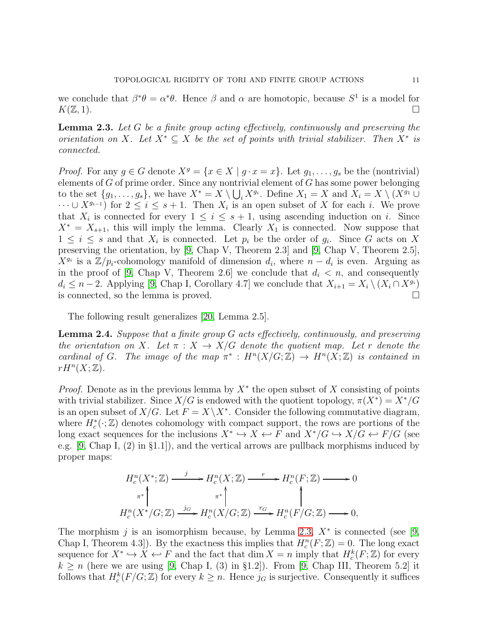we conclude that  $\beta^* \theta = \alpha^* \theta$ . Hence  $\beta$  and  $\alpha$  are homotopic, because  $S^1$  is a model for  $K(\mathbb{Z},1).$ 

<span id="page-10-0"></span>Lemma 2.3. Let G be a finite group acting effectively, continuously and preserving the orientation on X. Let  $X^* \subseteq X$  be the set of points with trivial stabilizer. Then  $X^*$  is connected.

*Proof.* For any  $g \in G$  denote  $X^g = \{x \in X \mid g \cdot x = x\}$ . Let  $g_1, \ldots, g_s$  be the (nontrivial) elements of  $G$  of prime order. Since any nontrivial element of  $G$  has some power belonging to the set  $\{g_1, \ldots, g_s\}$ , we have  $X^* = X \setminus \bigcup_i X^{g_i}$ . Define  $X_1 = X$  and  $X_i = X \setminus (X^{g_1} \cup$  $\dots \cup X^{g_{i-1}}$  for  $2 \leq i \leq s+1$ . Then  $X_i$  is an open subset of X for each i. We prove that  $X_i$  is connected for every  $1 \leq i \leq s+1$ , using ascending induction on i. Since  $X^* = X_{s+1}$ , this will imply the lemma. Clearly  $X_1$  is connected. Now suppose that  $1 \leq i \leq s$  and that  $X_i$  is connected. Let  $p_i$  be the order of  $g_i$ . Since G acts on X preserving the orientation, by [\[9,](#page-37-8) Chap V, Theorem 2.3] and [\[9,](#page-37-8) Chap V, Theorem 2.5],  $X^{g_i}$  is a  $\mathbb{Z}/p_i$ -cohomology manifold of dimension  $d_i$ , where  $n-d_i$  is even. Arguing as in the proof of [\[9,](#page-37-8) Chap V, Theorem 2.6] we conclude that  $d_i < n$ , and consequently  $d_i \leq n-2$ . Applying [\[9,](#page-37-8) Chap I, Corollary 4.7] we conclude that  $X_{i+1} = X_i \setminus (X_i \cap X^{g_i})$ is connected, so the lemma is proved.

The following result generalizes [\[20,](#page-38-16) Lemma 2.5].

<span id="page-10-1"></span>Lemma 2.4. Suppose that a finite group G acts effectively, continuously, and preserving the orientation on X. Let  $\pi : X \to X/G$  denote the quotient map. Let r denote the cardinal of G. The image of the map  $\pi^*: H^n(X/G; \mathbb{Z}) \to H^n(X; \mathbb{Z})$  is contained in  $rH^{n}(X;\mathbb{Z}).$ 

*Proof.* Denote as in the previous lemma by  $X^*$  the open subset of X consisting of points with trivial stabilizer. Since  $X/G$  is endowed with the quotient topology,  $\pi(X^*) = X^*/G$ is an open subset of  $X/G$ . Let  $F = X \ X^*$ . Consider the following commutative diagram, where  $H_c^*(\cdot;\mathbb{Z})$  denotes cohomology with compact support, the rows are portions of the long exact sequences for the inclusions  $X^* \hookrightarrow X \leftrightarrow F$  and  $X^*/G \hookrightarrow X/G \leftrightarrow F/G$  (see e.g. [\[9,](#page-37-8) Chap I, (2) in §1.1]), and the vertical arrows are pullback morphisms induced by proper maps:

$$
H_c^n(X^*; \mathbb{Z}) \xrightarrow{j} H_c^n(X; \mathbb{Z}) \xrightarrow{r} H_c^n(F; \mathbb{Z}) \longrightarrow 0
$$
  

$$
\pi^* \downarrow \qquad \pi^* \downarrow \qquad \pi^* \downarrow \qquad \qquad \uparrow
$$
  

$$
H_c^n(X^*/G; \mathbb{Z}) \xrightarrow{j_G} H_c^n(X/G; \mathbb{Z}) \xrightarrow{r_G} H_c^n(F/G; \mathbb{Z}) \longrightarrow 0,
$$

The morphism j is an isomorphism because, by Lemma [2.3,](#page-10-0)  $X^*$  is connected (see [\[9,](#page-37-8) Chap I, Theorem 4.3]). By the exactness this implies that  $H_c^n(F; \mathbb{Z}) = 0$ . The long exact sequence for  $X^* \hookrightarrow X \hookleftarrow F$  and the fact that  $\dim X = n$  imply that  $H_c^k(F; \mathbb{Z})$  for every  $k \geq n$  (here we are using [\[9,](#page-37-8) Chap I, (3) in §1.2]). From [9, Chap III, Theorem 5.2] it follows that  $H_c^k(F/G; \mathbb{Z})$  for every  $k \geq n$ . Hence  $j_G$  is surjective. Consequently it suffices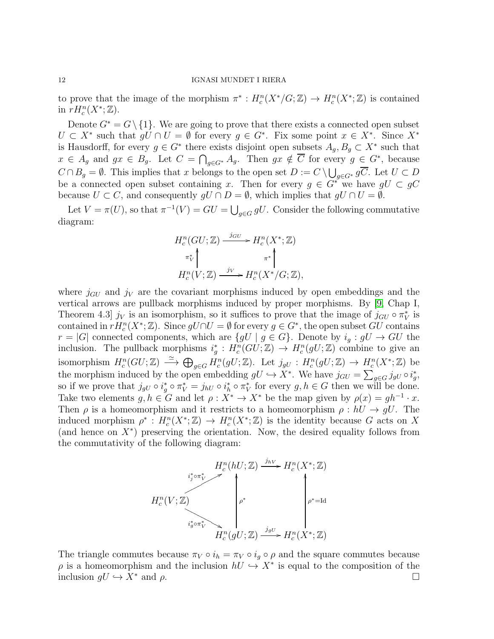to prove that the image of the morphism  $\pi^*: H_c^n(X^*/G;\mathbb{Z}) \to H_c^n(X^*;\mathbb{Z})$  is contained in  $rH_c^n(X^*; \mathbb{Z}).$ 

Denote  $G^* = G \setminus \{1\}$ . We are going to prove that there exists a connected open subset  $U \subset X^*$  such that  $gU \cap U = \emptyset$  for every  $g \in G^*$ . Fix some point  $x \in X^*$ . Since  $X^*$ is Hausdorff, for every  $g \in G^*$  there exists disjoint open subsets  $A_g, B_g \subset X^*$  such that  $x \in A_g$  and  $gx \in B_g$ . Let  $C = \bigcap_{g \in G^*} A_g$ . Then  $gx \notin \overline{C}$  for every  $g \in G^*$ , because  $C \cap B_g = \emptyset$ . This implies that x belongs to the open set  $D := C \setminus \bigcup_{g \in G^*} g\overline{C}$ . Let  $U \subset D$ be a connected open subset containing x. Then for every  $g \in G^*$  we have  $gU \subset gC$ because  $U \subset C$ , and consequently  $gU \cap D = \emptyset$ , which implies that  $gU \cap U = \emptyset$ .

Let  $V = \pi(U)$ , so that  $\pi^{-1}(V) = GU = \bigcup_{g \in G} gU$ . Consider the following commutative diagram:

$$
H_c^n(GU; \mathbb{Z}) \xrightarrow{j_{GU}} H_c^n(X^*; \mathbb{Z})
$$
  
\n
$$
\pi_V^* \downarrow \pi^* \downarrow \pi^* \downarrow
$$
  
\n
$$
H_c^n(V; \mathbb{Z}) \xrightarrow{j_V} H_c^n(X^*/G; \mathbb{Z}),
$$

where  $j_{GU}$  and  $j_V$  are the covariant morphisms induced by open embeddings and the vertical arrows are pullback morphisms induced by proper morphisms. By [\[9,](#page-37-8) Chap I, Theorem 4.3  $j_V$  is an isomorphism, so it suffices to prove that the image of  $j_{GU} \circ \pi_V^*$  is contained in  $rH_c^n(X^*; \mathbb{Z})$ . Since  $gU \cap U = \emptyset$  for every  $g \in G^*$ , the open subset  $GU$  contains  $r = |G|$  connected components, which are  $\{gU \mid g \in G\}$ . Denote by  $i_g : gU \to GU$  the inclusion. The pullback morphisms  $i_g^*: H_c^n(GU; \mathbb{Z}) \to H_c^n(gU; \mathbb{Z})$  combine to give an isomorphism  $H_c^n(GU; \mathbb{Z}) \longrightarrow \bigoplus_{g \in G} H_c^n(gU; \mathbb{Z})$ . Let  $j_{gU} : H_c^n(gU; \mathbb{Z}) \to H_c^n(X^*; \mathbb{Z})$  be the morphism induced by the open embedding  $gU \hookrightarrow X^*$ . We have  $j_{GU} = \sum_{g \in G} j_{gU} \circ i_g^*$ , so if we prove that  $j_{gU} \circ i_g^* \circ \pi_V^* = j_{hU} \circ i_h^* \circ \pi_V^*$  for every  $g, h \in G$  then we will be done. Take two elements  $g, h \in G$  and let  $\rho : X^* \to X^*$  be the map given by  $\rho(x) = gh^{-1} \cdot x$ . Then  $\rho$  is a homeomorphism and it restricts to a homeomorphism  $\rho : hU \to gU$ . The induced morphism  $\rho^* : H_c^n(X^*; \mathbb{Z}) \to H_c^n(X^*; \mathbb{Z})$  is the identity because G acts on X (and hence on  $X^*$ ) preserving the orientation. Now, the desired equality follows from the commutativity of the following diagram:



The triangle commutes because  $\pi_V \circ i_h = \pi_V \circ i_g \circ \rho$  and the square commutes because  $\rho$  is a homeomorphism and the inclusion  $hU \hookrightarrow X^*$  is equal to the composition of the inclusion  $qU \hookrightarrow X^*$  and  $\rho$ .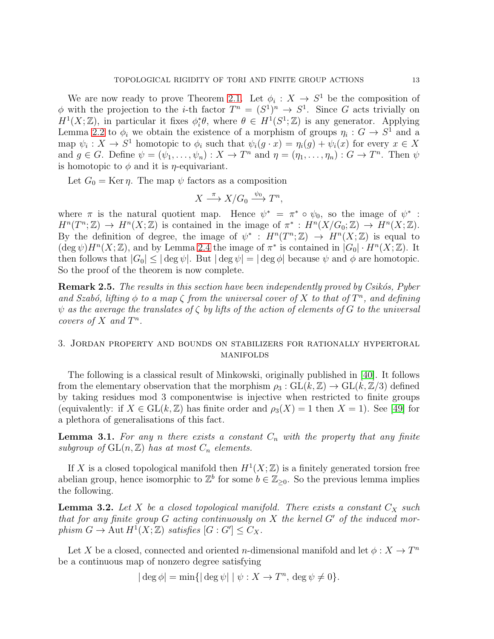We are now ready to prove Theorem [2.1.](#page-9-0) Let  $\phi_i : X \to S^1$  be the composition of  $\phi$  with the projection to the *i*-th factor  $T^n = (S^1)^n \to S^1$ . Since G acts trivially on  $H^1(X;\mathbb{Z})$ , in particular it fixes  $\phi_i^*\theta$ , where  $\theta \in H^1(S^1;\mathbb{Z})$  is any generator. Applying Lemma [2.2](#page-9-1) to  $\phi_i$  we obtain the existence of a morphism of groups  $\eta_i: G \to S^1$  and a map  $\psi_i: X \to S^1$  homotopic to  $\phi_i$  such that  $\psi_i(g \cdot x) = \eta_i(g) + \psi_i(x)$  for every  $x \in X$ and  $g \in G$ . Define  $\psi = (\psi_1, \dots, \psi_n) : X \to T^n$  and  $\eta = (\eta_1, \dots, \eta_n) : G \to T^n$ . Then  $\psi$ is homotopic to  $\phi$  and it is  $\eta$ -equivariant.

Let  $G_0 = \text{Ker } \eta$ . The map  $\psi$  factors as a composition

$$
X \xrightarrow{\pi} X/G_0 \xrightarrow{\psi_0} T^n,
$$

where  $\pi$  is the natural quotient map. Hence  $\psi^* = \pi^* \circ \psi_0$ , so the image of  $\psi^*$ :  $H^n(T^n;\mathbb{Z}) \to H^n(X;\mathbb{Z})$  is contained in the image of  $\pi^*: H^n(X/G_0;\mathbb{Z}) \to H^n(X;\mathbb{Z})$ . By the definition of degree, the image of  $\psi^*$ :  $H^n(T^n;\mathbb{Z}) \to H^n(X;\mathbb{Z})$  is equal to  $(\deg \psi)H^n(X;\mathbb{Z})$ , and by Lemma [2.4](#page-10-1) the image of  $\pi^*$  is contained in  $|G_0| \cdot H^n(X;\mathbb{Z})$ . It then follows that  $|G_0| \leq |\deg \psi|$ . But  $|\deg \psi| = |\deg \phi|$  because  $\psi$  and  $\phi$  are homotopic. So the proof of the theorem is now complete.

**Remark 2.5.** The results in this section have been independently proved by Csikós, Pyber and Szabó, lifting  $\phi$  to a map  $\zeta$  from the universal cover of X to that of  $T^n$ , and defining  $\psi$  as the average the translates of  $\zeta$  by lifts of the action of elements of G to the universal covers of  $X$  and  $T^n$ .

# <span id="page-12-0"></span>3. Jordan property and bounds on stabilizers for rationally hypertoral **MANIFOLDS**

The following is a classical result of Minkowski, originally published in [\[40\]](#page-38-17). It follows from the elementary observation that the morphism  $\rho_3 : GL(k, \mathbb{Z}) \to GL(k, \mathbb{Z}/3)$  defined by taking residues mod 3 componentwise is injective when restricted to finite groups (equivalently: if  $X \in GL(k, \mathbb{Z})$  has finite order and  $\rho_3(X) = 1$  then  $X = 1$ ). See [\[49\]](#page-39-8) for a plethora of generalisations of this fact.

<span id="page-12-2"></span>**Lemma 3.1.** For any n there exists a constant  $C_n$  with the property that any finite subgroup of  $GL(n, \mathbb{Z})$  has at most  $C_n$  elements.

If X is a closed topological manifold then  $H^1(X;\mathbb{Z})$  is a finitely generated torsion free abelian group, hence isomorphic to  $\mathbb{Z}^b$  for some  $b \in \mathbb{Z}_{\geq 0}$ . So the previous lemma implies the following.

<span id="page-12-1"></span>**Lemma 3.2.** Let X be a closed topological manifold. There exists a constant  $C_X$  such that for any finite group  $G$  acting continuously on  $X$  the kernel  $G'$  of the induced morphism  $G \to \text{Aut } H^1(X;\mathbb{Z})$  satisfies  $[G:G'] \leq C_X$ .

Let X be a closed, connected and oriented n-dimensional manifold and let  $\phi: X \to T^n$ be a continuous map of nonzero degree satisfying

 $|\deg \phi| = \min\{|\deg \psi| \mid \psi : X \to T^n, \deg \psi \neq 0\}.$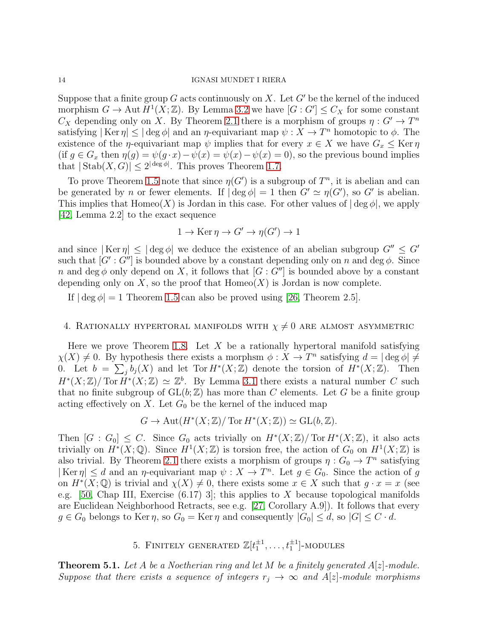Suppose that a finite group G acts continuously on X. Let  $G'$  be the kernel of the induced morphism  $G \to \text{Aut } H^1(X;\mathbb{Z})$ . By Lemma [3.2](#page-12-1) we have  $[G:G'] \leq C_X$  for some constant  $C_X$  depending only on X. By Theorem [2.1](#page-9-0) there is a morphism of groups  $\eta: G' \to T^n$ satisfying  $|\text{Ker }\eta| \leq |\text{deg }\phi|$  and an  $\eta$ -equivariant map  $\psi: X \to T^n$  homotopic to  $\phi$ . The existence of the *η*-equivariant map  $\psi$  implies that for every  $x \in X$  we have  $G_x \leq \text{Ker } \eta$ (if  $g \in G_x$  then  $\eta(g) = \psi(g \cdot x) - \psi(x) = \psi(x) - \psi(x) = 0$ ), so the previous bound implies that  $|\text{Stab}(X, G)| \leq 2^{|\deg \phi|}$ . This proves Theorem [1.7.](#page-3-0)

To prove Theorem [1.5](#page-2-1) note that since  $\eta(G')$  is a subgroup of  $T^n$ , it is abelian and can be generated by *n* or fewer elements. If  $|\deg \phi| = 1$  then  $G' \simeq \eta(G')$ , so G' is abelian. This implies that  $\text{Homeo}(X)$  is Jordan in this case. For other values of  $|\deg \phi|$ , we apply [\[42,](#page-38-8) Lemma 2.2] to the exact sequence

$$
1 \to \text{Ker } \eta \to G' \to \eta(G') \to 1
$$

and since  $| \text{Ker } \eta | \leq | \text{deg } \phi |$  we deduce the existence of an abelian subgroup  $G'' \leq G'$ such that  $[G': G'']$  is bounded above by a constant depending only on n and deg  $\phi$ . Since n and deg  $\phi$  only depend on X, it follows that  $[G: G'']$  is bounded above by a constant depending only on X, so the proof that  $Homeo(X)$  is Jordan is now complete.

If  $\deg \phi = 1$  Theorem [1.5](#page-2-1) can also be proved using [\[26,](#page-38-18) Theorem 2.5].

# <span id="page-13-0"></span>4. RATIONALLY HYPERTORAL MANIFOLDS WITH  $\chi \neq 0$  are almost asymmetric

Here we prove Theorem [1.8.](#page-3-1) Let X be a rationally hypertoral manifold satisfying  $\chi(X) \neq 0$ . By hypothesis there exists a morphsm  $\phi: X \to T^n$  satisfying  $d = |\deg \phi| \neq$ 0. Let  $b = \sum_{j} b_j(X)$  and let Tor  $H^*(X;\mathbb{Z})$  denote the torsion of  $H^*(X;\mathbb{Z})$ . Then  $H^*(X;\mathbb{Z})/\text{Tor } H^*(X;\mathbb{Z}) \simeq \mathbb{Z}^b$ . By Lemma [3.1](#page-12-2) there exists a natural number C such that no finite subgroup of  $GL(b, \mathbb{Z})$  has more than C elements. Let G be a finite group acting effectively on  $X$ . Let  $G_0$  be the kernel of the induced map

$$
G \to \text{Aut}(H^*(X;\mathbb{Z})/\text{Tor } H^*(X;\mathbb{Z})) \simeq \text{GL}(b,\mathbb{Z}).
$$

Then  $[G: G_0] \leq C$ . Since  $G_0$  acts trivially on  $H^*(X; \mathbb{Z})/$  Tor  $H^*(X; \mathbb{Z})$ , it also acts trivially on  $H^*(X; \mathbb{Q})$ . Since  $H^1(X; \mathbb{Z})$  is torsion free, the action of  $G_0$  on  $H^1(X; \mathbb{Z})$  is also trivial. By Theorem [2.1](#page-9-0) there exists a morphism of groups  $\eta: G_0 \to T^n$  satisfying  $|\text{Ker }\eta| \le d$  and an  $\eta$ -equivariant map  $\psi: X \to T^n$ . Let  $g \in G_0$ . Since the action of g on  $H^*(X; \mathbb{Q})$  is trivial and  $\chi(X) \neq 0$ , there exists some  $x \in X$  such that  $g \cdot x = x$  (see e.g. [\[50,](#page-39-9) Chap III, Exercise  $(6.17)$  3]; this applies to X because topological manifolds are Euclidean Neighborhood Retracts, see e.g. [\[27,](#page-38-19) Corollary A.9]). It follows that every  $g \in G_0$  belongs to Ker  $\eta$ , so  $G_0 = \text{Ker } \eta$  and consequently  $|G_0| \leq d$ , so  $|G| \leq C \cdot d$ .

# 5. FINITELY GENERATED  $\mathbb{Z}[t_1^{\pm 1}, \ldots, t_1^{\pm 1}]$ -MODULES

<span id="page-13-2"></span><span id="page-13-1"></span>**Theorem 5.1.** Let A be a Noetherian ring and let M be a finitely generated  $A[z]$ -module. Suppose that there exists a sequence of integers  $r_j \rightarrow \infty$  and A[z]-module morphisms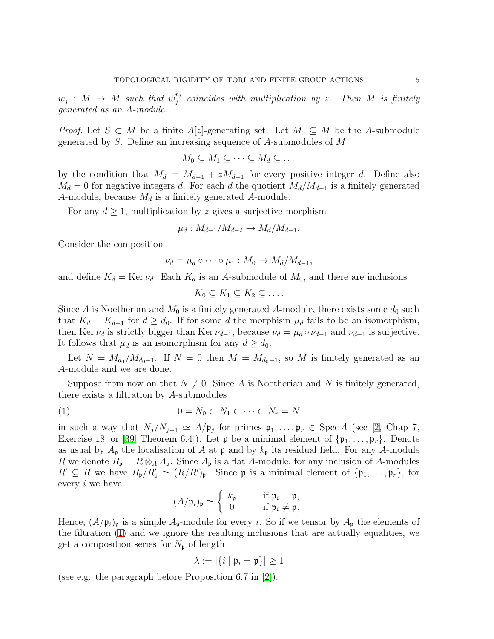$w_j$  :  $M \rightarrow M$  such that  $w_j^{r_j}$  $j_j^{r_j}$  coincides with multiplication by z. Then M is finitely generated as an A-module.

*Proof.* Let  $S \subset M$  be a finite A[z]-generating set. Let  $M_0 \subseteq M$  be the A-submodule generated by S. Define an increasing sequence of A-submodules of M

$$
M_0 \subseteq M_1 \subseteq \cdots \subseteq M_d \subseteq \ldots
$$

by the condition that  $M_d = M_{d-1} + zM_{d-1}$  for every positive integer d. Define also  $M_d = 0$  for negative integers d. For each d the quotient  $M_d/M_{d-1}$  is a finitely generated A-module, because  $M_d$  is a finitely generated A-module.

For any  $d \geq 1$ , multiplication by z gives a surjective morphism

$$
\mu_d: M_{d-1}/M_{d-2} \to M_d/M_{d-1}.
$$

Consider the composition

$$
\nu_d = \mu_d \circ \cdots \circ \mu_1 : M_0 \to M_d/M_{d-1},
$$

and define  $K_d = \text{Ker } \nu_d$ . Each  $K_d$  is an A-submodule of  $M_0$ , and there are inclusions

$$
K_0 \subseteq K_1 \subseteq K_2 \subseteq \ldots
$$

Since A is Noetherian and  $M_0$  is a finitely generated A-module, there exists some  $d_0$  such that  $K_d = K_{d-1}$  for  $d \geq d_0$ . If for some d the morphism  $\mu_d$  fails to be an isomorphism, then Ker  $\nu_d$  is strictly bigger than Ker  $\nu_{d-1}$ , because  $\nu_d = \mu_d \circ \nu_{d-1}$  and  $\nu_{d-1}$  is surjective. It follows that  $\mu_d$  is an isomorphism for any  $d \geq d_0$ .

Let  $N = M_{d_0} / M_{d_0-1}$ . If  $N = 0$  then  $M = M_{d_0-1}$ , so M is finitely generated as an A-module and we are done.

Suppose from now on that  $N \neq 0$ . Since A is Noetherian and N is finitely generated, there exists a filtration by A-submodules

$$
(1) \qquad \qquad 0 = N_0 \subset N_1 \subset \cdots \subset N_r = N
$$

in such a way that  $N_j/N_{j-1} \simeq A/\mathfrak{p}_j$  for primes  $\mathfrak{p}_1,\ldots,\mathfrak{p}_r \in \text{Spec } A$  (see [\[2,](#page-37-9) Chap 7, Exercise 18 or [\[39,](#page-38-20) Theorem 6.4]). Let  $\mathfrak p$  be a minimal element of  $\{\mathfrak p_1,\ldots,\mathfrak p_r\}$ . Denote as usual by  $A_{\mathfrak{p}}$  the localisation of A at  $\mathfrak{p}$  and by  $k_{\mathfrak{p}}$  its residual field. For any A-module R we denote  $R_p = R \otimes_A A_p$ . Since  $A_p$  is a flat A-module, for any inclusion of A-modules  $R' \subseteq R$  we have  $R_{\mathfrak{p}}/R'_{\mathfrak{p}} \simeq (R/R')_{\mathfrak{p}}$ . Since  $\mathfrak{p}$  is a minimal element of  $\{\mathfrak{p}_1, \ldots, \mathfrak{p}_r\}$ , for every i we have

<span id="page-14-0"></span>
$$
(A/\mathfrak{p}_i)_{\mathfrak{p}} \simeq \left\{ \begin{array}{ll} k_{\mathfrak{p}} & \text{if } \mathfrak{p}_i = \mathfrak{p}, \\ 0 & \text{if } \mathfrak{p}_i \neq \mathfrak{p}. \end{array} \right.
$$

Hence,  $(A/\mathfrak{p}_i)_{\mathfrak{p}}$  is a simple  $A_{\mathfrak{p}}$ -module for every *i*. So if we tensor by  $A_{\mathfrak{p}}$  the elements of the filtration [\(1\)](#page-14-0) and we ignore the resulting inclusions that are actually equalities, we get a composition series for  $N_{\mathfrak{p}}$  of length

$$
\lambda := |\{i \mid \mathfrak{p}_i = \mathfrak{p}\}| \ge 1
$$

(see e.g. the paragraph before Proposition 6.7 in [\[2\]](#page-37-9)).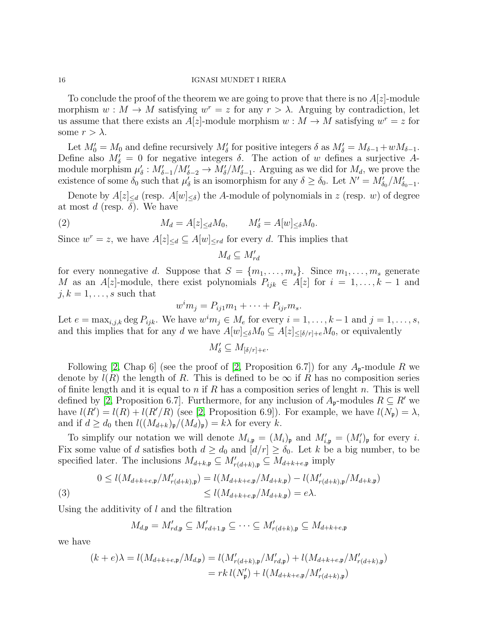To conclude the proof of the theorem we are going to prove that there is no  $A[z]$ -module morphism  $w : M \to M$  satisfying  $w^r = z$  for any  $r > \lambda$ . Arguing by contradiction, let us assume that there exists an  $A[z]$ -module morphism  $w : M \to M$  satisfying  $w^r = z$  for some  $r > \lambda$ .

Let  $M'_0 = M_0$  and define recursively  $M'_\delta$  for positive integers  $\delta$  as  $M'_\delta = M_{\delta-1} + wM_{\delta-1}$ . Define also  $M'_\delta = 0$  for negative integers  $\delta$ . The action of w defines a surjective Amodule morphism  $\mu'_\delta: M'_{\delta-1}/M'_{\delta-2} \to M'_\delta/M'_{\delta-1}$ . Arguing as we did for  $M_d$ , we prove the existence of some  $\delta_0$  such that  $\mu'_\delta$  is an isomorphism for any  $\delta \geq \delta_0$ . Let  $N' = M'_{\delta_0}/M'_{\delta_0-1}$ .

Denote by  $A[z]_{\le d}$  (resp.  $A[w]_{\le \delta}$ ) the A-module of polynomials in z (resp. w) of degree at most d (resp.  $\delta$ ). We have

(2) 
$$
M_d = A[z]_{\le d} M_0, \qquad M'_\delta = A[w]_{\le \delta} M_0.
$$

Since  $w^r = z$ , we have  $A[z]_{\leq d} \subseteq A[w]_{\leq rd}$  for every d. This implies that

$$
M_d \subseteq M_{rd}'
$$

for every nonnegative d. Suppose that  $S = \{m_1, \ldots, m_s\}$ . Since  $m_1, \ldots, m_s$  generate M as an A[z]-module, there exist polynomials  $P_{ijk} \in A[z]$  for  $i = 1, ..., k - 1$  and  $j, k = 1, \ldots, s$  such that

$$
w^i m_j = P_{ij1} m_1 + \cdots + P_{ijr} m_s.
$$

Let  $e = \max_{i,j,k} \deg P_{ijk}$ . We have  $w^i m_j \in M_e$  for every  $i = 1, \ldots, k-1$  and  $j = 1, \ldots, s$ , and this implies that for any d we have  $A[w]_{\leq \delta}M_0 \subseteq A[z]_{\leq [\delta/r]+e}M_0$ , or equivalently

$$
M'_{\delta} \subseteq M_{[\delta/r]+e}.
$$

Following [\[2,](#page-37-9) Chap 6] (see the proof of [2, Proposition 6.7]) for any  $A_{p}$ -module R we denote by  $l(R)$  the length of R. This is defined to be  $\infty$  if R has no composition series of finite length and it is equal to n if R has a composition series of lenght n. This is well defined by [\[2,](#page-37-9) Proposition 6.7]. Furthermore, for any inclusion of  $A_p$ -modules  $R \subseteq R'$  we have  $l(R') = l(R) + l(R'/R)$  (see [\[2,](#page-37-9) Proposition 6.9]). For example, we have  $l(N_p) = \lambda$ , and if  $d \geq d_0$  then  $l((M_{d+k})_{\mathfrak{p}}/(M_d)_{\mathfrak{p}}) = k\lambda$  for every k.

To simplify our notation we will denote  $M_{i,\mathfrak{p}} = (M_i)_{\mathfrak{p}}$  and  $M'_{i,\mathfrak{p}} = (M'_i)_{\mathfrak{p}}$  for every i. Fix some value of d satisfies both  $d \geq d_0$  and  $[d/r] \geq \delta_0$ . Let k be a big number, to be specified later. The inclusions  $M_{d+k,\mathfrak{p}} \subseteq M'_{r(d+k),\mathfrak{p}} \subseteq M_{d+k+e,\mathfrak{p}}$  imply

<span id="page-15-0"></span>(3) 
$$
0 \le l(M_{d+k+e,\mathfrak{p}}/M'_{r(d+k),\mathfrak{p}}) = l(M_{d+k+e,\mathfrak{p}}/M_{d+k,\mathfrak{p}}) - l(M'_{r(d+k),\mathfrak{p}}/M_{d+k,\mathfrak{p}})
$$
  

$$
\le l(M_{d+k+e,\mathfrak{p}}/M_{d+k,\mathfrak{p}}) = e\lambda.
$$

Using the additivity of l and the filtration

$$
M_{d,\mathfrak{p}} = M'_{rd,\mathfrak{p}} \subseteq M'_{rd+1,\mathfrak{p}} \subseteq \cdots \subseteq M'_{r(d+k),\mathfrak{p}} \subseteq M_{d+k+e,\mathfrak{p}}
$$

we have

$$
(k+e)\lambda = l(M_{d+k+e,\mathfrak{p}}/M_{d,\mathfrak{p}}) = l(M'_{r(d+k),\mathfrak{p}}/M'_{rd,\mathfrak{p}}) + l(M_{d+k+e,\mathfrak{p}}/M'_{r(d+k),\mathfrak{p}})
$$
  
= 
$$
rk l(N'_{\mathfrak{p}}) + l(M_{d+k+e,\mathfrak{p}}/M'_{r(d+k),\mathfrak{p}})
$$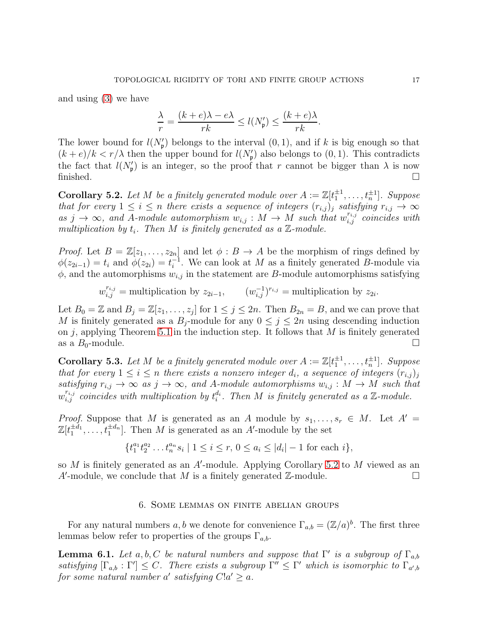and using [\(3\)](#page-15-0) we have

$$
\frac{\lambda}{r} = \frac{(k+e)\lambda - e\lambda}{rk} \le l(N'_\mathfrak{p}) \le \frac{(k+e)\lambda}{rk}.
$$

The lower bound for  $l(N'_{p})$  belongs to the interval  $(0, 1)$ , and if k is big enough so that  $(k+e)/k < r/\lambda$  then the upper bound for  $l(N_p')$  also belongs to  $(0, 1)$ . This contradicts the fact that  $l(N'_{p})$  is an integer, so the proof that r cannot be bigger than  $\lambda$  is now finished.  $\Box$ 

<span id="page-16-3"></span>**Corollary 5.2.** Let M be a finitely generated module over  $A := \mathbb{Z}[t_1^{\pm 1}, \ldots, t_n^{\pm 1}]$ . Suppose that for every  $1 \leq i \leq n$  there exists a sequence of integers  $(r_{i,j})_j$  satisfying  $r_{i,j} \to \infty$ as  $j \to \infty$ , and A-module automorphism  $w_{i,j}: M \to M$  such that  $w_{i,j}^{r_{i,j}}$  coincides with multiplication by  $t_i$ . Then M is finitely generated as a  $\mathbb{Z}$ -module.

*Proof.* Let  $B = \mathbb{Z}[z_1,\ldots,z_{2n}]$  and let  $\phi : B \to A$  be the morphism of rings defined by  $\phi(z_{2i-1}) = t_i$  and  $\phi(z_{2i}) = t_i^{-1}$  $i$ <sup>-1</sup>. We can look at M as a finitely generated B-module via  $\phi$ , and the automorphisms  $w_{i,j}$  in the statement are B-module automorphisms satisfying

$$
w_{i,j}^{r_{i,j}} =
$$
 multiplication by  $z_{2i-1}$ ,  $(w_{i,j}^{-1})^{r_{i,j}} =$  multiplication by  $z_{2i}$ .

Let  $B_0 = \mathbb{Z}$  and  $B_j = \mathbb{Z}[z_1, \ldots, z_j]$  for  $1 \le j \le 2n$ . Then  $B_{2n} = B$ , and we can prove that M is finitely generated as a  $B_j$ -module for any  $0 \le j \le 2n$  using descending induction on  $j$ , applying Theorem [5.1](#page-13-2) in the induction step. It follows that  $M$  is finitely generated as a  $B_0$ -module.

<span id="page-16-1"></span>**Corollary 5.3.** Let M be a finitely generated module over  $A := \mathbb{Z}[t_1^{\pm 1}, \ldots, t_n^{\pm 1}]$ . Suppose that for every  $1 \leq i \leq n$  there exists a nonzero integer  $d_i$ , a sequence of integers  $(r_{i,j})_j$ satisfying  $r_{i,j} \to \infty$  as  $j \to \infty$ , and A-module automorphisms  $w_{i,j} : M \to M$  such that  $w_{i,j}^{r_{i,j}}$  coincides with multiplication by  $t_i^{d_i}$ . Then M is finitely generated as a Z-module.

*Proof.* Suppose that M is generated as an A module by  $s_1, \ldots, s_r \in M$ . Let  $A' =$  $\mathbb{Z}[t_1^{\pm d_1}$  $\pm d_1, \ldots, t_1^{\pm d_n}$ . Then M is generated as an A'-module by the set

$$
\{t_1^{a_1}t_2^{a_2}\dots t_n^{a_n}s_i \mid 1 \le i \le r, \ 0 \le a_i \le |d_i|-1 \text{ for each } i\},\
$$

<span id="page-16-2"></span>so  $M$  is finitely generated as an  $A'$ -module. Applying Corollary [5.2](#page-16-3) to  $M$  viewed as an A'-module, we conclude that M is a finitely generated  $\mathbb{Z}$ -module.

### 6. Some lemmas on finite abelian groups

For any natural numbers a, b we denote for convenience  $\Gamma_{a,b} = (\mathbb{Z}/a)^b$ . The first three lemmas below refer to properties of the groups  $\Gamma_{a,b}$ .

<span id="page-16-0"></span>**Lemma 6.1.** Let a, b, C be natural numbers and suppose that  $\Gamma'$  is a subgroup of  $\Gamma_{a,b}$ satisfying  $[\Gamma_{a,b} : \Gamma'] \leq C$ . There exists a subgroup  $\Gamma'' \leq \Gamma'$  which is isomorphic to  $\Gamma_{a',b}$ for some natural number a' satisfying  $C!a' \geq a$ .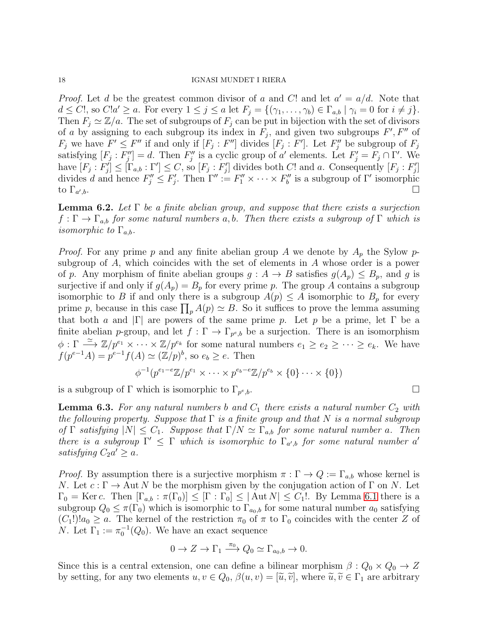*Proof.* Let d be the greatest common divisor of a and C! and let  $a' = a/d$ . Note that  $d \leq C!$ , so  $C!a' \geq a$ . For every  $1 \leq j \leq a$  let  $F_j = \{(\gamma_1, \ldots, \gamma_b) \in \Gamma_{a,b} \mid \gamma_i = 0 \text{ for } i \neq j\}.$ Then  $F_j \simeq \mathbb{Z}/a$ . The set of subgroups of  $F_j$  can be put in bijection with the set of divisors of a by assigning to each subgroup its index in  $F_j$ , and given two subgroups  $F', F''$  of  $F_j$  we have  $F' \leq F''$  if and only if  $[F_j : F'']$  divides  $[F_j : F']$ . Let  $F''_j$  be subgroup of  $F_j$ satisfying  $[F_j : F_j''] = d$ . Then  $F_j''$  is a cyclic group of a' elements. Let  $F_j' = F_j \cap \Gamma'$ . We have  $[F_j : F'_j] \leq [\Gamma_{a,b} : \Gamma'] \leq C$ , so  $[F_j : F'_j]$  divides both C! and a. Consequently  $[F_j : F'_j]$ divides d and hence  $F''_j \leq F'_j$ . Then  $\Gamma'' := F''_1 \times \cdots \times F''_b$  is a subgroup of  $\Gamma'$  isomorphic to  $\Gamma_{a'}$ ,*b*. □

<span id="page-17-0"></span>**Lemma 6.2.** Let  $\Gamma$  be a finite abelian group, and suppose that there exists a surjection  $f : \Gamma \to \Gamma_{a,b}$  for some natural numbers a, b. Then there exists a subgroup of  $\Gamma$  which is *isomorphic to*  $\Gamma_{a,b}$ .

*Proof.* For any prime p and any finite abelian group A we denote by  $A_p$  the Sylow psubgroup of A, which coincides with the set of elements in A whose order is a power of p. Any morphism of finite abelian groups  $g : A \to B$  satisfies  $g(A_p) \leq B_p$ , and g is surjective if and only if  $g(A_p) = B_p$  for every prime p. The group A contains a subgroup isomorphic to B if and only there is a subgroup  $A(p) \leq A$  isomorphic to  $B_p$  for every prime p, because in this case  $\prod_p A(p) \simeq B$ . So it suffices to prove the lemma assuming that both a and  $|\Gamma|$  are powers of the same prime p. Let p be a prime, let  $\Gamma$  be a finite abelian *p*-group, and let  $f : \Gamma \to \Gamma_{p^e,b}$  be a surjection. There is an isomorphism  $\phi: \Gamma \stackrel{\simeq}{\longrightarrow} \mathbb{Z}/p^{e_1} \times \cdots \times \mathbb{Z}/p^{e_k}$  for some natural numbers  $e_1 \geq e_2 \geq \cdots \geq e_k$ . We have  $f(p^{e-1}A) = p^{e-1}f(A) \simeq (\mathbb{Z}/p)^b$ , so  $e_b \ge e$ . Then

$$
\phi^{-1}(p^{e_1-e}\mathbb{Z}/p^{e_1}\times\cdots\times p^{e_b-e}\mathbb{Z}/p^{e_b}\times\{0\}\cdots\times\{0\})
$$

is a subgroup of  $\Gamma$  which is isomorphic to  $\Gamma_{p^e,b}$ .  $e, b$ .

<span id="page-17-1"></span>**Lemma 6.3.** For any natural numbers b and  $C_1$  there exists a natural number  $C_2$  with the following property. Suppose that  $\Gamma$  is a finite group and that N is a normal subgroup of  $\Gamma$  satisfying  $|N| \leq C_1$ . Suppose that  $\Gamma/N \simeq \Gamma_{a,b}$  for some natural number a. Then there is a subgroup  $\Gamma' \leq \Gamma$  which is isomorphic to  $\Gamma_{a',b}$  for some natural number a' satisfying  $C_2 a' \geq a$ .

*Proof.* By assumption there is a surjective morphism  $\pi : \Gamma \to Q := \Gamma_{a,b}$  whose kernel is N. Let  $c : \Gamma \to \text{Aut } N$  be the morphism given by the conjugation action of  $\Gamma$  on N. Let  $\Gamma_0 = \text{Ker } c$ . Then  $[\Gamma_{a,b} : \pi(\Gamma_0)] \leq [\Gamma : \Gamma_0] \leq |\text{Aut } N| \leq C_1!$ . By Lemma [6.1](#page-16-0) there is a subgroup  $Q_0 \leq \pi(\Gamma_0)$  which is isomorphic to  $\Gamma_{a_0,b}$  for some natural number  $a_0$  satisfying  $(C_1!)!a_0 \geq a$ . The kernel of the restriction  $\pi_0$  of  $\pi$  to  $\Gamma_0$  coincides with the center Z of *N*. Let  $\Gamma_1 := \pi_0^{-1}(Q_0)$ . We have an exact sequence

$$
0 \to Z \to \Gamma_1 \xrightarrow{\pi_0} Q_0 \simeq \Gamma_{a_0, b} \to 0.
$$

Since this is a central extension, one can define a bilinear morphism  $\beta: Q_0 \times Q_0 \to Z$ by setting, for any two elements  $u, v \in Q_0$ ,  $\beta(u, v) = [\tilde{u}, \tilde{v}]$ , where  $\tilde{u}, \tilde{v} \in \Gamma_1$  are arbitrary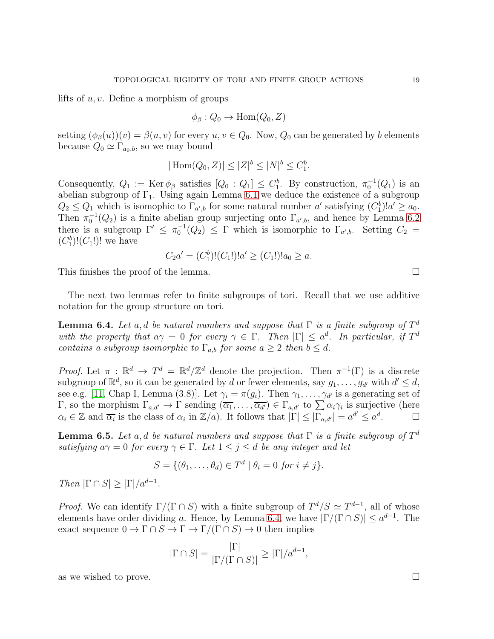lifts of  $u, v$ . Define a morphism of groups

$$
\phi_{\beta}: Q_0 \to \text{Hom}(Q_0, Z)
$$

setting  $(\phi_{\beta}(u))(v) = \beta(u, v)$  for every  $u, v \in Q_0$ . Now,  $Q_0$  can be generated by b elements because  $Q_0 \simeq \Gamma_{a_0,b}$ , so we may bound

$$
|\operatorname{Hom}(Q_0, Z)| \le |Z|^b \le |N|^b \le C_1^b.
$$

Consequently,  $Q_1 := \text{Ker } \phi_\beta$  satisfies  $[Q_0 : Q_1] \leq C_1^b$ . By construction,  $\pi_0^{-1}(Q_1)$  is an abelian subgroup of  $\Gamma_1$ . Using again Lemma [6.1](#page-16-0) we deduce the existence of a subgroup  $Q_2 \leq Q_1$  which is isomophic to  $\Gamma_{a',b}$  for some natural number a' satisfying  $(C_1^b)!a' \geq a_0$ . Then  $\pi_0^{-1}(Q_2)$  is a finite abelian group surjecting onto  $\Gamma_{a',b}$ , and hence by Lemma [6.2](#page-17-0) there is a subgroup  $\Gamma' \leq \pi_0^{-1}(Q_2) \leq \Gamma$  which is isomorphic to  $\Gamma_{a',b}$ . Setting  $C_2 =$  $(C_1^b)! (C_1!)!$  we have

$$
C_2a' = (C_1^b)!(C_1!)!a' \ge (C_1!)!a_0 \ge a.
$$

This finishes the proof of the lemma.

The next two lemmas refer to finite subgroups of tori. Recall that we use additive notation for the group structure on tori.

<span id="page-18-0"></span>**Lemma 6.4.** Let a, d be natural numbers and suppose that  $\Gamma$  is a finite subgroup of  $T^d$ with the property that  $a\gamma = 0$  for every  $\gamma \in \Gamma$ . Then  $|\Gamma| \leq a^d$ . In particular, if  $T^d$ contains a subgroup isomorphic to  $\Gamma_{a,b}$  for some  $a \geq 2$  then  $b \leq d$ .

*Proof.* Let  $\pi : \mathbb{R}^d \to T^d = \mathbb{R}^d/\mathbb{Z}^d$  denote the projection. Then  $\pi^{-1}(\Gamma)$  is a discrete subgroup of  $\mathbb{R}^d$ , so it can be generated by d or fewer elements, say  $g_1, \ldots, g_{d'}$  with  $d' \leq d$ , see e.g. [\[11,](#page-37-10) Chap I, Lemma (3.8)]. Let  $\gamma_i = \pi(g_i)$ . Then  $\gamma_1, \ldots, \gamma_{d'}$  is a generating set of Γ, so the morphism  $\Gamma_{a,d'}$  → Γ sending  $(\overline{\alpha_1}, \ldots, \overline{\alpha_{d'}})$  ∈  $\Gamma_{a,d'}$  to  $\sum \alpha_i \gamma_i$  is surjective (here  $\alpha_i \in \mathbb{Z}$  and  $\overline{\alpha_i}$  is the class of  $\alpha_i$  in  $\mathbb{Z}/a$ ). It follows that  $|\Gamma| \leq |\Gamma_{a,d'}| = a^{d'} \leq a^d$ . D

<span id="page-18-1"></span>**Lemma 6.5.** Let a, d be natural numbers and suppose that  $\Gamma$  is a finite subgroup of  $T^d$ satisfying  $a\gamma = 0$  for every  $\gamma \in \Gamma$ . Let  $1 \leq j \leq d$  be any integer and let

$$
S = \{(\theta_1, \dots, \theta_d) \in T^d \mid \theta_i = 0 \text{ for } i \neq j\}.
$$

Then  $|\Gamma \cap S| \geq |\Gamma|/a^{d-1}$ .

*Proof.* We can identify  $\Gamma/(\Gamma \cap S)$  with a finite subgroup of  $T^d/S \simeq T^{d-1}$ , all of whose elements have order dividing a. Hence, by Lemma [6.4,](#page-18-0) we have  $|\Gamma/(\Gamma \cap S)| \leq a^{d-1}$ . The exact sequence  $0 \to \Gamma \cap S \to \Gamma \to \Gamma/(\Gamma \cap S) \to 0$  then implies

$$
|\Gamma \cap S| = \frac{|\Gamma|}{|\Gamma/(\Gamma \cap S)|} \ge |\Gamma|/a^{d-1},
$$

as we wished to prove.  $\square$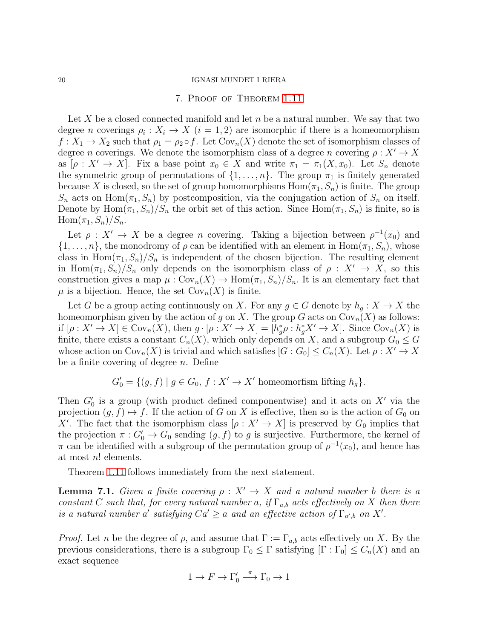### 7. Proof of Theorem [1.11](#page-5-0)

<span id="page-19-0"></span>Let  $X$  be a closed connected manifold and let  $n$  be a natural number. We say that two degree *n* coverings  $\rho_i: X_i \to X$   $(i = 1, 2)$  are isomorphic if there is a homeomorphism  $f: X_1 \to X_2$  such that  $\rho_1 = \rho_2 \circ f$ . Let  $Cov_n(X)$  denote the set of isomorphism classes of degree n coverings. We denote the isomorphism class of a degree n covering  $\rho: X' \to X$ as  $[\rho : X' \to X]$ . Fix a base point  $x_0 \in X$  and write  $\pi_1 = \pi_1(X, x_0)$ . Let  $S_n$  denote the symmetric group of permutations of  $\{1, \ldots, n\}$ . The group  $\pi_1$  is finitely generated because X is closed, so the set of group homomorphisms  $\text{Hom}(\pi_1, S_n)$  is finite. The group  $S_n$  acts on Hom $(\pi_1, S_n)$  by postcomposition, via the conjugation action of  $S_n$  on itself. Denote by  $\text{Hom}(\pi_1, S_n)/S_n$  the orbit set of this action. Since  $\text{Hom}(\pi_1, S_n)$  is finite, so is  $\text{Hom}(\pi_1, S_n)/S_n$ .

Let  $\rho: X' \to X$  be a degree *n* covering. Taking a bijection between  $\rho^{-1}(x_0)$  and  $\{1,\ldots,n\}$ , the monodromy of  $\rho$  can be identified with an element in  $\text{Hom}(\pi_1, S_n)$ , whose class in Hom $(\pi_1, S_n)/S_n$  is independent of the chosen bijection. The resulting element in Hom $(\pi_1, S_n)/S_n$  only depends on the isomorphism class of  $\rho : X' \to X$ , so this construction gives a map  $\mu: \text{Cov}_n(X) \to \text{Hom}(\pi_1, S_n)/S_n$ . It is an elementary fact that  $\mu$  is a bijection. Hence, the set  $\text{Cov}_n(X)$  is finite.

Let G be a group acting continuously on X. For any  $g \in G$  denote by  $h_g: X \to X$  the homeomorphism given by the action of g on X. The group G acts on  $Cov_n(X)$  as follows: if  $[\rho : X' \to X] \in \text{Cov}_n(X)$ , then  $g \cdot [\rho : X' \to X] = [h_g^* \rho : h_g^* X' \to X]$ . Since  $\text{Cov}_n(X)$  is finite, there exists a constant  $C_n(X)$ , which only depends on X, and a subgroup  $G_0 \leq G$ whose action on  $Cov_n(X)$  is trivial and which satisfies  $[G:G_0] \leq C_n(X)$ . Let  $\rho: X' \to X$ be a finite covering of degree  $n$ . Define

$$
G'_{0} = \{(g, f) \mid g \in G_{0}, f : X' \to X' \text{ homeomorfism lifting } h_{g}\}.
$$

Then  $G'_{0}$  is a group (with product defined componentwise) and it acts on  $X'$  via the projection  $(g, f) \mapsto f$ . If the action of G on X is effective, then so is the action of  $G_0$  on X'. The fact that the isomorphism class  $[\rho : X' \to X]$  is preserved by  $G_0$  implies that the projection  $\pi: G_0' \to G_0$  sending  $(g, f)$  to g is surjective. Furthermore, the kernel of  $\pi$  can be identified with a subgroup of the permutation group of  $\rho^{-1}(x_0)$ , and hence has at most n! elements.

Theorem [1.11](#page-5-0) follows immediately from the next statement.

**Lemma 7.1.** Given a finite covering  $\rho: X' \to X$  and a natural number b there is a constant C such that, for every natural number a, if  $\Gamma_{a,b}$  acts effectively on X then there is a natural number a' satisfying  $Ca' \ge a$  and an effective action of  $\Gamma_{a',b}$  on X'.

*Proof.* Let n be the degree of  $\rho$ , and assume that  $\Gamma := \Gamma_{a,b}$  acts effectively on X. By the previous considerations, there is a subgroup  $\Gamma_0 \leq \Gamma$  satisfying  $[\Gamma : \Gamma_0] \leq C_n(X)$  and an exact sequence

$$
1 \to F \to \Gamma_0' \xrightarrow{\pi} \Gamma_0 \to 1
$$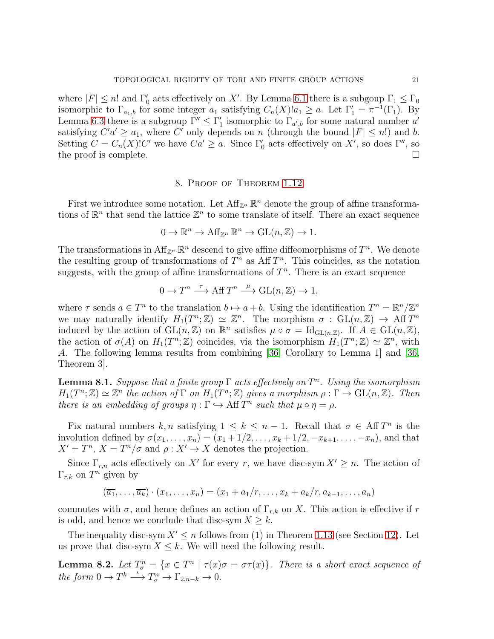where  $|F| \le n!$  and  $\Gamma'_0$  acts effectively on X'. By Lemma [6.1](#page-16-0) there is a subgoup  $\Gamma_1 \le \Gamma_0$ isomorphic to  $\Gamma_{a_1,b}$  for some integer  $a_1$  satisfying  $C_n(X)!a_1 \ge a$ . Let  $\Gamma'_1 = \pi^{-1}(\Gamma_1)$ . By Lemma [6.3](#page-17-1) there is a subgroup  $\Gamma'' \leq \Gamma'_1$  isomorphic to  $\Gamma_{a',b}$  for some natural number  $a'$ satisfying  $C'a' \ge a_1$ , where C' only depends on n (through the bound  $|F| \le n!$ ) and b. Setting  $C = C_n(X)!C'$  we have  $Ca' \ge a$ . Since  $\Gamma'_0$  acts effectively on X', so does  $\Gamma''$ , so the proof is complete.  $\Box$ 

### 8. Proof of Theorem [1.12](#page-5-2)

<span id="page-20-0"></span>First we introduce some notation. Let  $\mathrm{Aff}_{\mathbb{Z}^n} \mathbb{R}^n$  denote the group of affine transformations of  $\mathbb{R}^n$  that send the lattice  $\mathbb{Z}^n$  to some translate of itself. There an exact sequence

$$
0 \to \mathbb{R}^n \to \mathrm{Aff}_{\mathbb{Z}^n} \, \mathbb{R}^n \to \mathrm{GL}(n, \mathbb{Z}) \to 1.
$$

The transformations in  $\mathrm{Aff}_{\mathbb{Z}^n} \mathbb{R}^n$  descend to give affine diffeomorphisms of  $T^n$ . We denote the resulting group of transformations of  $T^n$  as Aff  $T^n$ . This coincides, as the notation suggests, with the group of affine transformations of  $T<sup>n</sup>$ . There is an exact sequence

$$
0 \to T^n \xrightarrow{\tau} \text{Aff } T^n \xrightarrow{\mu} \text{GL}(n, \mathbb{Z}) \to 1,
$$

where  $\tau$  sends  $a \in T^n$  to the translation  $b \mapsto a+b$ . Using the identification  $T^n = \mathbb{R}^n / \mathbb{Z}^n$ we may naturally identify  $H_1(T^n; \mathbb{Z}) \simeq \mathbb{Z}^n$ . The morphism  $\sigma : GL(n, \mathbb{Z}) \to AffT^n$ induced by the action of  $GL(n,\mathbb{Z})$  on  $\mathbb{R}^n$  satisfies  $\mu \circ \sigma = Id_{GL(n,\mathbb{Z})}$ . If  $A \in GL(n,\mathbb{Z})$ , the action of  $\sigma(A)$  on  $H_1(T^n;\mathbb{Z})$  coincides, via the isomorphism  $H_1(T^n;\mathbb{Z}) \simeq \mathbb{Z}^n$ , with A. The following lemma results from combining [\[36,](#page-38-21) Corollary to Lemma 1] and [\[36,](#page-38-21) Theorem 3].

<span id="page-20-1"></span>**Lemma 8.1.** Suppose that a finite group  $\Gamma$  acts effectively on  $T^n$ . Using the isomorphism  $H_1(T^n;\mathbb{Z}) \simeq \mathbb{Z}^n$  the action of  $\Gamma$  on  $H_1(T^n;\mathbb{Z})$  gives a morphism  $\rho : \Gamma \to \mathrm{GL}(n,\mathbb{Z})$ . Then there is an embedding of groups  $\eta : \Gamma \hookrightarrow \text{Aff } T^n$  such that  $\mu \circ \eta = \rho$ .

Fix natural numbers  $k, n$  satisfying  $1 \leq k \leq n-1$ . Recall that  $\sigma \in \operatorname{Aff} T^n$  is the involution defined by  $\sigma(x_1,\ldots,x_n)=(x_1+1/2,\ldots,x_k+1/2,-x_{k+1},\ldots,-x_n)$ , and that  $X' = T^n$ ,  $X = T^n / \sigma$  and  $\rho : X' \to X$  denotes the projection.

Since  $\Gamma_{r,n}$  acts effectively on X' for every r, we have disc-sym  $X' \geq n$ . The action of  $\Gamma_{r,k}$  on  $T^n$  given by

$$
(\overline{a_1},\ldots,\overline{a_k})\cdot(x_1,\ldots,x_n)=(x_1+a_1/r,\ldots,x_k+a_k/r,a_{k+1},\ldots,a_n)
$$

commutes with  $\sigma$ , and hence defines an action of  $\Gamma_{r,k}$  on X. This action is effective if r is odd, and hence we conclude that disc-sym  $X \geq k$ .

The inequality disc-sym  $X' \leq n$  follows from (1) in Theorem [1.13](#page-5-1) (see Section [12\)](#page-28-0). Let us prove that disc-sym  $X \leq k$ . We will need the following result.

<span id="page-20-2"></span>**Lemma 8.2.** Let  $T_{\sigma}^{n} = \{x \in T^{n} \mid \tau(x)\sigma = \sigma\tau(x)\}\$ . There is a short exact sequence of the form  $0 \to T^k \stackrel{\iota}{\longrightarrow} T^n_{\sigma} \to \Gamma_{2,n-k} \to 0.$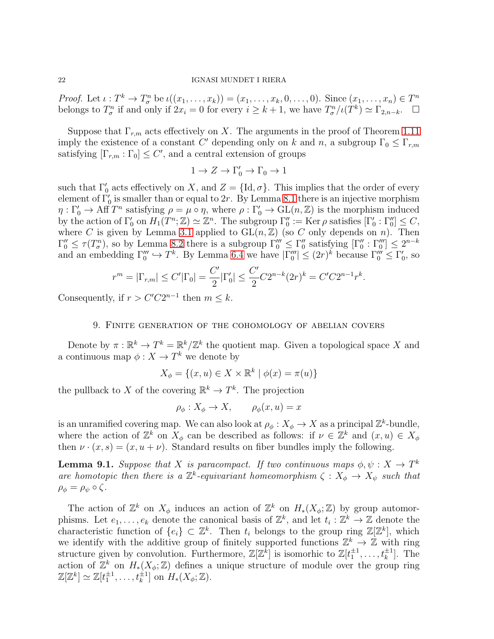*Proof.* Let  $\iota : T^k \to T^n_\sigma$  be  $\iota((x_1,\ldots,x_k)) = (x_1,\ldots,x_k,0,\ldots,0)$ . Since  $(x_1,\ldots,x_n) \in T^n$ belongs to  $T_{\sigma}^n$  if and only if  $2x_i = 0$  for every  $i \geq k+1$ , we have  $T_{\sigma}^n/\iota(T^k) \simeq \Gamma_{2,n-k}$ .  $\Box$ 

Suppose that  $\Gamma_{r,m}$  acts effectively on X. The arguments in the proof of Theorem [1.11](#page-5-0) imply the existence of a constant C' depending only on k and n, a subgroup  $\Gamma_0 \leq \Gamma_{r,m}$ satisfying  $[\Gamma_{r,m} : \Gamma_0] \leq C'$ , and a central extension of groups

$$
1 \to Z \to \Gamma_0' \to \Gamma_0 \to 1
$$

such that  $\Gamma'_0$  acts effectively on X, and  $Z = \{\text{Id}, \sigma\}$ . This implies that the order of every element of  $\Gamma'_0$  is smaller than or equal to 2r. By Lemma [8.1](#page-20-1) there is an injective morphism  $\eta: \Gamma'_0 \to \mathrm{Aff}\,T^n$  satisfying  $\rho = \mu \circ \eta$ , where  $\rho: \Gamma'_0 \to \mathrm{GL}(n, \mathbb{Z})$  is the morphism induced by the action of  $\Gamma'_0$  on  $H_1(T^n; \mathbb{Z}) \simeq \mathbb{Z}^n$ . The subgroup  $\Gamma''_0 := \text{Ker } \rho$  satisfies  $[\Gamma'_0 : \Gamma''_0] \leq C$ , where C is given by Lemma [3.1](#page-12-2) applied to  $GL(n, \mathbb{Z})$  (so C only depends on n). Then  $\Gamma_0'' \leq \tau(T_\sigma^n)$ , so by Lemma [8.2](#page-20-2) there is a subgroup  $\Gamma_0''' \leq \Gamma_0''$  satisfying  $[\Gamma_0'' : \Gamma_0'''] \leq 2^{n-k}$ and an embedding  $\Gamma_0'' \hookrightarrow T^k$ . By Lemma [6.4](#page-18-0) we have  $|\Gamma_0''| \leq (2r)^k$  because  $\Gamma_0'' \leq \Gamma_0'$ , so

$$
r^m = |\Gamma_{r,m}| \le C' |\Gamma_0| = \frac{C'}{2} |\Gamma'_0| \le \frac{C'}{2} C 2^{n-k} (2r)^k = C' C 2^{n-1} r^k.
$$

<span id="page-21-0"></span>Consequently, if  $r > C'C2^{n-1}$  then  $m \leq k$ .

### 9. Finite generation of the cohomology of abelian covers

Denote by  $\pi: \mathbb{R}^k \to T^k = \mathbb{R}^k/\mathbb{Z}^k$  the quotient map. Given a topological space X and a continuous map  $\phi: X \to T^k$  we denote by

$$
X_{\phi} = \{(x, u) \in X \times \mathbb{R}^k \mid \phi(x) = \pi(u)\}
$$

the pullback to X of the covering  $\mathbb{R}^k \to T^k$ . The projection

$$
\rho_{\phi}: X_{\phi} \to X, \qquad \rho_{\phi}(x, u) = x
$$

is an unramified covering map. We can also look at  $\rho_{\phi}: X_{\phi} \to X$  as a principal  $\mathbb{Z}^{k}$ -bundle, where the action of  $\mathbb{Z}^k$  on  $X_\phi$  can be described as follows: if  $\nu \in \mathbb{Z}^k$  and  $(x, u) \in X_\phi$ then  $\nu \cdot (x, s) = (x, u + \nu)$ . Standard results on fiber bundles imply the following.

<span id="page-21-1"></span>**Lemma 9.1.** Suppose that X is paracompact. If two continuous maps  $\phi, \psi : X \to T^k$ are homotopic then there is a  $\mathbb{Z}^k$ -equivariant homeomorphism  $\zeta: X_{\phi} \to X_{\psi}$  such that  $\rho_{\phi} = \rho_{\psi} \circ \zeta.$ 

The action of  $\mathbb{Z}^k$  on  $X_\phi$  induces an action of  $\mathbb{Z}^k$  on  $H_*(X_\phi;\mathbb{Z})$  by group automorphisms. Let  $e_1, \ldots, e_k$  denote the canonical basis of  $\mathbb{Z}^k$ , and let  $t_i : \mathbb{Z}^k \to \mathbb{Z}$  denote the characteristic function of  $\{e_i\} \subset \mathbb{Z}^k$ . Then  $t_i$  belongs to the group ring  $\mathbb{Z}[\mathbb{Z}^k]$ , which we identify with the additive group of finitely supported functions  $\mathbb{Z}^k \to \mathbb{Z}$  with ring structure given by convolution. Furthermore,  $\mathbb{Z}[\mathbb{Z}^k]$  is isomorhic to  $\mathbb{Z}[t_1^{\pm 1}, \ldots, t_k^{\pm 1}]$ . The action of  $\mathbb{Z}^k$  on  $H_*(X_{\phi}; \mathbb{Z})$  defines a unique structure of module over the group ring  $\mathbb{Z}[\mathbb{Z}^k] \simeq \mathbb{Z}[t_1^{\pm 1}, \ldots, t_k^{\pm 1}]$  on  $H_*(X_{\phi}; \mathbb{Z})$ .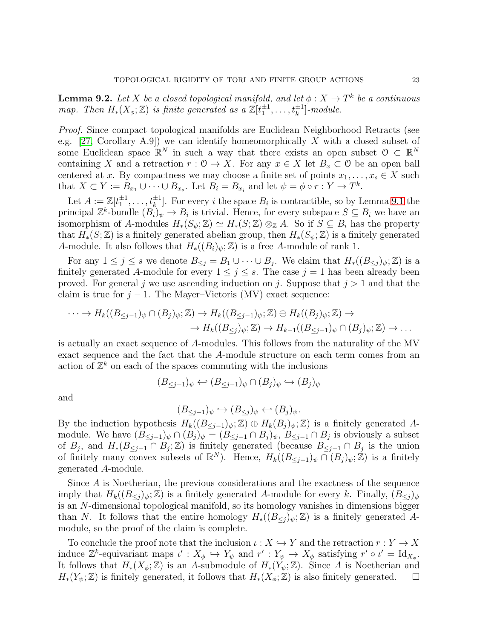<span id="page-22-0"></span>**Lemma 9.2.** Let X be a closed topological manifold, and let  $\phi: X \to T^k$  be a continuous map. Then  $H_*(X_{\phi}; \mathbb{Z})$  is finite generated as a  $\mathbb{Z}[t_1^{\pm 1}, \ldots, t_k^{\pm 1}]$ -module.

Proof. Since compact topological manifolds are Euclidean Neighborhood Retracts (see e.g.  $[27, Corollary A.9]$  we can identify homeomorphically X with a closed subset of some Euclidean space  $\mathbb{R}^N$  in such a way that there exists an open subset  $\mathcal{O} \subset \mathbb{R}^N$ containing X and a retraction  $r : 0 \to X$ . For any  $x \in X$  let  $B_x \subset 0$  be an open ball centered at x. By compactness we may choose a finite set of points  $x_1, \ldots, x_s \in X$  such that  $X \subset Y := B_{x_1} \cup \cdots \cup B_{x_s}$ . Let  $B_i = B_{x_i}$  and let  $\psi = \phi \circ r : Y \to T^k$ .

Let  $A := \mathbb{Z}[t_1^{\pm 1}, \ldots, t_k^{\pm 1}]$ . For every i the space  $B_i$  is contractible, so by Lemma [9.1](#page-21-1) the principal  $\mathbb{Z}^k$ -bundle  $(B_i)_{\psi} \to B_i$  is trivial. Hence, for every subspace  $S \subseteq B_i$  we have an isomorphism of A-modules  $H_*(S_{\psi}; \mathbb{Z}) \simeq H_*(S; \mathbb{Z}) \otimes_{\mathbb{Z}} A$ . So if  $S \subseteq B_i$  has the property that  $H_*(S;\mathbb{Z})$  is a finitely generated abelian group, then  $H_*(S_{\psi};\mathbb{Z})$  is a finitely generated A-module. It also follows that  $H_*(B_i)_{\psi}; \mathbb{Z})$  is a free A-module of rank 1.

For any  $1 \leq j \leq s$  we denote  $B_{\leq j} = B_1 \cup \cdots \cup B_j$ . We claim that  $H_*((B_{\leq j})_{\psi}; \mathbb{Z})$  is a finitely generated A-module for every  $1 \leq j \leq s$ . The case  $j = 1$  has been already been proved. For general j we use ascending induction on j. Suppose that  $j > 1$  and that the claim is true for  $j - 1$ . The Mayer–Vietoris (MV) exact sequence:

$$
\cdots \to H_k((B_{\leq j-1})_\psi \cap (B_j)_\psi; \mathbb{Z}) \to H_k((B_{\leq j-1})_\psi; \mathbb{Z}) \oplus H_k((B_j)_\psi; \mathbb{Z}) \to
$$
  

$$
\to H_k((B_{\leq j})_\psi; \mathbb{Z}) \to H_{k-1}((B_{\leq j-1})_\psi \cap (B_j)_\psi; \mathbb{Z}) \to \dots
$$

is actually an exact sequence of A-modules. This follows from the naturality of the MV exact sequence and the fact that the A-module structure on each term comes from an action of  $\mathbb{Z}^k$  on each of the spaces commuting with the inclusions

$$
(B_{\leq j-1})_{\psi} \leftrightarrow (B_{\leq j-1})_{\psi} \cap (B_j)_{\psi} \hookrightarrow (B_j)_{\psi}
$$

and

$$
(B_{\leq j-1})_{\psi} \hookrightarrow (B_{\leq j})_{\psi} \hookleftarrow (B_j)_{\psi}.
$$

By the induction hypothesis  $H_k((B_{\leq j-1})_\psi;\mathbb{Z})\oplus H_k(B_j)_\psi;\mathbb{Z})$  is a finitely generated Amodule. We have  $(B_{\leq j-1})_\psi \cap (B_j)_\psi = (B_{\leq j-1} \cap B_j)_\psi$ ,  $B_{\leq j-1} \cap B_j$  is obviously a subset of  $B_j$ , and  $H_*(B_{\leq j-1} \cap B_j; \mathbb{Z})$  is finitely generated (because  $B_{\leq j-1} \cap B_j$  is the union of finitely many convex subsets of  $\mathbb{R}^N$ ). Hence,  $H_k((B_{\leq j-1})_\psi \cap (B_j)_\psi;\mathbb{Z})$  is a finitely generated A-module.

Since A is Noetherian, the previous considerations and the exactness of the sequence imply that  $H_k((B_{\leq i})_{\psi}; \mathbb{Z})$  is a finitely generated A-module for every k. Finally,  $(B_{\leq i})_{\psi}$ is an N-dimensional topological manifold, so its homology vanishes in dimensions bigger than N. It follows that the entire homology  $H_*((B_{\leq i})_{\psi}; \mathbb{Z})$  is a finitely generated Amodule, so the proof of the claim is complete.

To conclude the proof note that the inclusion  $\iota : X \hookrightarrow Y$  and the retraction  $r : Y \to X$ induce  $\mathbb{Z}^k$ -equivariant maps  $\iota' : X_{\phi} \hookrightarrow Y_{\psi}$  and  $r' : Y_{\psi} \to X_{\phi}$  satisfying  $r' \circ \iota' = \mathrm{Id}_{X_{\phi}}$ . It follows that  $H_*(X_{\phi}; \mathbb{Z})$  is an A-submodule of  $H_*(Y_{\psi}; \mathbb{Z})$ . Since A is Noetherian and  $H_*(Y_{\psi}; \mathbb{Z})$  is finitely generated, it follows that  $H_*(X_{\phi}; \mathbb{Z})$  is also finitely generated.  $\Box$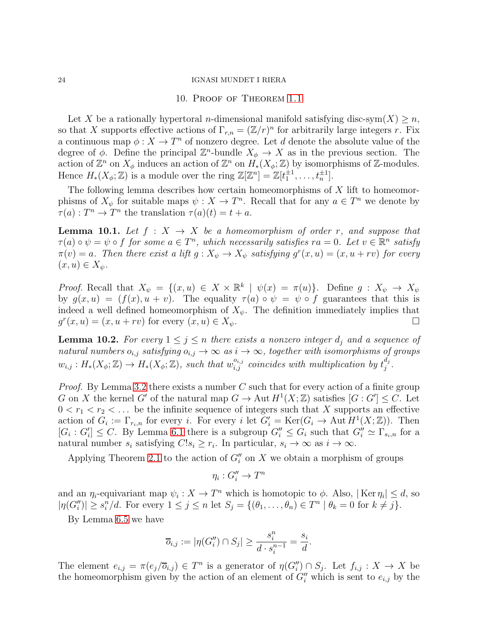### 10. Proof of Theorem [1.1](#page-1-1)

<span id="page-23-0"></span>Let X be a rationally hypertoral n-dimensional manifold satisfying disc-sym $(X) \geq n$ , so that X supports effective actions of  $\Gamma_{r,n} = (\mathbb{Z}/r)^n$  for arbitrarily large integers r. Fix a continuous map  $\phi: X \to T^n$  of nonzero degree. Let d denote the absolute value of the degree of  $\phi$ . Define the principal  $\mathbb{Z}^n$ -bundle  $X_{\phi} \to X$  as in the previous section. The action of  $\mathbb{Z}^n$  on  $X_{\phi}$  induces an action of  $\mathbb{Z}^n$  on  $H_*(X_{\phi}; \mathbb{Z})$  by isomorphisms of  $\mathbb{Z}$ -modules. Hence  $H_*(X_{\phi}; \mathbb{Z})$  is a module over the ring  $\mathbb{Z}[\mathbb{Z}^n] = \mathbb{Z}[t_1^{\pm 1}, \ldots, t_n^{\pm 1}].$ 

The following lemma describes how certain homeomorphisms of  $X$  lift to homeomorphisms of  $X_{\psi}$  for suitable maps  $\psi: X \to T^{n}$ . Recall that for any  $a \in T^{n}$  we denote by  $\tau(a): T^n \to T^n$  the translation  $\tau(a)(t) = t + a$ .

<span id="page-23-1"></span>**Lemma 10.1.** Let  $f : X \rightarrow X$  be a homeomorphism of order r, and suppose that  $\tau(a) \circ \psi = \psi \circ f$  for some  $a \in T^n$ , which necessarily satisfies  $ra = 0$ . Let  $v \in \mathbb{R}^n$  satisfy  $\pi(v) = a$ . Then there exist a lift  $g: X_{\psi} \to X_{\psi}$  satisfying  $g^{r}(x, u) = (x, u + rv)$  for every  $(x, u) \in X_{\psi}.$ 

*Proof.* Recall that  $X_{\psi} = \{(x, u) \in X \times \mathbb{R}^k \mid \psi(x) = \pi(u)\}\$ . Define  $g: X_{\psi} \to X_{\psi}$ by  $g(x, u) = (f(x), u + v)$ . The equality  $\tau(a) \circ \psi = \psi \circ f$  guarantees that this is indeed a well defined homeomorphism of  $X_{\psi}$ . The definition immediately implies that  $g^r(x, u) = (x, u + rv)$  for every  $(x, u) \in X_{\psi}$ .

<span id="page-23-2"></span>**Lemma 10.2.** For every  $1 \leq j \leq n$  there exists a nonzero integer  $d_j$  and a sequence of natural numbers  $o_{i,j}$  satisfying  $o_{i,j} \to \infty$  as  $i \to \infty$ , together with isomorphisms of groups  $w_{i,j}: H_*(X_{\phi}; \mathbb{Z}) \to H_*(X_{\phi}; \mathbb{Z})$ , such that  $w_{i,j}^{o_{i,j}}$  coincides with multiplication by  $t_j^{d_j}$  $_{j}^{a_{j}}.$ 

*Proof.* By Lemma [3.2](#page-12-1) there exists a number C such that for every action of a finite group G on X the kernel G' of the natural map  $G \to \text{Aut } H^1(X;\mathbb{Z})$  satisfies  $[G:G'] \leq C$ . Let  $0 < r_1 < r_2 < \ldots$  be the infinite sequence of integers such that X supports an effective action of  $G_i := \Gamma_{r_i,n}$  for every i. For every i let  $G'_i = \text{Ker}(G_i \to \text{Aut } H^1(X;\mathbb{Z}))$ . Then  $[G_i: G'_i] \leq C$ . By Lemma [6.1](#page-16-0) there is a subgroup  $G''_i \leq G_i$  such that  $G''_i \simeq \Gamma_{s_i,n}$  for a natural number  $s_i$  satisfying  $C!s_i \geq r_i$ . In particular,  $s_i \to \infty$  as  $i \to \infty$ .

Applying Theorem [2.1](#page-9-0) to the action of  $G''_i$  on X we obtain a morphism of groups

$$
\eta_i: G_i'' \to T^n
$$

and an  $\eta_i$ -equivariant map  $\psi_i: X \to T^n$  which is homotopic to  $\phi$ . Also,  $|\text{Ker } \eta_i| \leq d$ , so  $|\eta(G''_i)| \geq s_i^n/d.$  For every  $1 \leq j \leq n$  let  $S_j = \{(\theta_1, \ldots, \theta_n) \in T^n \mid \theta_k = 0 \text{ for } k \neq j\}.$ 

By Lemma [6.5](#page-18-1) we have

$$
\overline{o}_{i,j} := |\eta(G_i'') \cap S_j| \ge \frac{s_i^n}{d \cdot s_i^{n-1}} = \frac{s_i}{d}.
$$

The element  $e_{i,j} = \pi(e_j/\overline{o}_{i,j}) \in T^n$  is a generator of  $\eta(G''_i) \cap S_j$ . Let  $f_{i,j} : X \to X$  be the homeomorphism given by the action of an element of  $G''_i$  which is sent to  $e_{i,j}$  by the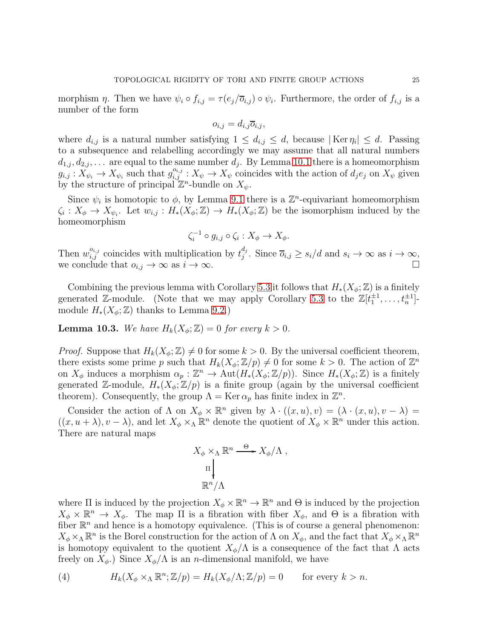morphism  $\eta$ . Then we have  $\psi_i \circ f_{i,j} = \tau(e_j/\overline{o}_{i,j}) \circ \psi_i$ . Furthermore, the order of  $f_{i,j}$  is a number of the form

$$
o_{i,j} = d_{i,j} \overline{o}_{i,j},
$$

where  $d_{i,j}$  is a natural number satisfying  $1 \leq d_{i,j} \leq d$ , because  $|\text{Ker } \eta_i| \leq d$ . Passing to a subsequence and relabelling accordingly we may assume that all natural numbers  $d_{1,j}, d_{2,j}, \ldots$  are equal to the same number  $d_j$ . By Lemma [10.1](#page-23-1) there is a homeomorphism  $g_{i,j}: X_{\psi_i} \to X_{\psi_i}$  such that  $g_{i,j}^{o_{i,j}}: X_{\psi} \to X_{\psi}$  coincides with the action of  $d_j e_j$  on  $X_{\psi}$  given by the structure of principal  $\mathbb{Z}^n$ -bundle on  $X_{\psi}$ .

Since  $\psi_i$  is homotopic to  $\phi$ , by Lemma [9.1](#page-21-1) there is a  $\mathbb{Z}^n$ -equivariant homeomorphism  $\zeta_i: X_{\phi} \to X_{\psi_i}$ . Let  $w_{i,j}: H_*(X_{\phi}; \mathbb{Z}) \to H_*(X_{\phi}; \mathbb{Z})$  be the isomorphism induced by the homeomorphism

$$
\zeta_i^{-1} \circ g_{i,j} \circ \zeta_i : X_{\phi} \to X_{\phi}.
$$

Then  $w_{i,j}^{o_{i,j}}$  coincides with multiplication by  $t_j^{d_j}$  $j^{u_j}$ . Since  $\overline{o}_{i,j} \geq s_i/d$  and  $s_i \to \infty$  as  $i \to \infty$ , we conclude that  $o_{i,j} \to \infty$  as  $i \to \infty$ .

Combining the previous lemma with Corollary [5.3](#page-16-1) it follows that  $H_*(X_{\phi}; \mathbb{Z})$  is a finitely generated Z-module. (Note that we may apply Corollary [5.3](#page-16-1) to the  $\mathbb{Z}[t_1^{\pm 1}, \ldots, t_n^{\pm 1}]$ module  $H_*(X_{\phi}; \mathbb{Z})$  thanks to Lemma [9.2.](#page-22-0))

**Lemma 10.3.** We have  $H_k(X_{\phi}; \mathbb{Z}) = 0$  for every  $k > 0$ .

*Proof.* Suppose that  $H_k(X_{\phi}; \mathbb{Z}) \neq 0$  for some  $k > 0$ . By the universal coefficient theorem, there exists some prime p such that  $H_k(X_\phi; \mathbb{Z}/p) \neq 0$  for some  $k > 0$ . The action of  $\mathbb{Z}^n$ on  $X_{\phi}$  induces a morphism  $\alpha_p : \mathbb{Z}^n \to \text{Aut}(H_*(X_{\phi}; \mathbb{Z}/p)).$  Since  $H_*(X_{\phi}; \mathbb{Z})$  is a finitely generated Z-module,  $H_*(X_{\phi}; \mathbb{Z}/p)$  is a finite group (again by the universal coefficient theorem). Consequently, the group  $\Lambda = \text{Ker } \alpha_p$  has finite index in  $\mathbb{Z}^n$ .

Consider the action of  $\Lambda$  on  $X_{\phi} \times \mathbb{R}^{n}$  given by  $\lambda \cdot ((x, u), v) = (\lambda \cdot (x, u), v - \lambda) =$  $((x, u + \lambda), v - \lambda)$ , and let  $X_{\phi} \times_{\Lambda} \mathbb{R}^{n}$  denote the quotient of  $X_{\phi} \times \mathbb{R}^{n}$  under this action. There are natural maps

$$
X_{\phi} \times_{\Lambda} \mathbb{R}^n \xrightarrow{\Theta} X_{\phi}/\Lambda,
$$
  

$$
\Pi \downarrow
$$
  

$$
\mathbb{R}^n/\Lambda
$$

where  $\Pi$  is induced by the projection  $X_{\phi} \times \mathbb{R}^n \to \mathbb{R}^n$  and  $\Theta$  is induced by the projection  $X_{\phi} \times \mathbb{R}^n \to X_{\phi}$ . The map  $\Pi$  is a fibration with fiber  $X_{\phi}$ , and  $\Theta$  is a fibration with fiber  $\mathbb{R}^n$  and hence is a homotopy equivalence. (This is of course a general phenomenon:  $X_{\phi}\times_{\Lambda}\mathbb{R}^n$  is the Borel construction for the action of  $\Lambda$  on  $X_{\phi}$ , and the fact that  $X_{\phi}\times_{\Lambda}\mathbb{R}^n$ is homotopy equivalent to the quotient  $X_{\phi}/\Lambda$  is a consequence of the fact that  $\Lambda$  acts freely on  $X_{\phi}$ .) Since  $X_{\phi}/\Lambda$  is an *n*-dimensional manifold, we have

<span id="page-24-0"></span>(4) 
$$
H_k(X_\phi \times_\Lambda \mathbb{R}^n; \mathbb{Z}/p) = H_k(X_\phi/\Lambda; \mathbb{Z}/p) = 0 \quad \text{for every } k > n.
$$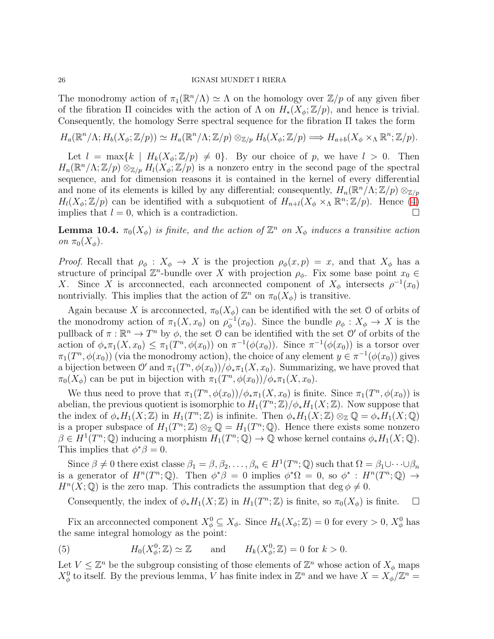The monodromy action of  $\pi_1(\mathbb{R}^n/\Lambda) \simeq \Lambda$  on the homology over  $\mathbb{Z}/p$  of any given fiber of the fibration  $\Pi$  coincides with the action of  $\Lambda$  on  $H_*(X_{\phi}; \mathbb{Z}/p)$ , and hence is trivial. Consequently, the homology Serre spectral sequence for the fibration Π takes the form

$$
H_a(\mathbb{R}^n/\Lambda; H_b(X_\phi; \mathbb{Z}/p)) \simeq H_a(\mathbb{R}^n/\Lambda; \mathbb{Z}/p) \otimes_{\mathbb{Z}/p} H_b(X_\phi; \mathbb{Z}/p) \Longrightarrow H_{a+b}(X_\phi \times_\Lambda \mathbb{R}^n; \mathbb{Z}/p).
$$

Let  $l = \max\{k \mid H_k(X_{\phi}; \mathbb{Z}/p) \neq 0\}$ . By our choice of p, we have  $l > 0$ . Then  $H_n(\mathbb{R}^n/\Lambda;\mathbb{Z}/p) \otimes_{\mathbb{Z}/p} H_l(X_\phi;\mathbb{Z}/p)$  is a nonzero entry in the second page of the spectral sequence, and for dimension reasons it is contained in the kernel of every differential and none of its elements is killed by any differential; consequently,  $H_n(\mathbb{R}^n/\Lambda;\mathbb{Z}/p) \otimes_{\mathbb{Z}/p}$  $H_l(X_\phi; \mathbb{Z}/p)$  can be identified with a subquotient of  $H_{n+l}(X_\phi \times_\Lambda \mathbb{R}^n; \mathbb{Z}/p)$ . Hence [\(4\)](#page-24-0) implies that  $l = 0$ , which is a contradiction.

**Lemma 10.4.**  $\pi_0(X_{\phi})$  is finite, and the action of  $\mathbb{Z}^n$  on  $X_{\phi}$  induces a transitive action on  $\pi_0(X_\phi)$ .

*Proof.* Recall that  $\rho_{\phi}: X_{\phi} \to X$  is the projection  $\rho_{\phi}(x, p) = x$ , and that  $X_{\phi}$  has a structure of principal  $\mathbb{Z}^n$ -bundle over X with projection  $\rho_{\phi}$ . Fix some base point  $x_0 \in$ X. Since X is arcconnected, each arconnected component of  $X_{\phi}$  intersects  $\rho^{-1}(x_0)$ nontrivially. This implies that the action of  $\mathbb{Z}^n$  on  $\pi_0(X_\phi)$  is transitive.

Again because X is arcconnected,  $\pi_0(X_{\phi})$  can be identified with the set O of orbits of the monodromy action of  $\pi_1(X, x_0)$  on  $\rho_\phi^{-1}$  $_{\phi}^{-1}(x_0)$ . Since the bundle  $\rho_{\phi}: X_{\phi} \to X$  is the pullback of  $\pi : \mathbb{R}^n \to T^n$  by  $\phi$ , the set O can be identified with the set O' of orbits of the action of  $\phi_*\pi_1(X, x_0) \leq \pi_1(T^n, \phi(x_0))$  on  $\pi^{-1}(\phi(x_0))$ . Since  $\pi^{-1}(\phi(x_0))$  is a torsor over  $\pi_1(T^n, \phi(x_0))$  (via the monodromy action), the choice of any element  $y \in \pi^{-1}(\phi(x_0))$  gives a bijection between  $\mathcal{O}'$  and  $\pi_1(T^n, \phi(x_0))/\phi_*\pi_1(X, x_0)$ . Summarizing, we have proved that  $\pi_0(X_\phi)$  can be put in bijection with  $\pi_1(T^n, \phi(x_0))/\phi_*\pi_1(X, x_0)$ .

We thus need to prove that  $\pi_1(T^n, \phi(x_0))/\phi_*\pi_1(X, x_0)$  is finite. Since  $\pi_1(T^n, \phi(x_0))$  is abelian, the previous quotient is isomorphic to  $H_1(T^n; \mathbb{Z})/\phi_* H_1(X; \mathbb{Z})$ . Now suppose that the index of  $\phi_* H_1(X;\mathbb{Z})$  in  $H_1(T^n;\mathbb{Z})$  is infinite. Then  $\phi_* H_1(X;\mathbb{Z}) \otimes_{\mathbb{Z}} \mathbb{Q} = \phi_* H_1(X;\mathbb{Q})$ is a proper subspace of  $H_1(T^n; \mathbb{Z}) \otimes_{\mathbb{Z}} \mathbb{Q} = H_1(T^n; \mathbb{Q})$ . Hence there exists some nonzero  $\beta \in H^1(T^n; \mathbb{Q})$  inducing a morphism  $H_1(T^n; \mathbb{Q}) \to \mathbb{Q}$  whose kernel contains  $\phi_* H_1(X; \mathbb{Q})$ . This implies that  $\phi^* \beta = 0$ .

Since  $\beta \neq 0$  there exist classe  $\beta_1 = \beta, \beta_2, \ldots, \beta_n \in H^1(T^n; \mathbb{Q})$  such that  $\Omega = \beta_1 \cup \cdots \cup \beta_n$ is a generator of  $H^n(T^n;\mathbb{Q})$ . Then  $\phi^*\beta = 0$  implies  $\phi^*\Omega = 0$ , so  $\phi^*: H^n(T^n;\mathbb{Q}) \to$  $H<sup>n</sup>(X; \mathbb{Q})$  is the zero map. This contradicts the assumption that deg  $\phi \neq 0$ .

Consequently, the index of  $\phi_* H_1(X;\mathbb{Z})$  in  $H_1(T^n;\mathbb{Z})$  is finite, so  $\pi_0(X_{\phi})$  is finite.  $\Box$ 

Fix an arcconnected component  $X^0_\phi \subseteq X_\phi$ . Since  $H_k(X_\phi;\mathbb{Z}) = 0$  for every  $> 0, X^0_\phi$  has the same integral homology as the point:

<span id="page-25-0"></span>(5) 
$$
H_0(X^0_{\phi}; \mathbb{Z}) \simeq \mathbb{Z}
$$
 and  $H_k(X^0_{\phi}; \mathbb{Z}) = 0$  for  $k > 0$ .

Let  $V \leq \mathbb{Z}^n$  be the subgroup consisting of those elements of  $\mathbb{Z}^n$  whose action of  $X_{\phi}$  maps  $X^0_\phi$  to itself. By the previous lemma, V has finite index in  $\mathbb{Z}^n$  and we have  $X = X_\phi/\mathbb{Z}^n =$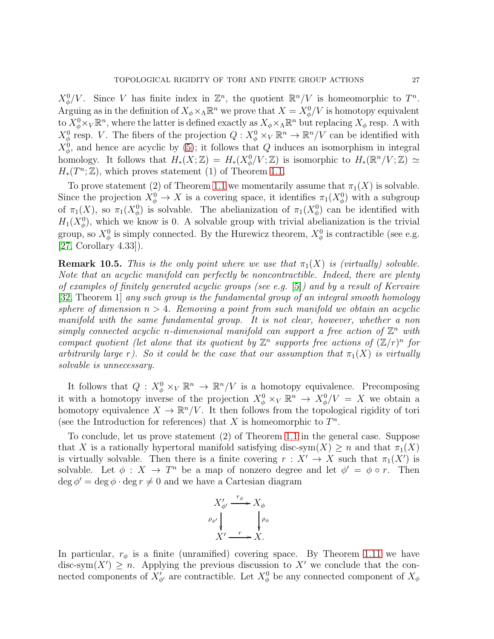$X^0_{\phi}/V$ . Since V has finite index in  $\mathbb{Z}^n$ , the quotient  $\mathbb{R}^n/V$  is homeomorphic to  $T^n$ . Arguing as in the definition of  $X_{\phi} \times_{\Lambda} \mathbb{R}^n$  we prove that  $X = X_{\phi}^0/V$  is homotopy equivalent to  $X^0_\phi \times_V \mathbb{R}^n$ , where the latter is defined exactly as  $X_\phi \times_\Lambda \mathbb{R}^n$  but replacing  $X_\phi$  resp. A with  $X^0_\phi$  resp. V. The fibers of the projection  $Q: X^0_\phi \times_V \mathbb{R}^n \to \mathbb{R}^n/V$  can be identified with  $X^0_{\phi}$ , and hence are acyclic by [\(5\)](#page-25-0); it follows that Q induces an isomorphism in integral homology. It follows that  $H_*(X;\mathbb{Z}) = H_*(X^0_{\phi}/V;\mathbb{Z})$  is isomorphic to  $H_*(\mathbb{R}^n/V;\mathbb{Z}) \simeq$  $H_*(T^n; \mathbb{Z})$ , which proves statement (1) of Theorem [1.1.](#page-1-1)

To prove statement (2) of Theorem [1.1](#page-1-1) we momentarily assume that  $\pi_1(X)$  is solvable. Since the projection  $X^0_{\phi} \to X$  is a covering space, it identifies  $\pi_1(X^0_{\phi})$  with a subgroup of  $\pi_1(X)$ , so  $\pi_1(X^0_\phi)$  is solvable. The abelianization of  $\pi_1(X^0_\phi)$  can be identified with  $H_1(X^0_\phi)$ , which we know is 0. A solvable group with trivial abelianization is the trivial group, so  $X^0_\phi$  is simply connected. By the Hurewicz theorem,  $X^0_\phi$  is contractible (see e.g. [\[27,](#page-38-19) Corollary 4.33]).

<span id="page-26-0"></span>**Remark 10.5.** This is the only point where we use that  $\pi_1(X)$  is (virtually) solvable. Note that an acyclic manifold can perfectly be noncontractible. Indeed, there are plenty of examples of finitely generated acyclic groups (see e.g. [\[5\]](#page-37-11)) and by a result of Kervaire [\[32,](#page-38-22) Theorem 1] any such group is the fundamental group of an integral smooth homology sphere of dimension  $n > 4$ . Removing a point from such manifold we obtain an acyclic manifold with the same fundamental group. It is not clear, however, whether a non simply connected acyclic n-dimensional manifold can support a free action of  $\mathbb{Z}^n$  with compact quotient (let alone that its quotient by  $\mathbb{Z}^n$  supports free actions of  $(\mathbb{Z}/r)^n$  for arbitrarily large r). So it could be the case that our assumption that  $\pi_1(X)$  is virtually solvable is unnecessary.

It follows that  $Q: X^0_{\phi} \times_V \mathbb{R}^n \to \mathbb{R}^n/V$  is a homotopy equivalence. Precomposing it with a homotopy inverse of the projection  $X^0_\phi \times_V \mathbb{R}^n \to X^0_\phi/V = X$  we obtain a homotopy equivalence  $X \to \mathbb{R}^n / V$ . It then follows from the topological rigidity of tori (see the Introduction for references) that X is homeomorphic to  $T^n$ .

To conclude, let us prove statement (2) of Theorem [1.1](#page-1-1) in the general case. Suppose that X is a rationally hypertoral manifold satisfying disc-sym $(X) \geq n$  and that  $\pi_1(X)$ is virtually solvable. Then there is a finite covering  $r : X' \to X$  such that  $\pi_1(X')$  is solvable. Let  $\phi: X \to T^n$  be a map of nonzero degree and let  $\phi' = \phi \circ r$ . Then  $\deg \phi' = \deg \phi \cdot \deg r \neq 0$  and we have a Cartesian diagram

$$
X'_{\phi'} \xrightarrow{r_{\phi}} X_{\phi}
$$
  
\n
$$
\rho_{\phi'} \downarrow \qquad \downarrow \rho_{\phi}
$$
  
\n
$$
X' \xrightarrow{r} X.
$$

In particular,  $r_{\phi}$  is a finite (unramified) covering space. By Theorem [1.11](#page-5-0) we have disc-sym $(X') \geq n$ . Applying the previous discussion to X' we conclude that the connected components of  $X'_{\phi'}$  are contractible. Let  $X^0_{\phi}$  be any connected component of  $X_{\phi}$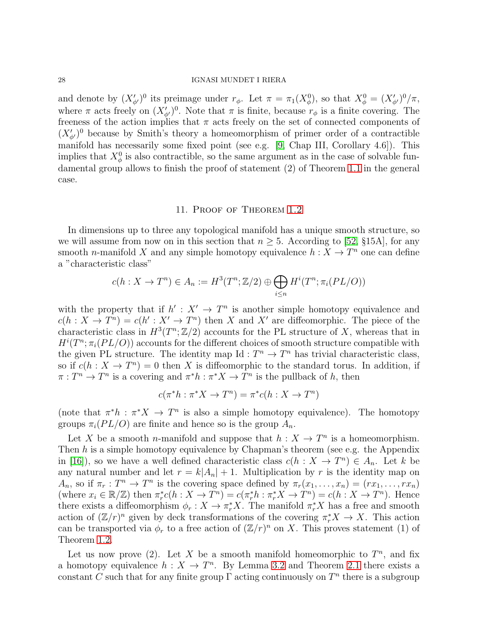and denote by  $(X'_{\phi'})^0$  its preimage under  $r_{\phi}$ . Let  $\pi = \pi_1(X^0_{\phi})$ , so that  $X^0_{\phi} = (X'_{\phi'})^0/\pi$ , where  $\pi$  acts freely on  $(X'_{\phi})^0$ . Note that  $\pi$  is finite, because  $r_{\phi}$  is a finite covering. The freeness of the action implies that  $\pi$  acts freely on the set of connected components of  $(X'_{\phi'})^0$  because by Smith's theory a homeomorphism of primer order of a contractible manifold has necessarily some fixed point (see e.g. [\[9,](#page-37-8) Chap III, Corollary 4.6]). This implies that  $X^0_\phi$  is also contractible, so the same argument as in the case of solvable fundamental group allows to finish the proof of statement (2) of Theorem [1.1](#page-1-1) in the general case.

### 11. Proof of Theorem [1.2](#page-1-2)

<span id="page-27-0"></span>In dimensions up to three any topological manifold has a unique smooth structure, so we will assume from now on in this section that  $n > 5$ . According to [\[52,](#page-39-10) §15A], for any smooth *n*-manifold X and any simple homotopy equivalence  $h: X \to T^n$  one can define a "characteristic class"

$$
c(h: X \to T^n) \in A_n := H^3(T^n; \mathbb{Z}/2) \oplus \bigoplus_{i \le n} H^i(T^n; \pi_i(PL/O))
$$

with the property that if  $h' : X' \to T^n$  is another simple homotopy equivalence and  $c(h: X \to T^n) = c(h' : X' \to T^n)$  then X and X' are diffeomorphic. The piece of the characteristic class in  $H^3(T^n; \mathbb{Z}/2)$  accounts for the PL structure of X, whereas that in  $H^{i}(T^{n}; \pi_{i}(PL/O))$  accounts for the different choices of smooth structure compatible with the given PL structure. The identity map  $Id : T<sup>n</sup> \to T<sup>n</sup>$  has trivial characteristic class, so if  $c(h: X \to T^n) = 0$  then X is diffeomorphic to the standard torus. In addition, if  $\pi: T^n \to T^n$  is a covering and  $\pi^*h: \pi^*X \to T^n$  is the pullback of h, then

$$
c(\pi^*h : \pi^*X \to T^n) = \pi^*c(h : X \to T^n)
$$

(note that  $\pi^*h : \pi^*X \to T^n$  is also a simple homotopy equivalence). The homotopy groups  $\pi_i(PL/O)$  are finite and hence so is the group  $A_n$ .

Let X be a smooth *n*-manifold and suppose that  $h: X \to T^n$  is a homeomorphism. Then  $h$  is a simple homotopy equivalence by Chapman's theorem (see e.g. the Appendix in [\[16\]](#page-37-12)), so we have a well defined characteristic class  $c(h: X \to T^n) \in A_n$ . Let k be any natural number and let  $r = k|A_n| + 1$ . Multiplication by r is the identity map on  $A_n$ , so if  $\pi_r : T^n \to T^n$  is the covering space defined by  $\pi_r(x_1, \ldots, x_n) = (rx_1, \ldots, rx_n)$ (where  $x_i \in \mathbb{R}/\mathbb{Z}$ ) then  $\pi_r^*(h: X \to T^n) = c(\pi_r^*h: \pi_r^*X \to T^n) = c(h: X \to T^n)$ . Hence there exists a diffeomorphism  $\phi_r : X \to \pi_r^* X$ . The manifold  $\pi_r^* X$  has a free and smooth action of  $(\mathbb{Z}/r)^n$  given by deck transformations of the covering  $\pi_r^*X \to X$ . This action can be transported via  $\phi_r$  to a free action of  $(\mathbb{Z}/r)^n$  on X. This proves statement (1) of Theorem [1.2.](#page-1-2)

Let us now prove (2). Let X be a smooth manifold homeomorphic to  $T^n$ , and fix a homotopy equivalence  $h: X \to T^n$ . By Lemma [3.2](#page-12-1) and Theorem [2.1](#page-9-0) there exists a constant C such that for any finite group  $\Gamma$  acting continuously on  $T^n$  there is a subgroup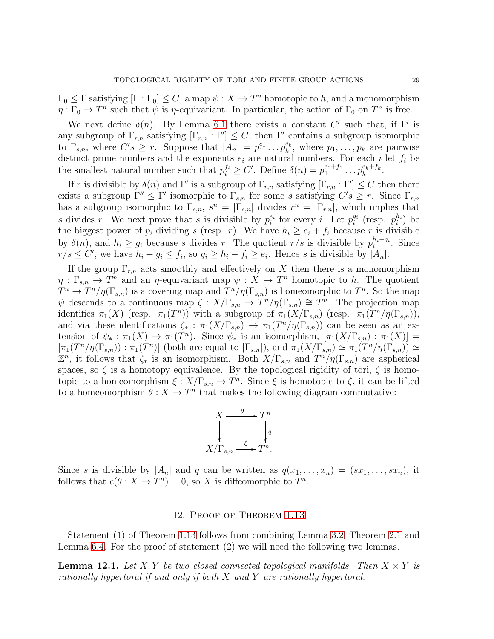$\Gamma_0 \leq \Gamma$  satisfying  $[\Gamma : \Gamma_0] \leq C$ , a map  $\psi : X \to T^n$  homotopic to h, and a monomorphism  $\eta : \Gamma_0 \to T^n$  such that  $\psi$  is  $\eta$ -equivariant. In particular, the action of  $\Gamma_0$  on  $T^n$  is free.

We next define  $\delta(n)$ . By Lemma [6.1](#page-16-0) there exists a constant C' such that, if  $\Gamma'$  is any subgroup of  $\Gamma_{r,n}$  satisfying  $[\Gamma_{r,n} : \Gamma'] \leq C$ , then  $\Gamma'$  contains a subgroup isomorphic to  $\Gamma_{s,n}$ , where  $C's \geq r$ . Suppose that  $|A_n| = p_1^{e_1}$  $i_1^{e_1} \ldots p_k^{e_k}$  $k_k^{e_k}$ , where  $p_1, \ldots, p_k$  are pairwise distinct prime numbers and the exponents  $e_i$  are natural numbers. For each i let  $f_i$  be the smallest natural number such that  $p_i^{f_i} \geq C'$ . Define  $\delta(n) = p_1^{e_1+f_1}$  $x_1^{e_1+f_1} \dots p_k^{e_k+f_k}$  $\frac{e_k + f_k}{k}$ .

If r is divisible by  $\delta(n)$  and  $\Gamma'$  is a subgroup of  $\Gamma_{r,n}$  satisfying  $[\Gamma_{r,n} : \Gamma'] \leq C$  then there exists a subgroup  $\Gamma'' \leq \Gamma'$  isomorphic to  $\Gamma_{s,n}$  for some s satisfying  $C's \geq r$ . Since  $\Gamma_{r,n}$ has a subgroup isomorphic to  $\Gamma_{s,n}$ ,  $s^n = |\Gamma_{s,n}|$  divides  $r^n = |\Gamma_{r,n}|$ , which implies that s divides r. We next prove that s is divisible by  $p_i^{e_i}$  for every i. Let  $p_i^{g_i}$  $i \text{ (resp. } p_i^{h_i} \text{) be}$ the biggest power of  $p_i$  dividing s (resp. r). We have  $h_i \ge e_i + f_i$  because r is divisible by  $\delta(n)$ , and  $h_i \geq g_i$  because s divides r. The quotient  $r/s$  is divisible by  $p_i^{h_i-g_i}$  $i^{n_i-g_i}$ . Since  $r/s \leq C'$ , we have  $h_i - g_i \leq f_i$ , so  $g_i \geq h_i - f_i \geq e_i$ . Hence s is divisible by  $|A_n|$ .

If the group  $\Gamma_{r,n}$  acts smoothly and effectively on X then there is a monomorphism  $\eta : \Gamma_{s,n} \to T^n$  and an  $\eta$ -equivariant map  $\psi : X \to T^n$  homotopic to h. The quotient  $T^n \to T^n/\eta(\Gamma_{s,n})$  is a covering map and  $T^n/\eta(\Gamma_{s,n})$  is homeomorphic to  $T^n$ . So the map  $\psi$  descends to a continuous map  $\zeta : X/\Gamma_{s,n} \to T^n/\eta(\Gamma_{s,n}) \cong T^n$ . The projection map identifies  $\pi_1(X)$  (resp.  $\pi_1(T^n)$ ) with a subgroup of  $\pi_1(X/\Gamma_{s,n})$  (resp.  $\pi_1(T^n/\eta(\Gamma_{s,n}))$ , and via these identifications  $\zeta_*$ :  $\pi_1(X/\Gamma_{s,n}) \to \pi_1(T^n/\eta(\Gamma_{s,n}))$  can be seen as an extension of  $\psi_* : \pi_1(X) \to \pi_1(T^n)$ . Since  $\psi_*$  is an isomorphism,  $[\pi_1(X/\Gamma_{s,n}) : \pi_1(X)] =$  $[\pi_1(T^n/\eta(\Gamma_{s,n})) : \pi_1(T^n)]$  (both are equal to  $|\Gamma_{s,n}|$ ), and  $\pi_1(X/\Gamma_{s,n}) \simeq \pi_1(T^n/\eta(\Gamma_{s,n})) \simeq$  $\mathbb{Z}^n$ , it follows that  $\zeta_*$  is an isomorphism. Both  $X/\Gamma_{s,n}$  and  $T^n/\eta(\Gamma_{s,n})$  are aspherical spaces, so  $\zeta$  is a homotopy equivalence. By the topological rigidity of tori,  $\zeta$  is homotopic to a homeomorphism  $\xi: X/\Gamma_{s,n} \to T^n$ . Since  $\xi$  is homotopic to  $\zeta$ , it can be lifted to a homeomorphism  $\theta: X \to T^n$  that makes the following diagram commutative:

$$
X \xrightarrow{\theta} T^n
$$
  
\n
$$
\downarrow^{q}
$$
  
\n
$$
X/\Gamma_{s,n} \xrightarrow{\xi} T^n.
$$

<span id="page-28-0"></span>Since s is divisible by  $|A_n|$  and q can be written as  $q(x_1, \ldots, x_n) = (sx_1, \ldots, sx_n)$ , it follows that  $c(\theta : X \to T^n) = 0$ , so X is diffeomorphic to  $T^n$ .

### 12. Proof of Theorem [1.13](#page-5-1)

Statement (1) of Theorem [1.13](#page-5-1) follows from combining Lemma [3.2,](#page-12-1) Theorem [2.1](#page-9-0) and Lemma [6.4.](#page-18-0) For the proof of statement (2) we will need the following two lemmas.

<span id="page-28-1"></span>**Lemma 12.1.** Let X, Y be two closed connected topological manifolds. Then  $X \times Y$  is rationally hypertoral if and only if both X and Y are rationally hypertoral.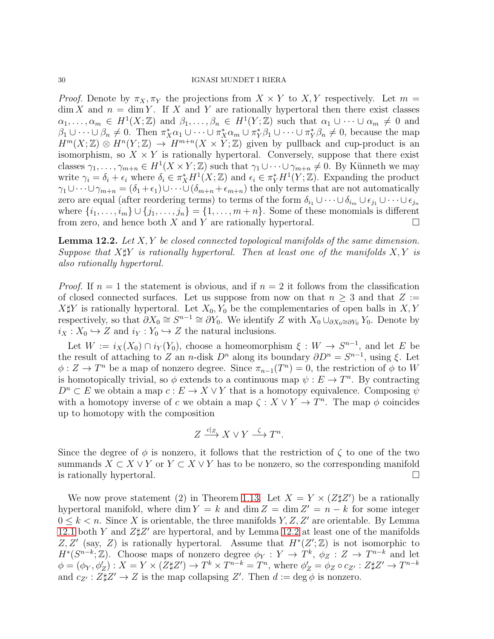*Proof.* Denote by  $\pi_X, \pi_Y$  the projections from  $X \times Y$  to X, Y respectively. Let  $m =$  $\dim X$  and  $n = \dim Y$ . If X and Y are rationally hypertoral then there exist classes  $\alpha_1,\ldots,\alpha_m \in H^1(X;\mathbb{Z})$  and  $\beta_1,\ldots,\beta_n \in H^1(Y;\mathbb{Z})$  such that  $\alpha_1 \cup \cdots \cup \alpha_m \neq 0$  and  $\beta_1\cup\cdots\cup\beta_n\neq 0$ . Then  $\pi_X^*\alpha_1\cup\cdots\cup\pi_X^*\alpha_m\cup\pi_Y^*\beta_1\cup\cdots\cup\pi_Y^*\beta_n\neq 0$ , because the map  $H^m(X;\mathbb{Z}) \otimes H^n(Y;\mathbb{Z}) \to H^{m+n}(X \times Y;\mathbb{Z})$  given by pullback and cup-product is an isomorphism, so  $X \times Y$  is rationally hypertoral. Conversely, suppose that there exist classes  $\gamma_1, \ldots, \gamma_{m+n} \in H^1(X \times Y; \mathbb{Z})$  such that  $\gamma_1 \cup \cdots \cup \gamma_{m+n} \neq 0$ . By Künneth we may write  $\gamma_i = \delta_i + \epsilon_i$  where  $\delta_i \in \pi_X^* H^1(X; \mathbb{Z})$  and  $\epsilon_i \in \pi_Y^* H^1(Y; \mathbb{Z})$ . Expanding the product  $\gamma_1\cup\cdots\cup\gamma_{m+n}=(\delta_1+\epsilon_1)\cup\cdots\cup(\delta_{m+n}+\epsilon_{m+n})$  the only terms that are not automatically zero are equal (after reordering terms) to terms of the form  $\delta_{i_1} \cup \cdots \cup \delta_{i_m} \cup \epsilon_{j_1} \cup \cdots \cup \epsilon_{j_n}$ where  $\{i_1, \ldots, i_m\} \cup \{j_1, \ldots, j_n\} = \{1, \ldots, m+n\}$ . Some of these monomials is different from zero, and hence both X and Y are rationally hypertoral.

<span id="page-29-0"></span>**Lemma 12.2.** Let  $X, Y$  be closed connected topological manifolds of the same dimension. Suppose that  $X\sharp Y$  is rationally hypertoral. Then at least one of the manifolds  $X, Y$  is also rationally hypertoral.

*Proof.* If  $n = 1$  the statement is obvious, and if  $n = 2$  it follows from the classification of closed connected surfaces. Let us suppose from now on that  $n \geq 3$  and that  $Z :=$  $X \sharp Y$  is rationally hypertoral. Let  $X_0, Y_0$  be the complementaries of open balls in  $X, Y$ respectively, so that  $\partial X_0 \cong S^{n-1} \cong \partial Y_0$ . We identify Z with  $X_0 \cup_{\partial X_0 \cong \partial Y_0} Y_0$ . Denote by  $i_X : X_0 \hookrightarrow Z$  and  $i_Y : Y_0 \hookrightarrow Z$  the natural inclusions.

Let  $W := i_X(X_0) \cap i_Y(Y_0)$ , choose a homeomorphism  $\xi : W \to S^{n-1}$ , and let E be the result of attaching to Z an n-disk  $D^n$  along its boundary  $\partial D^n = S^{n-1}$ , using  $\xi$ . Let  $\phi: Z \to T^n$  be a map of nonzero degree. Since  $\pi_{n-1}(T^n) = 0$ , the restriction of  $\phi$  to W is homotopically trivial, so  $\phi$  extends to a continuous map  $\psi : E \to T^n$ . By contracting  $D^n \subset E$  we obtain a map  $c : E \to X \vee Y$  that is a homotopy equivalence. Composing  $\psi$ with a homotopy inverse of c we obtain a map  $\zeta : X \vee Y \to T^n$ . The map  $\phi$  coincides up to homotopy with the composition

$$
Z \xrightarrow{c|Z} X \vee Y \xrightarrow{\zeta} T^n.
$$

Since the degree of  $\phi$  is nonzero, it follows that the restriction of  $\zeta$  to one of the two summands  $X \subset X \vee Y$  or  $Y \subset X \vee Y$  has to be nonzero, so the corresponding manifold is rationally hypertoral.  $\Box$ 

We now prove statement (2) in Theorem [1.13.](#page-5-1) Let  $X = Y \times (Z \sharp Z')$  be a rationally hypertoral manifold, where dim  $Y = k$  and dim  $Z = \dim Z' = n - k$  for some integer  $0 \leq k \leq n$ . Since X is orientable, the three manifolds Y, Z, Z' are orientable. By Lemma [12.1](#page-28-1) both Y and  $Z\sharp Z'$  are hypertoral, and by Lemma [12.2](#page-29-0) at least one of the manifolds Z, Z' (say, Z) is rationally hypertoral. Assume that  $H^*(Z';\mathbb{Z})$  is not isomorphic to  $H^*(S^{n-k};\mathbb{Z})$ . Choose maps of nonzero degree  $\phi_Y: Y \to T^k$ ,  $\phi_Z: Z \to T^{n-k}$  and let  $\phi = (\phi_Y, \phi'_Z) : X = Y \times (Z \sharp Z') \to T^k \times T^{n-k} = T^n$ , where  $\phi'_Z = \phi_Z \circ c_{Z'} : Z \sharp Z' \to T^{n-k}$ and  $c_{Z'} : Z \sharp Z' \to Z$  is the map collapsing  $Z'$ . Then  $d := \deg \phi$  is nonzero.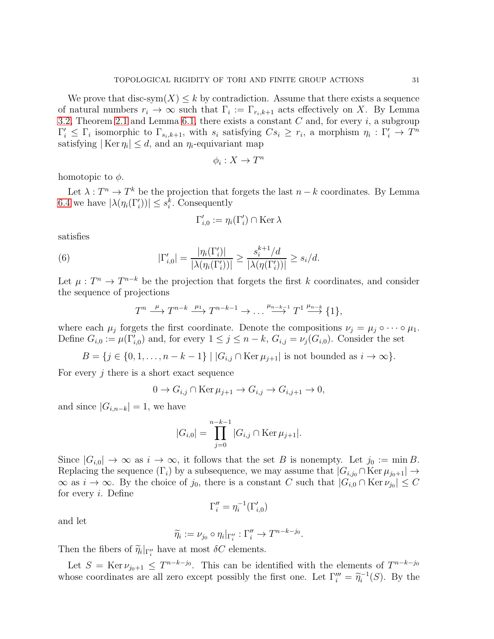We prove that disc-sym $(X) \leq k$  by contradiction. Assume that there exists a sequence of natural numbers  $r_i \to \infty$  such that  $\Gamma_i := \Gamma_{r_i,k+1}$  acts effectively on X. By Lemma [3.2,](#page-12-1) Theorem [2.1](#page-9-0) and Lemma [6.1,](#page-16-0) there exists a constant  $C$  and, for every  $i$ , a subgroup  $\Gamma'_i \leq \Gamma_i$  isomorphic to  $\Gamma_{s_i,k+1}$ , with  $s_i$  satisfying  $Cs_i \geq r_i$ , a morphism  $\eta_i : \Gamma'_i \to T^n$ satisfying  $|\text{Ker } \eta_i| \leq d$ , and an  $\eta_i$ -equivariant map

$$
\phi_i:X\to T^n
$$

homotopic to  $\phi$ .

Let  $\lambda: T^n \to T^k$  be the projection that forgets the last  $n-k$  coordinates. By Lemma [6.4](#page-18-0) we have  $|\lambda(\eta_i(\Gamma'_i))| \leq s_i^k$ . Consequently

$$
\Gamma'_{i,0} := \eta_i(\Gamma'_i) \cap \text{Ker }\lambda
$$

satisfies

(6) 
$$
|\Gamma'_{i,0}| = \frac{|\eta_i(\Gamma'_i)|}{|\lambda(\eta_i(\Gamma'_i))|} \ge \frac{s_i^{k+1}/d}{|\lambda(\eta(\Gamma'_i))|} \ge s_i/d.
$$

Let  $\mu : T^n \to T^{n-k}$  be the projection that forgets the first k coordinates, and consider the sequence of projections

$$
T^n \xrightarrow{\mu} T^{n-k} \xrightarrow{\mu_1} T^{n-k-1} \to \dots \xrightarrow{\mu_{n-k-1}} T^1 \xrightarrow{\mu_{n-k}} \{1\},
$$

where each  $\mu_j$  forgets the first coordinate. Denote the compositions  $\nu_j = \mu_j \circ \cdots \circ \mu_1$ . Define  $G_{i,0} := \mu(\Gamma'_{i,0})$  and, for every  $1 \leq j \leq n-k$ ,  $G_{i,j} = \nu_j(G_{i,0})$ . Consider the set

 $B = \{j \in \{0, 1, \ldots, n - k - 1\} \mid |G_{i,j} \cap \text{Ker } \mu_{j+1}| \text{ is not bounded as } i \to \infty\}.$ 

For every  $j$  there is a short exact sequence

$$
0 \to G_{i,j} \cap \text{Ker } \mu_{j+1} \to G_{i,j} \to G_{i,j+1} \to 0,
$$

and since  $|G_{i,n-k}| = 1$ , we have

$$
|G_{i,0}| = \prod_{j=0}^{n-k-1} |G_{i,j} \cap \text{Ker } \mu_{j+1}|.
$$

Since  $|G_{i,0}| \to \infty$  as  $i \to \infty$ , it follows that the set B is nonempty. Let  $j_0 := \min B$ . Replacing the sequence  $(\Gamma_i)$  by a subsequence, we may assume that  $|G_{i,j_0} \cap \text{Ker } \mu_{j_0+1}| \rightarrow$  $\infty$  as  $i \to \infty$ . By the choice of  $j_0$ , there is a constant C such that  $|G_{i,0} \cap \text{Ker } \nu_{j_0}| \leq C$ for every i. Define

$$
\Gamma''_i=\eta_i^{-1}(\Gamma'_{i,0})
$$

and let

$$
\widetilde{\eta}_i := \nu_{j_0} \circ \eta_i|_{\Gamma_i''} : \Gamma_i'' \to T^{n-k-j_0}.
$$

Then the fibers of  $\widetilde{\eta}_i|_{\Gamma''_i}$  have at most  $\delta C$  elements.

Let  $S = \text{Ker } \nu_{j_0+1} \leq T^{n-k-j_0}$ . This can be identified with the elements of  $T^{n-k-j_0}$ whose coordinates are all zero except possibly the first one. Let  $\Gamma_i''' = \tilde{\eta}_i^{-1}(S)$ . By the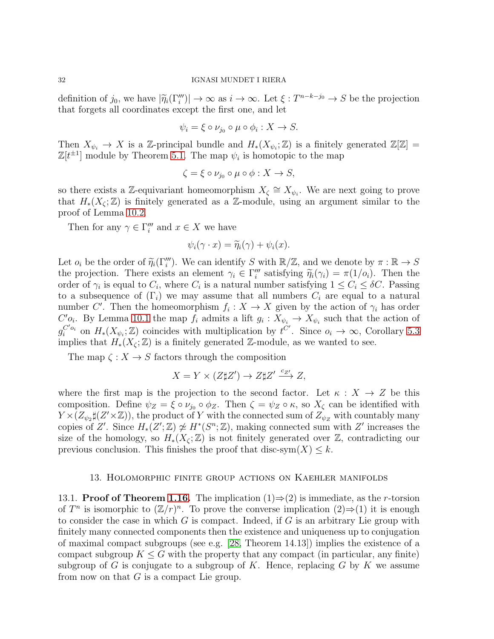definition of  $j_0$ , we have  $|\widetilde{\eta}_i(\Gamma_i''')| \to \infty$  as  $i \to \infty$ . Let  $\xi : T^{n-k-j_0} \to S$  be the projection that forgets all coordinates except the first one, and let

$$
\psi_i = \xi \circ \nu_{j_0} \circ \mu \circ \phi_i : X \to S.
$$

Then  $X_{\psi_i} \to X$  is a Z-principal bundle and  $H_*(X_{\psi_i}; \mathbb{Z})$  is a finitely generated  $\mathbb{Z}[\mathbb{Z}] =$  $\mathbb{Z}[t^{\pm 1}]$  module by Theorem [5.1.](#page-13-2) The map  $\psi_i$  is homotopic to the map

$$
\zeta = \xi \circ \nu_{j_0} \circ \mu \circ \phi : X \to S,
$$

so there exists a Z-equivariant homeomorphism  $X_{\zeta} \cong X_{\psi_i}$ . We are next going to prove that  $H_*(X_\zeta;\mathbb{Z})$  is finitely generated as a Z-module, using an argument similar to the proof of Lemma [10.2.](#page-23-2)

Then for any  $\gamma \in \Gamma'''_i$  and  $x \in X$  we have

$$
\psi_i(\gamma \cdot x) = \widetilde{\eta}_i(\gamma) + \psi_i(x).
$$

Let  $o_i$  be the order of  $\widetilde{\eta}_i(\Gamma''_i)$ . We can identify S with  $\mathbb{R}/\mathbb{Z}$ , and we denote by  $\pi : \mathbb{R} \to S$ the projection. There exists an element  $\gamma_i \in \Gamma''_i$  satisfying  $\widetilde{\eta}_i(\gamma_i) = \pi(1/\rho_i)$ . Then the order of  $\gamma_i$  is equal to  $C_i$ , where  $C_i$  is a natural number satisfying  $1 \le C_i \le \delta C$ . Passing to a subsequence of  $(\Gamma_i)$  we may assume that all numbers  $C_i$  are equal to a natural number C'. Then the homeomorphism  $f_i: X \to X$  given by the action of  $\gamma_i$  has order  $C'_{i}$ . By Lemma [10.1](#page-23-1) the map  $f_i$  admits a lift  $g_i: X_{\psi_i} \to X_{\psi_i}$  such that the action of  $g_i^{C'o_i}$  on  $H_*(X_{\psi_i}; \mathbb{Z})$  coincides with multiplication by  $t^{C'}$ . Since  $o_i \to \infty$ , Corollary [5.3](#page-16-1) implies that  $H_*(X_\zeta;\mathbb{Z})$  is a finitely generated  $\mathbb{Z}$ -module, as we wanted to see.

The map  $\zeta: X \to S$  factors through the composition

$$
X = Y \times (Z \sharp Z') \to Z \sharp Z' \xrightarrow{c_{Z'}} Z,
$$

where the first map is the projection to the second factor. Let  $\kappa : X \to Z$  be this composition. Define  $\psi_Z = \xi \circ \nu_{j_0} \circ \phi_Z$ . Then  $\zeta = \psi_Z \circ \kappa$ , so  $X_\zeta$  can be identified with  $Y \times (Z_{\psi_2} \sharp (Z' \times \mathbb{Z}))$ , the product of Y with the connected sum of  $Z_{\psi_Z}$  with countably many copies of Z'. Since  $H_*(Z';\mathbb{Z}) \ncong H^*(S^n;\mathbb{Z})$ , making connected sum with Z' increases the size of the homology, so  $H_*(X_\zeta;\mathbb{Z})$  is not finitely generated over  $\mathbb{Z}$ , contradicting our previous conclusion. This finishes the proof that disc-sym $(X) \leq k$ .

### 13. Holomorphic finite group actions on Kaehler manifolds

<span id="page-31-0"></span>13.1. **Proof of Theorem [1.16.](#page-7-1)** The implication  $(1) \Rightarrow (2)$  is immediate, as the *r*-torsion of  $T^n$  is isomorphic to  $(\mathbb{Z}/r)^n$ . To prove the converse implication  $(2) \Rightarrow (1)$  it is enough to consider the case in which  $G$  is compact. Indeed, if  $G$  is an arbitrary Lie group with finitely many connected components then the existence and uniqueness up to conjugation of maximal compact subgroups (see e.g. [\[28,](#page-38-23) Theorem 14.13]) implies the existence of a compact subgroup  $K \leq G$  with the property that any compact (in particular, any finite) subgroup of G is conjugate to a subgroup of K. Hence, replacing G by K we assume from now on that  $G$  is a compact Lie group.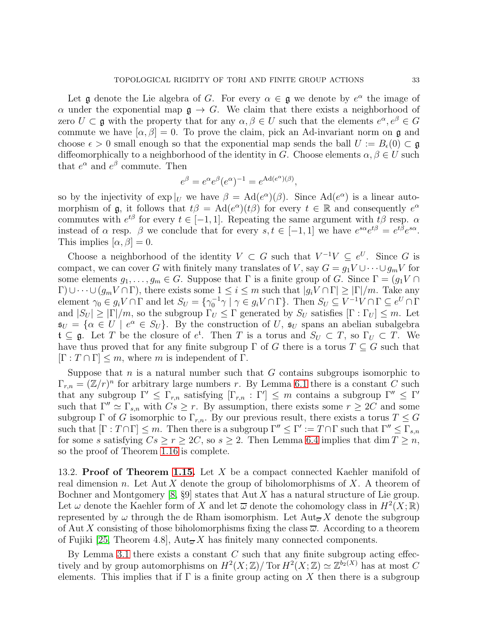Let **g** denote the Lie algebra of G. For every  $\alpha \in \mathfrak{g}$  we denote by  $e^{\alpha}$  the image of  $\alpha$  under the exponential map  $\mathfrak{g} \to G$ . We claim that there exists a neighborhood of zero  $U \subset \mathfrak{g}$  with the property that for any  $\alpha, \beta \in U$  such that the elements  $e^{\alpha}, e^{\beta} \in G$ commute we have  $[\alpha, \beta] = 0$ . To prove the claim, pick an Ad-invariant norm on g and choose  $\epsilon > 0$  small enough so that the exponential map sends the ball  $U := B_{\epsilon}(0) \subset \mathfrak{g}$ diffeomorphically to a neighborhood of the identity in G. Choose elements  $\alpha, \beta \in U$  such that  $e^{\alpha}$  and  $e^{\beta}$  commute. Then

$$
e^{\beta} = e^{\alpha} e^{\beta} (e^{\alpha})^{-1} = e^{\text{Ad}(e^{\alpha})(\beta)},
$$

so by the injectivity of  $\exp|_U$  we have  $\beta = \text{Ad}(e^{\alpha})(\beta)$ . Since  $\text{Ad}(e^{\alpha})$  is a linear automorphism of **g**, it follows that  $t\beta = \text{Ad}(e^{\alpha})(t\beta)$  for every  $t \in \mathbb{R}$  and consequently  $e^{\alpha}$ commutes with  $e^{t\beta}$  for every  $t \in [-1, 1]$ . Repeating the same argument with  $t\beta$  resp.  $\alpha$ instead of  $\alpha$  resp.  $\beta$  we conclude that for every  $s, t \in [-1, 1]$  we have  $e^{s\alpha}e^{t\beta} = e^{t\beta}e^{s\alpha}$ . This implies  $[\alpha, \beta] = 0$ .

Choose a neighborhood of the identity  $V \subset G$  such that  $V^{-1}V \subseteq e^U$ . Since G is compact, we can cover G with finitely many translates of V, say  $G = g_1 V \cup \cdots \cup g_m V$  for some elements  $g_1, \ldots, g_m \in G$ . Suppose that  $\Gamma$  is a finite group of G. Since  $\Gamma = (g_1 V \cap$  $\Gamma$ )∪ $\cdots$   $(g_m V \cap \Gamma)$ , there exists some  $1 \leq i \leq m$  such that  $|g_i V \cap \Gamma| \geq |\Gamma|/m$ . Take any element  $\gamma_0 \in g_i V \cap \Gamma$  and let  $S_U = \{ \gamma_0^{-1} \gamma \mid \gamma \in g_i V \cap \Gamma \}$ . Then  $S_U \subseteq V^{-1} V \cap \Gamma \subseteq e^U \cap \Gamma$ and  $|S_U| \geq |\Gamma|/m$ , so the subgroup  $\Gamma_U \leq \Gamma$  generated by  $S_U$  satisfies  $[\Gamma : \Gamma_U] \leq m$ . Let  $\mathfrak{s}_U = \{ \alpha \in U \mid e^{\alpha} \in S_U \}.$  By the construction of U,  $\mathfrak{s}_U$  spans an abelian subalgebra  $\mathfrak{t} \subseteq \mathfrak{g}$ . Let T be the closure of  $e^{\mathfrak{t}}$ . Then T is a torus and  $S_U \subset T$ , so  $\Gamma_U \subset T$ . We have thus proved that for any finite subgroup  $\Gamma$  of G there is a torus  $T \subseteq G$  such that  $[\Gamma : T \cap \Gamma] \leq m$ , where m is independent of  $\Gamma$ .

Suppose that  $n$  is a natural number such that  $G$  contains subgroups isomorphic to  $\Gamma_{r,n} = (\mathbb{Z}/r)^n$  for arbitrary large numbers r. By Lemma [6.1](#page-16-0) there is a constant C such that any subgroup  $\Gamma' \leq \Gamma_{r,n}$  satisfying  $[\Gamma_{r,n} : \Gamma'] \leq m$  contains a subgroup  $\Gamma'' \leq \Gamma'$ such that  $\Gamma'' \simeq \Gamma_{s,n}$  with  $Cs \geq r$ . By assumption, there exists some  $r \geq 2C$  and some subgroup  $\Gamma$  of G isomorphic to  $\Gamma_{r,n}$ . By our previous result, there exists a torus  $T \leq G$ such that  $[\Gamma : T \cap \Gamma] \leq m$ . Then there is a subgroup  $\Gamma'' \leq \Gamma' := T \cap \Gamma$  such that  $\Gamma'' \leq \Gamma_{s,n}$ for some s satisfying  $Cs \ge r \ge 2C$ , so  $s \ge 2$ . Then Lemma [6.4](#page-18-0) implies that dim  $T \ge n$ , so the proof of Theorem [1.16](#page-7-1) is complete.

<span id="page-32-0"></span>13.2. **Proof of Theorem [1.15.](#page-7-0)** Let X be a compact connected Kaehler manifold of real dimension n. Let Aut X denote the group of biholomorphisms of X. A theorem of Bochner and Montgomery  $[8, \S9]$  states that Aut X has a natural structure of Lie group. Let  $\omega$  denote the Kaehler form of X and let  $\overline{\omega}$  denote the cohomology class in  $H^2(X;\mathbb{R})$ represented by  $\omega$  through the de Rham isomorphism. Let  ${\rm Aut}_{\overline{\omega}}X$  denote the subgroup of Aut X consisting of those biholomorphisms fixing the class  $\overline{\omega}$ . According to a theorem of Fujiki [\[25,](#page-38-14) Theorem 4.8],  $Aut_{\overline{\omega}} X$  has finitely many connected components.

By Lemma [3.1](#page-12-2) there exists a constant  $C$  such that any finite subgroup acting effectively and by group automorphisms on  $H^2(X;\mathbb{Z})/\text{Tor } H^2(X;\mathbb{Z}) \simeq \mathbb{Z}^{b_2(X)}$  has at most C elements. This implies that if  $\Gamma$  is a finite group acting on X then there is a subgroup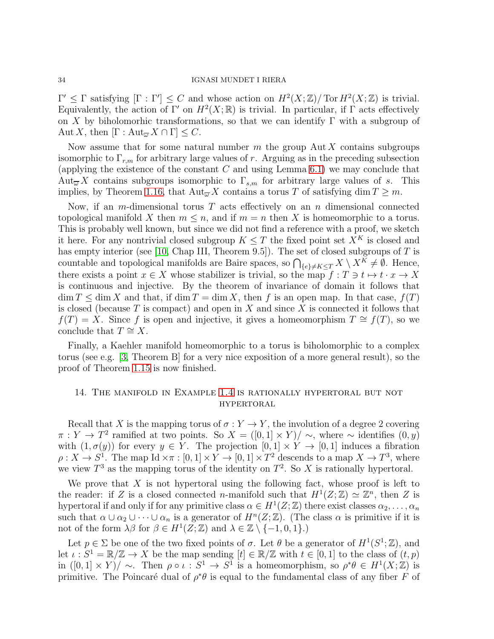$\Gamma' \leq \Gamma$  satisfying  $[\Gamma : \Gamma'] \leq C$  and whose action on  $H^2(X; \mathbb{Z})/\text{Tor } H^2(X; \mathbb{Z})$  is trivial. Equivalently, the action of  $\Gamma'$  on  $H^2(X;\mathbb{R})$  is trivial. In particular, if  $\Gamma$  acts effectively on X by biholomorhic transformations, so that we can identify  $\Gamma$  with a subgroup of Aut X, then  $[\Gamma : \text{Aut}_{\overline{\omega}} X \cap \Gamma] \leq C$ .

Now assume that for some natural number  $m$  the group Aut  $X$  contains subgroups isomorphic to  $\Gamma_{r,m}$  for arbitrary large values of r. Arguing as in the preceding subsection (applying the existence of the constant  $C$  and using Lemma [6.1\)](#page-16-0) we may conclude that Aut<sub> $\overline{\omega} X$ </sub> contains subgroups isomorphic to  $\Gamma_{s,m}$  for arbitrary large values of s. This implies, by Theorem [1.16,](#page-7-1) that  $\text{Aut}_{\overline{\omega}} X$  contains a torus T of satisfying dim  $T \geq m$ .

Now, if an m-dimensional torus  $T$  acts effectively on an  $n$  dimensional connected topological manifold X then  $m \leq n$ , and if  $m = n$  then X is homeomorphic to a torus. This is probably well known, but since we did not find a reference with a proof, we sketch it here. For any nontrivial closed subgroup  $K \leq T$  the fixed point set  $X^K$  is closed and has empty interior (see [\[10,](#page-37-14) Chap III, Theorem 9.5]). The set of closed subgroups of  $T$  is countable and topological manifolds are Baire spaces, so  $\bigcap_{\{e\}\neq K\leq T} X \setminus X^{\tilde{K}} \neq \emptyset$ . Hence, there exists a point  $x \in X$  whose stabilizer is trivial, so the map  $f : T \ni t \mapsto t \cdot x \to X$ is continuous and injective. By the theorem of invariance of domain it follows that  $\dim T \leq \dim X$  and that, if  $\dim T = \dim X$ , then f is an open map. In that case,  $f(T)$ is closed (because  $T$  is compact) and open in  $X$  and since  $X$  is connected it follows that  $f(T) = X$ . Since f is open and injective, it gives a homeomorphism  $T \cong f(T)$ , so we conclude that  $T \cong X$ .

Finally, a Kaehler manifold homeomorphic to a torus is biholomorphic to a complex torus (see e.g. [\[3,](#page-37-15) Theorem B] for a very nice exposition of a more general result), so the proof of Theorem [1.15](#page-7-0) is now finished.

# <span id="page-33-0"></span>14. The manifold in Example [1.4](#page-2-0) is rationally hypertoral but not hypertoral

Recall that X is the mapping torus of  $\sigma: Y \to Y$ , the involution of a degree 2 covering  $\pi: Y \to T^2$  ramified at two points. So  $X = ([0,1] \times Y)/\sim$ , where  $\sim$  identifies  $(0, y)$ with  $(1, \sigma(y))$  for every  $y \in Y$ . The projection  $[0, 1] \times Y \to [0, 1]$  induces a fibration  $\rho: X \to S^1$ . The map Id  $\times \pi: [0,1] \times Y \to [0,1] \times T^2$  descends to a map  $X \to T^3$ , where we view  $T^3$  as the mapping torus of the identity on  $T^2$ . So X is rationally hypertoral.

We prove that  $X$  is not hypertoral using the following fact, whose proof is left to the reader: if Z is a closed connected n-manifold such that  $H^1(Z; \mathbb{Z}) \simeq \mathbb{Z}^n$ , then Z is hypertoral if and only if for any primitive class  $\alpha \in H^1(Z; \mathbb{Z})$  there exist classes  $\alpha_2, \ldots, \alpha_n$ such that  $\alpha \cup \alpha_2 \cup \cdots \cup \alpha_n$  is a generator of  $H^n(Z; \mathbb{Z})$ . (The class  $\alpha$  is primitive if it is not of the form  $\lambda\beta$  for  $\beta \in H^1(Z;\mathbb{Z})$  and  $\lambda \in \mathbb{Z} \setminus \{-1,0,1\}$ .)

Let  $p \in \Sigma$  be one of the two fixed points of  $\sigma$ . Let  $\theta$  be a generator of  $H^1(S^1;\mathbb{Z})$ , and let  $\iota : S^1 = \mathbb{R}/\mathbb{Z} \to X$  be the map sending  $[t] \in \mathbb{R}/\mathbb{Z}$  with  $t \in [0,1]$  to the class of  $(t, p)$ in  $([0,1] \times Y)/ \sim$ . Then  $\rho \circ \iota : S^1 \to S^1$  is a homeomorphism, so  $\rho^* \theta \in H^1(X;\mathbb{Z})$  is primitive. The Poincaré dual of  $\rho^*\theta$  is equal to the fundamental class of any fiber F of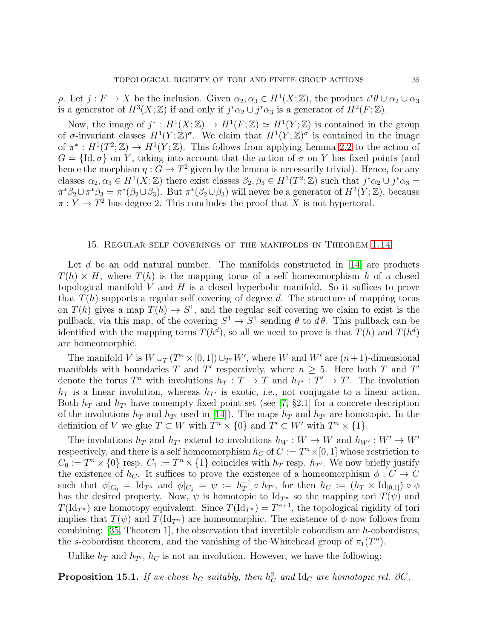$ρ$ . Let  $j: F \to X$  be the inclusion. Given  $α_2, α_3 ∈ H<sup>1</sup>(X; ℤ)$ , the product  $ι^*θ ∪ α_2 ∪ α_3$ is a generator of  $H^3(X;\mathbb{Z})$  if and only if  $j^*\alpha_2 \cup j^*\alpha_3$  is a generator of  $H^2(F;\mathbb{Z})$ .

Now, the image of  $j^*: H^1(X;\mathbb{Z}) \to H^1(F;\mathbb{Z}) \simeq H^1(Y;\mathbb{Z})$  is contained in the group of  $\sigma$ -invariant classes  $H^1(Y;\mathbb{Z})^{\sigma}$ . We claim that  $H^1(Y;\mathbb{Z})^{\sigma}$  is contained in the image of  $\pi^*: H^1(T^2; \mathbb{Z}) \to H^1(Y; \mathbb{Z})$ . This follows from applying Lemma [2.2](#page-9-1) to the action of  $G = \{Id, \sigma\}$  on Y, taking into account that the action of  $\sigma$  on Y has fixed points (and hence the morphism  $\eta: G \to T^2$  given by the lemma is necessarily trivial). Hence, for any classes  $\alpha_2, \alpha_3 \in H^1(X;\mathbb{Z})$  there exist classes  $\beta_2, \beta_3 \in H^1(T^2;\mathbb{Z})$  such that  $j^*\alpha_2 \cup j^*\alpha_3 =$  $\pi^*\beta_2 \cup \pi^*\beta_3 = \pi^*(\beta_2 \cup \beta_3)$ . But  $\pi^*(\beta_2 \cup \beta_3)$  will never be a generator of  $H^2(Y;\mathbb{Z})$ , because  $\pi: Y \to T^2$  has degree 2. This concludes the proof that X is not hypertoral.

### <span id="page-34-0"></span>15. Regular self coverings of the manifolds in Theorem [1.14](#page-6-0)

Let d be an odd natural number. The manifolds constructed in  $[14]$  are products  $T(h) \times H$ , where  $T(h)$  is the mapping torus of a self homeomorphism h of a closed topological manifold  $V$  and  $H$  is a closed hyperbolic manifold. So it suffices to prove that  $T(h)$  supports a regular self covering of degree d. The structure of mapping torus on  $T(h)$  gives a map  $T(h) \to S^1$ , and the regular self covering we claim to exist is the pullback, via this map, of the covering  $S^1 \to S^1$  sending  $\theta$  to  $d\theta$ . This pullback can be identified with the mapping torus  $T(h^d)$ , so all we need to prove is that  $T(h)$  and  $T(h^d)$ are homeomorphic.

The manifold V is  $W \cup_T (T^n \times [0, 1]) \cup_{T'} W'$ , where W and W' are  $(n + 1)$ -dimensional manifolds with boundaries T and T' respectively, where  $n \geq 5$ . Here both T and T' denote the torus  $T^n$  with involutions  $h_T : T \to T$  and  $h_{T'} : T' \to T'$ . The involution  $h_T$  is a linear involution, whereas  $h_{T'}$  is exotic, i.e., not conjugate to a linear action. Both  $h_T$  and  $h_{T'}$  have nonempty fixed point set (see [\[7,](#page-37-16) §2.1] for a concrete description of the involutions  $h_T$  and  $h_{T'}$  used in [\[14\]](#page-37-6)). The maps  $h_T$  and  $h_{T'}$  are homotopic. In the definition of V we glue  $T \subset W$  with  $T^n \times \{0\}$  and  $T' \subset W'$  with  $T^n \times \{1\}$ .

The involutions  $h_T$  and  $h_{T'}$  extend to involutions  $h_W : W \to W$  and  $h_{W'} : W' \to W'$ respectively, and there is a self homeomorphism  $h<sub>C</sub>$  of  $C := T<sup>n</sup> \times [0, 1]$  whose restriction to  $C_0 := T^n \times \{0\}$  resp.  $C_1 := T^n \times \{1\}$  coincides with  $h_T$  resp.  $h_{T'}$ . We now briefly justify the existence of  $h_C$ . It suffices to prove the existence of a homeomorphism  $\phi : C \to C$ such that  $\phi|_{C_0} = \text{Id}_{T^n}$  and  $\phi|_{C_1} = \psi := h_T^{-1}$  $T^1 \circ h_{T'}$ , for then  $h_C := (h_T \times \mathrm{Id}_{[0,1]}) \circ \phi$ has the desired property. Now,  $\psi$  is homotopic to Id<sub>T</sub><sup>n</sup> so the mapping tori  $T(\psi)$  and  $T(\mathrm{Id}_{T^n})$  are homotopy equivalent. Since  $T(\mathrm{Id}_{T^n}) = T^{n+1}$ , the topological rigidity of tori implies that  $T(\psi)$  and  $T(\mathrm{Id}_{T^n})$  are homeomorphic. The existence of  $\phi$  now follows from combining:  $[35,$  Theorem 1, the observation that invertible cobordism are h-cobordisms, the s-cobordism theorem, and the vanishing of the Whitehead group of  $\pi_1(T^n)$ .

Unlike  $h_T$  and  $h_{T'}$ ,  $h_C$  is not an involution. However, we have the following:

<span id="page-34-1"></span>**Proposition 15.1.** If we chose  $h_C$  suitably, then  $h_C^2$  and  $Id_C$  are homotopic rel. ∂C.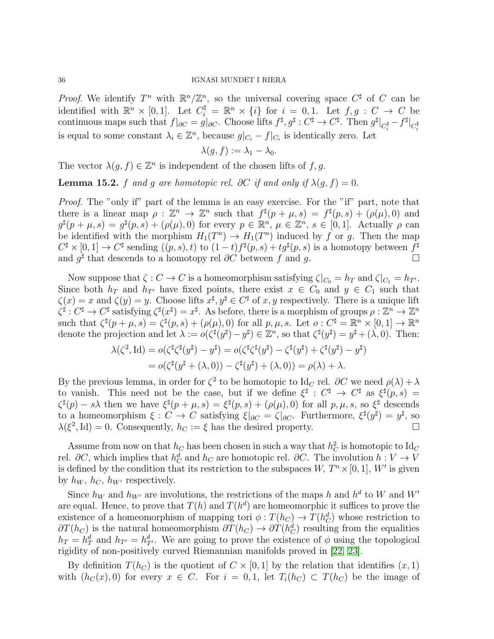*Proof.* We identify  $T^n$  with  $\mathbb{R}^n/\mathbb{Z}^n$ , so the universal covering space  $C^{\sharp}$  of C can be identified with  $\mathbb{R}^n \times [0,1]$ . Let  $C_i^{\sharp} = \mathbb{R}^n \times \{i\}$  for  $i = 0,1$ . Let  $f, g : C \to C$  be continuous maps such that  $f|_{\partial C} = g|_{\partial C}$ . Choose lifts  $f^{\sharp}, g^{\sharp} : C^{\sharp} \to C^{\sharp}$ . Then  $g^{\sharp}|_{C_i^{\sharp}} - f^{\sharp}|_{C_i^{\sharp}}$ is equal to some constant  $\lambda_i \in \mathbb{Z}^n$ , because  $g|_{C_i} - f|_{C_i}$  is identically zero. Let

$$
\lambda(g, f) := \lambda_1 - \lambda_0.
$$

The vector  $\lambda(g, f) \in \mathbb{Z}^n$  is independent of the chosen lifts of f, g.

**Lemma 15.2.** f and g are homotopic rel. ∂C if and only if  $\lambda(g, f) = 0$ .

Proof. The "only if" part of the lemma is an easy exercise. For the "if" part, note that there is a linear map  $\rho : \mathbb{Z}^n \to \mathbb{Z}^n$  such that  $f^{\sharp}(p+\mu,s) = f^{\sharp}(p,s) + (\rho(\mu),0)$  and  $g^{\sharp}(p+\mu,s) = g^{\sharp}(p,s) + (\rho(\mu),0)$  for every  $p \in \mathbb{R}^n$ ,  $\mu \in \mathbb{Z}^n$ ,  $s \in [0,1]$ . Actually  $\rho$  can be identified with the morphism  $H_1(T^n) \to H_1(T^n)$  induced by f or g. Then the map  $C^{\sharp}\times[0,1]\to C^{\sharp}$  sending  $((p,s),t)$  to  $(1-t)f^{\sharp}(p,s)+tg^{\sharp}(p,s)$  is a homotopy between  $f^{\sharp}$ and  $g^{\sharp}$  that descends to a homotopy rel  $\partial C$  between f and g.

Now suppose that  $\zeta : C \to C$  is a homeomorphism satisfying  $\zeta|_{C_0} = h_T$  and  $\zeta|_{C_1} = h_{T'}$ . Since both  $h_T$  and  $h_{T'}$  have fixed points, there exist  $x \in C_0$  and  $y \in C_1$  such that  $\zeta(x) = x$  and  $\zeta(y) = y$ . Choose lifts  $x^{\sharp}, y^{\sharp} \in C^{\sharp}$  of  $x, y$  respectively. There is a unique lift  $\zeta^{\sharp}: C^{\sharp} \to C^{\sharp}$  satisfying  $\zeta^{\sharp}(x^{\sharp}) = x^{\sharp}$ . As before, there is a morphism of groups  $\rho: \mathbb{Z}^n \to \mathbb{Z}^n$ such that  $\zeta^{\sharp}(p+\mu,s) = \zeta^{\sharp}(p,s) + (\rho(\mu),0)$  for all  $p,\mu,s$ . Let  $o: C^{\sharp} = \mathbb{R}^{n} \times [0,1] \to \mathbb{R}^{n}$ denote the projection and let  $\lambda := o(\zeta^{\sharp} (y^{\sharp}) - y^{\sharp}) \in \mathbb{Z}^n$ , so that  $\zeta^{\sharp} (y^{\sharp}) = y^{\sharp} + (\lambda, 0)$ . Then:

$$
\lambda(\zeta^2, \mathrm{Id}) = o(\zeta^{\sharp} \zeta^{\sharp} (y^{\sharp}) - y^{\sharp}) = o(\zeta^{\sharp} \zeta^{\sharp} (y^{\sharp}) - \zeta^{\sharp} (y^{\sharp}) + \zeta^{\sharp} (y^{\sharp}) - y^{\sharp})
$$
  
=  $o(\zeta^{\sharp} (y^{\sharp} + (\lambda, 0)) - \zeta^{\sharp} (y^{\sharp}) + (\lambda, 0)) = \rho(\lambda) + \lambda.$ 

By the previous lemma, in order for  $\zeta^2$  to be homotopic to Id<sub>C</sub> rel. ∂C we need  $\rho(\lambda) + \lambda$ to vanish. This need not be the case, but if we define  $\xi^{\sharp}: C^{\sharp} \to C^{\sharp}$  as  $\xi^{\sharp}(p,s) =$  $\zeta^{\sharp}(p) - s\lambda$  then we have  $\xi^{\sharp}(p + \mu, s) = \xi^{\sharp}(p, s) + (\rho(\mu), 0)$  for all  $p, \mu, s$ , so  $\xi^{\sharp}$  descends to a homeomorphism  $\xi: C \to C$  satisfying  $\xi|_{\partial C} = \zeta|_{\partial C}$ . Furthermore,  $\xi^{\sharp}(y^{\sharp}) = y^{\sharp}$ , so  $\lambda(\xi^2, Id) = 0$ . Consequently,  $h_C := \xi$  has the desired property.

Assume from now on that  $h_C$  has been chosen in such a way that  $h_C^2$  is homotopic to  $\mathrm{Id}_C$ rel. ∂C, which implies that  $h_C^d$  and  $h_C$  are homotopic rel. ∂C. The involution  $h: V \to V$ is defined by the condition that its restriction to the subspaces  $W, T^n \times [0, 1], W'$  is given by  $h_W$ ,  $h_C$ ,  $h_{W'}$  respectively.

Since  $h_W$  and  $h_{W'}$  are involutions, the restrictions of the maps h and  $h^d$  to W and W' are equal. Hence, to prove that  $T(h)$  and  $T(h^d)$  are homeomorphic it suffices to prove the existence of a homeomorphism of mapping tori  $\phi: T(h_C) \to T(h_C^d)$  whose restriction to  $\partial T(h_C)$  is the natural homeomorphism  $\partial T(h_C) \to \partial T(h_C^d)$  resulting from the equalities  $h_T = h_T^d$  and  $h_{T'} = h_{T'}^d$ . We are going to prove the existence of  $\phi$  using the topological rigidity of non-positively curved Riemannian manifolds proved in [\[22,](#page-38-5) [23\]](#page-38-6).

By definition  $T(h_C)$  is the quotient of  $C \times [0,1]$  by the relation that identifies  $(x, 1)$ with  $(h_C(x), 0)$  for every  $x \in C$ . For  $i = 0, 1$ , let  $T_i(h_C) \subset T(h_C)$  be the image of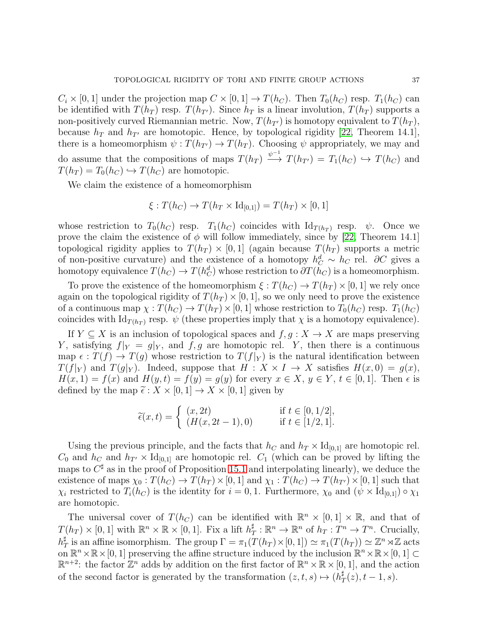$C_i \times [0,1]$  under the projection map  $C \times [0,1] \rightarrow T(h_C)$ . Then  $T_0(h_C)$  resp.  $T_1(h_C)$  can be identified with  $T(h_T)$  resp.  $T(h_{T'})$ . Since  $h_T$  is a linear involution,  $T(h_T)$  supports a non-positively curved Riemannian metric. Now,  $T(h_{T'})$  is homotopy equivalent to  $T(h_T)$ , because  $h_T$  and  $h_{T'}$  are homotopic. Hence, by topological rigidity [\[22,](#page-38-5) Theorem 14.1], there is a homeomorphism  $\psi: T(h_{T'}) \to T(h_T)$ . Choosing  $\psi$  appropriately, we may and do assume that the compositions of maps  $T(h_T) \stackrel{\psi^{-1}}{\longrightarrow} T(h_{T'}) = T_1(h_C) \hookrightarrow T(h_C)$  and  $T(h_T) = T_0(h_C) \hookrightarrow T(h_C)$  are homotopic.

We claim the existence of a homeomorphism

$$
\xi: T(h_C) \to T(h_T \times \text{Id}_{[0,1]}) = T(h_T) \times [0,1]
$$

whose restriction to  $T_0(h_C)$  resp.  $T_1(h_C)$  coincides with  $\mathrm{Id}_{T(h_T)}$  resp.  $\psi$ . Once we prove the claim the existence of  $\phi$  will follow immediately, since by [\[22,](#page-38-5) Theorem 14.1] topological rigidity applies to  $T(h_T) \times [0,1]$  (again because  $T(h_T)$  supports a metric of non-positive curvature) and the existence of a homotopy  $h_C^d \sim h_C$  rel. ∂C gives a homotopy equivalence  $T(h_C) \to T(h_C^d)$  whose restriction to  $\partial T(h_C)$  is a homeomorphism.

To prove the existence of the homeomorphism  $\xi : T(h_C) \to T(h_T) \times [0,1]$  we rely once again on the topological rigidity of  $T(h_T) \times [0, 1]$ , so we only need to prove the existence of a continuous map  $\chi: T(h_C) \to T(h_T) \times [0, 1]$  whose restriction to  $T_0(h_C)$  resp.  $T_1(h_C)$ coincides with  $\mathrm{Id}_{T(h_T)}$  resp.  $\psi$  (these properties imply that  $\chi$  is a homotopy equivalence).

If  $Y \subseteq X$  is an inclusion of topological spaces and  $f, g: X \to X$  are maps preserving Y, satisfying  $f|_Y = g|_Y$ , and  $f, g$  are homotopic rel. Y, then there is a continuous map  $\epsilon : T(f) \to T(g)$  whose restriction to  $T(f|_Y)$  is the natural identification between  $T(f|_Y)$  and  $T(g|_Y)$ . Indeed, suppose that  $H: X \times I \to X$  satisfies  $H(x, 0) = g(x)$ ,  $H(x, 1) = f(x)$  and  $H(y, t) = f(y) = g(y)$  for every  $x \in X, y \in Y, t \in [0, 1]$ . Then  $\epsilon$  is defined by the map  $\tilde{\epsilon}: X \times [0,1] \to X \times [0,1]$  given by

$$
\tilde{\epsilon}(x,t) = \begin{cases}\n(x,2t) & \text{if } t \in [0,1/2], \\
(H(x,2t-1),0) & \text{if } t \in [1/2,1].\n\end{cases}
$$

Using the previous principle, and the facts that  $h_C$  and  $h_T \times \mathrm{Id}_{[0,1]}$  are homotopic rel.  $C_0$  and  $h_C$  and  $h_{T'} \times \mathrm{Id}_{[0,1]}$  are homotopic rel.  $C_1$  (which can be proved by lifting the maps to  $C^{\sharp}$  as in the proof of Proposition [15.1](#page-34-1) and interpolating linearly), we deduce the existence of maps  $\chi_0 : T(h_C) \to T(h_T) \times [0, 1]$  and  $\chi_1 : T(h_C) \to T(h_{T'}) \times [0, 1]$  such that  $\chi_i$  restricted to  $T_i(h_C)$  is the identity for  $i = 0, 1$ . Furthermore,  $\chi_0$  and  $(\psi \times Id_{[0,1]}) \circ \chi_1$ are homotopic.

The universal cover of  $T(h_C)$  can be identified with  $\mathbb{R}^n \times [0,1] \times \mathbb{R}$ , and that of  $T(h_T) \times [0,1]$  with  $\mathbb{R}^n \times \mathbb{R} \times [0,1]$ . Fix a lift  $h_1^{\sharp}$  $T^{\sharp}$ :  $\mathbb{R}^n \to \mathbb{R}^n$  of  $h_T: T^n \to T^n$ . Crucially,  $h^\sharp_7$  $T^{\sharp}_{T}$  is an affine isomorphism. The group  $\Gamma = \pi_1(T(h_T) \times [0, 1]) \simeq \pi_1(T(h_T)) \simeq \mathbb{Z}^n \rtimes \mathbb{Z}$  acts on  $\mathbb{R}^n \times \mathbb{R} \times [0, 1]$  preserving the affine structure induced by the inclusion  $\mathbb{R}^n \times \mathbb{R} \times [0, 1] \subset$  $\mathbb{R}^{n+2}$ : the factor  $\mathbb{Z}^n$  adds by addition on the first factor of  $\mathbb{R}^n \times \mathbb{R} \times [0,1]$ , and the action of the second factor is generated by the transformation  $(z, t, s) \mapsto (h^{\sharp}_{\mathcal{A}})$  $T^{\sharp}(z), t-1, s).$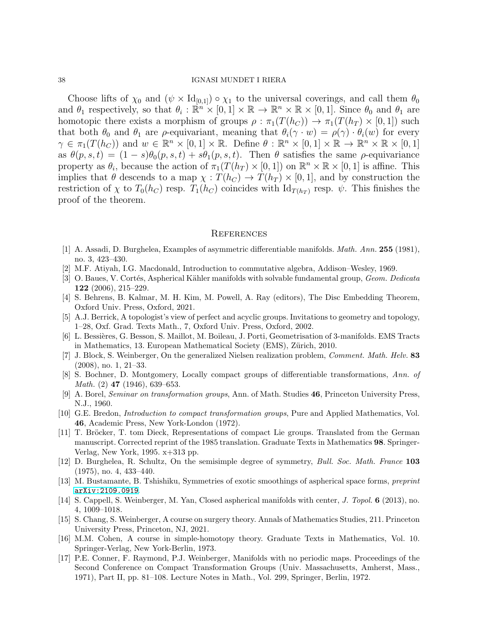Choose lifts of  $\chi_0$  and  $(\psi \times Id_{[0,1]}) \circ \chi_1$  to the universal coverings, and call them  $\theta_0$ and  $\theta_1$  respectively, so that  $\theta_i : \mathbb{R}^n \times [0,1] \times \mathbb{R} \to \mathbb{R}^n \times \mathbb{R} \times [0,1]$ . Since  $\theta_0$  and  $\theta_1$  are homotopic there exists a morphism of groups  $\rho : \pi_1(T(h_C)) \to \pi_1(T(h_T) \times [0,1])$  such that both  $\theta_0$  and  $\theta_1$  are  $\rho$ -equivariant, meaning that  $\theta_i(\gamma \cdot w) = \rho(\gamma) \cdot \theta_i(w)$  for every  $\gamma \in \pi_1(T(h_C))$  and  $w \in \mathbb{R}^n \times [0,1] \times \mathbb{R}$ . Define  $\theta : \mathbb{R}^n \times [0,1] \times \mathbb{R} \to \mathbb{R}^n \times \mathbb{R} \times [0,1]$ as  $\theta(p, s, t) = (1 - s)\theta_0(p, s, t) + s\theta_1(p, s, t)$ . Then  $\theta$  satisfies the same  $\rho$ -equivariance property as  $\theta_i$ , because the action of  $\pi_1(T(h_T) \times [0,1])$  on  $\mathbb{R}^n \times \mathbb{R} \times [0,1]$  is affine. This implies that  $\theta$  descends to a map  $\chi: T(h_C) \to T(h_T) \times [0,1]$ , and by construction the restriction of  $\chi$  to  $T_0(h_C)$  resp.  $T_1(h_C)$  coincides with  $\mathrm{Id}_{T(h_T)}$  resp.  $\psi$ . This finishes the proof of the theorem.

### **REFERENCES**

- <span id="page-37-9"></span><span id="page-37-7"></span>[1] A. Assadi, D. Burghelea, Examples of asymmetric differentiable manifolds. Math. Ann. 255 (1981), no. 3, 423–430.
- <span id="page-37-15"></span>[2] M.F. Atiyah, I.G. Macdonald, Introduction to commutative algebra, Addison–Wesley, 1969.
- [3] O. Baues, V. Cortés, Aspherical Kähler manifolds with solvable fundamental group, Geom. Dedicata 122 (2006), 215–229.
- <span id="page-37-11"></span><span id="page-37-1"></span>[4] S. Behrens, B. Kalmar, M. H. Kim, M. Powell, A. Ray (editors), The Disc Embedding Theorem, Oxford Univ. Press, Oxford, 2021.
- <span id="page-37-2"></span>[5] A.J. Berrick, A topologist's view of perfect and acyclic groups. Invitations to geometry and topology, 1–28, Oxf. Grad. Texts Math., 7, Oxford Univ. Press, Oxford, 2002.
- [6] L. Bessi`eres, G. Besson, S. Maillot, M. Boileau, J. Porti, Geometrisation of 3-manifolds. EMS Tracts in Mathematics, 13. European Mathematical Society (EMS), Zürich, 2010.
- <span id="page-37-16"></span>[7] J. Block, S. Weinberger, On the generalized Nielsen realization problem, Comment. Math. Helv. 83 (2008), no. 1, 21–33.
- <span id="page-37-13"></span>[8] S. Bochner, D. Montgomery, Locally compact groups of differentiable transformations, Ann. of Math. (2) 47 (1946), 639–653.
- <span id="page-37-8"></span>[9] A. Borel, Seminar on transformation groups, Ann. of Math. Studies 46, Princeton University Press, N.J., 1960.
- <span id="page-37-14"></span>[10] G.E. Bredon, Introduction to compact transformation groups, Pure and Applied Mathematics, Vol. 46, Academic Press, New York-London (1972).
- <span id="page-37-10"></span>[11] T. Bröcker, T. tom Dieck, Representations of compact Lie groups. Translated from the German manuscript. Corrected reprint of the 1985 translation. Graduate Texts in Mathematics 98. Springer-Verlag, New York, 1995. x+313 pp.
- <span id="page-37-5"></span>[12] D. Burghelea, R. Schultz, On the semisimple degree of symmetry, Bull. Soc. Math. France 103 (1975), no. 4, 433–440.
- <span id="page-37-6"></span><span id="page-37-4"></span>[13] M. Bustamante, B. Tshishiku, Symmetries of exotic smoothings of aspherical space forms, preprint [arXiv:2109.0919](http://arxiv.org/abs/2109.0919).
- [14] S. Cappell, S. Weinberger, M. Yan, Closed aspherical manifolds with center, J. Topol. 6 (2013), no. 4, 1009–1018.
- <span id="page-37-3"></span>[15] S. Chang, S. Weinberger, A course on surgery theory. Annals of Mathematics Studies, 211. Princeton University Press, Princeton, NJ, 2021.
- <span id="page-37-12"></span>[16] M.M. Cohen, A course in simple-homotopy theory. Graduate Texts in Mathematics, Vol. 10. Springer-Verlag, New York-Berlin, 1973.
- <span id="page-37-0"></span>[17] P.E. Conner, F. Raymond, P.J. Weinberger, Manifolds with no periodic maps. Proceedings of the Second Conference on Compact Transformation Groups (Univ. Massachusetts, Amherst, Mass., 1971), Part II, pp. 81–108. Lecture Notes in Math., Vol. 299, Springer, Berlin, 1972.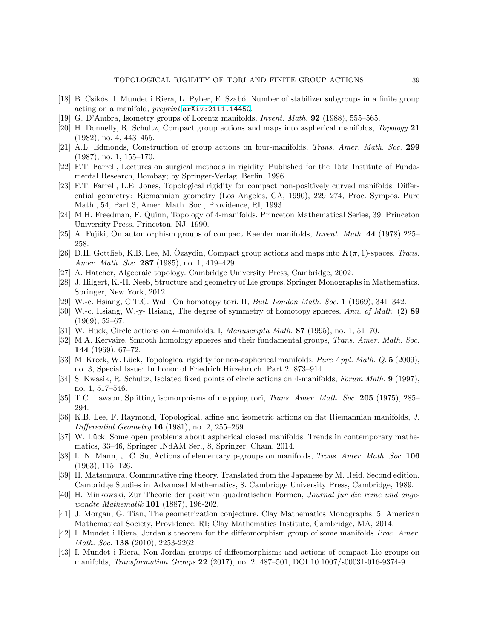- <span id="page-38-15"></span><span id="page-38-10"></span>[18] B. Csikós, I. Mundet i Riera, L. Pyber, E. Szabó, Number of stabilizer subgroups in a finite group acting on a manifold, preprint [arXiv:2111.14450](http://arxiv.org/abs/2111.14450).
- <span id="page-38-16"></span>[19] G. D'Ambra, Isometry groups of Lorentz manifolds, Invent. Math. 92 (1988), 555–565.
- [20] H. Donnelly, R. Schultz, Compact group actions and maps into aspherical manifolds, Topology 21 (1982), no. 4, 443–455.
- <span id="page-38-12"></span><span id="page-38-5"></span>[21] A.L. Edmonds, Construction of group actions on four-manifolds, Trans. Amer. Math. Soc. 299 (1987), no. 1, 155–170.
- <span id="page-38-6"></span>[22] F.T. Farrell, Lectures on surgical methods in rigidity. Published for the Tata Institute of Fundamental Research, Bombay; by Springer-Verlag, Berlin, 1996.
- [23] F.T. Farrell, L.E. Jones, Topological rigidity for compact non-positively curved manifolds. Differential geometry: Riemannian geometry (Los Angeles, CA, 1990), 229–274, Proc. Sympos. Pure Math., 54, Part 3, Amer. Math. Soc., Providence, RI, 1993.
- <span id="page-38-14"></span><span id="page-38-1"></span>[24] M.H. Freedman, F. Quinn, Topology of 4-manifolds. Princeton Mathematical Series, 39. Princeton University Press, Princeton, NJ, 1990.
- <span id="page-38-18"></span>[25] A. Fujiki, On automorphism groups of compact Kaehler manifolds, Invent. Math. 44 (1978) 225– 258.
- [26] D.H. Gottlieb, K.B. Lee, M. Ozaydin, Compact group actions and maps into  $K(\pi, 1)$ -spaces. Trans. Amer. Math. Soc. 287 (1985), no. 1, 419-429.
- <span id="page-38-23"></span><span id="page-38-19"></span>[27] A. Hatcher, Algebraic topology. Cambridge University Press, Cambridge, 2002.
- <span id="page-38-0"></span>[28] J. Hilgert, K.-H. Neeb, Structure and geometry of Lie groups. Springer Monographs in Mathematics. Springer, New York, 2012.
- <span id="page-38-7"></span>[29] W.-c. Hsiang, C.T.C. Wall, On homotopy tori. II, Bull. London Math. Soc. 1 (1969), 341–342.
- [30] W.-c. Hsiang, W.-y- Hsiang, The degree of symmetry of homotopy spheres, Ann. of Math. (2) 89 (1969), 52–67.
- <span id="page-38-22"></span><span id="page-38-13"></span>[31] W. Huck, Circle actions on 4-manifolds. I, Manuscripta Math. 87 (1995), no. 1, 51-70.
- [32] M.A. Kervaire, Smooth homology spheres and their fundamental groups, Trans. Amer. Math. Soc. 144 (1969), 67–72.
- <span id="page-38-3"></span>[33] M. Kreck, W. Lück, Topological rigidity for non-aspherical manifolds, *Pure Appl. Math. Q.* 5 (2009), no. 3, Special Issue: In honor of Friedrich Hirzebruch. Part 2, 873–914.
- [34] S. Kwasik, R. Schultz, Isolated fixed points of circle actions on 4-manifolds, Forum Math. 9 (1997), no. 4, 517–546.
- <span id="page-38-24"></span><span id="page-38-21"></span>[35] T.C. Lawson, Splitting isomorphisms of mapping tori, Trans. Amer. Math. Soc. 205 (1975), 285– 294.
- [36] K.B. Lee, F. Raymond, Topological, affine and isometric actions on flat Riemannian manifolds, J. *Differential Geometry* **16** (1981), no. 2, 255–269.
- <span id="page-38-4"></span>[37] W. Lück, Some open problems about aspherical closed manifolds. Trends in contemporary mathematics, 33–46, Springer INdAM Ser., 8, Springer, Cham, 2014.
- <span id="page-38-11"></span>[38] L. N. Mann, J. C. Su, Actions of elementary p-groups on manifolds, Trans. Amer. Math. Soc. 106 (1963), 115–126.
- <span id="page-38-20"></span>[39] H. Matsumura, Commutative ring theory. Translated from the Japanese by M. Reid. Second edition. Cambridge Studies in Advanced Mathematics, 8. Cambridge University Press, Cambridge, 1989.
- <span id="page-38-17"></span>[40] H. Minkowski, Zur Theorie der positiven quadratischen Formen, Journal fur die reine und angewandte Mathematik 101 (1887), 196-202.
- <span id="page-38-2"></span>[41] J. Morgan, G. Tian, The geometrization conjecture. Clay Mathematics Monographs, 5. American Mathematical Society, Providence, RI; Clay Mathematics Institute, Cambridge, MA, 2014.
- <span id="page-38-8"></span>[42] I. Mundet i Riera, Jordan's theorem for the diffeomorphism group of some manifolds Proc. Amer. Math. Soc. **138** (2010), 2253-2262.
- <span id="page-38-9"></span>[43] I. Mundet i Riera, Non Jordan groups of diffeomorphisms and actions of compact Lie groups on manifolds, *Transformation Groups* **22** (2017), no. 2, 487–501, DOI 10.1007/s00031-016-9374-9.